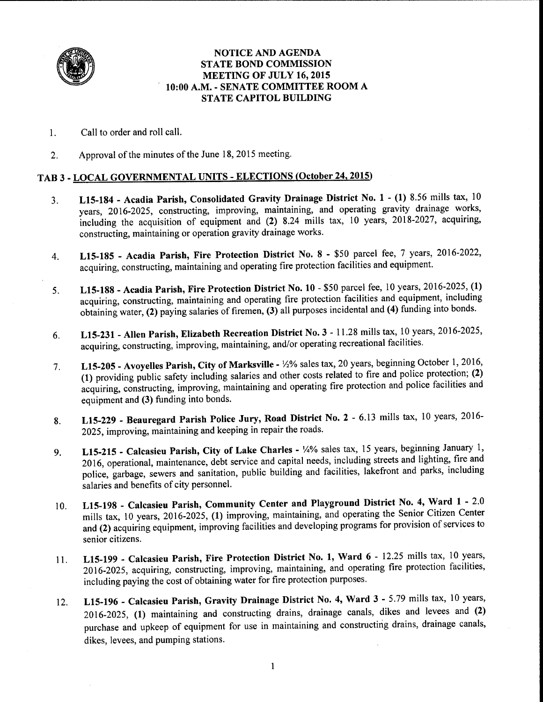

#### NOTICE AND AGENDA STATE BOND COMMISSION MEETING OF JULY 16, 2015 10:00 A.M. - SENATE COMMITTEE ROOM A STATE CAPITOL BUILDING

- 1. Call to order and roll call.
- 2. Approval of the minutes of the June 18, 2015 meeting.

#### TAB 3-LOCAL GOVERNMENTAL UNITS-ELECTIONS (October 24, 2015)

- 3. L15-184 Acadia Parish, Consolidated Gravity Drainage District No. 1 (1) 8.56 mills tax, <sup>10</sup> years, 2016-2025, constructing, improving, maintaining, and operating gravity drainage works, including the acquisition of equipment and (2) 8.24 mills tax, 10 years, 2018-2027, acquiring, constructing, maintaining or operation gravity drainage works.
- 4. L15-185 Acadia Parish, Fire Protection District No. 8 \$50 parcel fee, 7 years, 2016-2022, acquiring, constructing, maintaining and operating fire protection facilities and equipment.
- 5. L15-188 Acadia Parish, Fire Protection District No. 10 \$50 parcel fee, 10 years, 2016-2025, (1) acquiring, constructing, maintaining and operating fire protection facilities and equipment, including obtaining water, (2) paying salaries of firemen, (3) all purposes incidental and (4) funding into bonds.
- 6. L15-231 Allen Parish, Elizabeth Recreation District No. 3 11.28 mills tax, 10 years, 2016-2025, acquiring, constructing, improving, maintaining, and/or operating recreational facilities.
- 7. L15-205 Avoyelles Parish, City of Marksville *\12%* sales tax, 20 years, beginning October 1, 2016, (1) providing public safety including salaries and other costs related to fire and police protection; (2) acquiring, constructing, improving, maintaining and operating fire protection and police facilities and equipment and (3) funding into bonds.
- 8. L15-229 Beauregard Parish Police Jury, Road District No. 2 6.13 mills tax, 10 years, 2016- 2025, improving, maintaining and keeping in repair the roads.
- 9. L15-215 Calcasieu Parish, City of Lake Charles 1/4% sales tax, 15 years, beginning January 1, 2016, operational, maintenance, debt service and capital needs, including streets and lighting, fire and police, garbage, sewers and sanitation, public building and facilities, lakefront and parks, including salaries and benefits of city personnel.
- 10. LlS-198 Calcasieu Parish, Community Center and Playground District No. 4, Ward 1 2.0 mills tax, 10 years, 2016-2025, (1) improving, maintaining, and operating the Senior Citizen Center and (2) acquiring equipment, improving facilities and developing programs for provision of services to senior citizens.
- 11. L15-199 Calcasieu Parish, Fire Protection District No. 1, Ward 6 12.25 mills tax, 10 years, 2016-2025, acquiring, constructing, improving, maintaining, and operating fire protection facilities, including paying the cost of obtaining water for fire protection purposes.
- 12. L15-196 Calcasieu Parish, Gravity Drainage District No. 4, Ward 3 5.79 mills tax, 10 years, 2016-2025, (1) maintaining and constructing drains, drainage canals, dikes and levees and (2) purchase and upkeep of equipment for use in maintaining and constructing drains, drainage canals, dikes, levees, and pumping stations.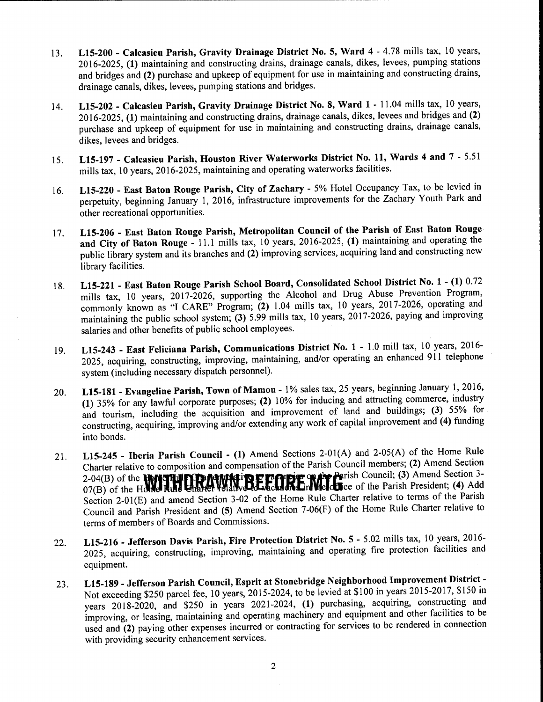- 13. L15-200 Calcasieu Parish, Gravity Drainage District No. 5, Ward 4 4.78 mills tax, 10 years, 2016-2025, (1) maintaining and constructing drains, drainage canals, dikes, levees, pumping stations and bridges and (2) purchase and upkeep of equipment for use in maintaining and constructing drains, drainage canals, dikes, levees, pumping stations and bridges.
- 14. L15-202 Calcasieu Parish, Gravity Drainage District No. 8, Ward 1 11.04 mills tax, 10 years, 2016-2025, (1) maintaining and constructing drains, drainage canals, dikes, levees and bridges and (2) purchase and upkeep of equipment for use in maintaining and constructing drains, drainage canals, dikes, levees and bridges.
- 15. L15-197 Calcasieu Parish, Houston River Waterworks District No. 11, Wards 4 and 7 5.51 mills tax, 10 years, 2016-2025, maintaining and operating waterworks facilities.
- 16. L15-220 East Baton Rouge Parish, City of Zachary 5% Hotel Occupancy Tax, to be levied in perpetuity, beginning January 1, 2016, infrastructure improvements for the Zachary Youth Park and other recreational opportunities.
- 17. L15-206 East Baton Rouge Parish, Metropolitan Council of the Parish of East Baton Rouge and City of Baton Rouge - 11.1 mills tax, 10 years, 2016-2025, (1) maintaining and operating the public library system and its branches and (2) improving services, acquiring land and constructing new library facilities.
- 18. L15-221 East Baton Rouge Parish School Board, Consolidated School District No. 1 (1) 0.72 mills tax, 10 years, 2017-2026, supporting the Alcohol and Drug Abuse Prevention Program, commonly known as "I CARE" Program; (2) 1.04 mills tax, 10 years, 2017-2026, operating and maintaining the public school system; (3) 5.99 mills tax, 10 years, 2017-2026, paying and improving salaries and other benefits of public school employees.
- 19. L15-243 East Feliciana Parish, Communications District No. 1 1.0 mill tax, 10 years, 2016- 2025, acquiring, constructing, improving, maintaining, and/or operating an enhanced 911 telephone system (including necessary dispatch personnel).
- 20. L15-181 Evangeline Parish, Town of Mamou 1% sales tax, 25 years, beginning January 1, 2016, (1) 35% for any lawful corporate purposes; (2) 10% for inducing and attracting commerce, industry and tourism, including the acquisition and improvement of land and buildings; (3) 55% for constructing, acquiring, improving and/or extending any work of capital improvement and (4) funding into bonds.
- 21. L15-245 Iberia Parish Council (1) Amend Sections 2-01 (A) and 2-05(A) of the Home Rule Charter relative to composition and compensation of the Parish Council members; (2) Amend Section  $2-04(B)$  of the **WNITLIFID NAMATIBE CONDE** WATERFIES Council; (3) Amend Section 3- $07(B)$  of the Holdel Rule Limited Vold Work Collection Weld to each parish President; (4) Add Section 2-0l(E) and amend Section 3-02 of the Home Rule Charter relative to terms of the Parish Council and Parish President and (5) Amend Section 7-06(F) of the Home Rule Charter relative to terms of members of Boards and Commissions.
- 22. L15-216 Jefferson Davis Parish, Fire Protection District No. 5 5.02 mills tax, 10 years, 2016- 2025, acquiring, constructing, improving, maintaining and operating fire protection facilities and equipment.
- 23. L15-189 Jefferson Parish Council, Esprit at Stonebridge Neighborhood Improvement District Not exceeding \$250 parcel fee, 10 years, 2015-2024, to be levied at \$100 in years 2015-2017, \$150 in years 2018-2020, and \$250 in years 2021-2024, (1) purchasing, acquiring, constructing and improving, or leasing, maintaining and operating machinery and equipment and other facilities to be used and (2) paying other expenses incurred or contracting for services to be rendered in connection with providing security enhancement services.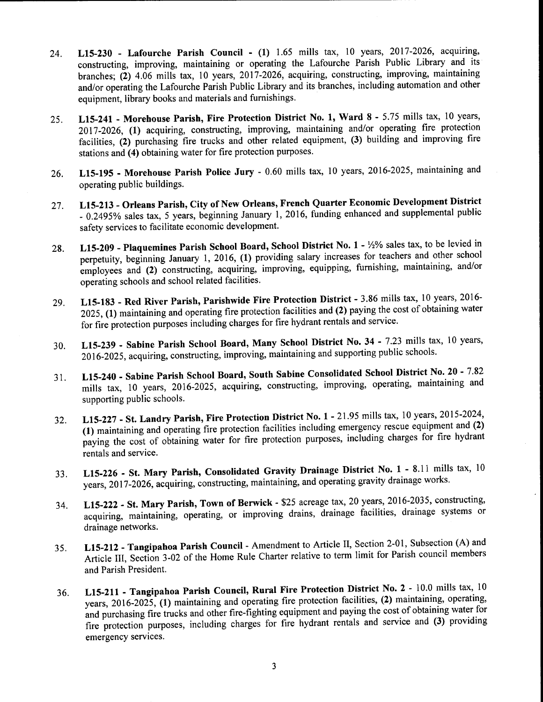- 24. **LlS-230 - Lafourche Parish Council - (1)** 1.65 mills tax, 10 years, 2017-2026, acquiring, constructing, improving, maintaining or operating the Lafourche Parish Public Library and its branches; **(2)** 4.06 mills tax, 10 years, 2017-2026, acquiring, constructing, improving, maintaining and/or operating the Lafourche Parish Public Library and its branches, including automation and other equipment, library books and materials and furnishings.
- 25. **LlS-241 - Morehouse Parish, Fire Protection District No. 1, Ward 8**  5.75 mills tax, 10 years, 2017-2026, **(1)** acquiring, constructing, improving, maintaining and/or operating fire protection facilities, **(2)** purchasing fire trucks and other related equipment, **(3)** building and improving fire stations and **(4)** obtaining water for fire protection purposes.
- 26. **LlS-195 - Morehouse Parish Police Jury**  0.60 mills tax, 10 years, 2016-2025, maintaining and operating public buildings.
- 27. **LlS-213 - Orleans Parish, City of New Orleans, French Quarter Economic Development District**  - 0.2495% sales tax, 5 years, beginning January 1, 2016, funding enhanced and supplemental public safety services to facilitate economic development.
- 28. **LlS-209 - Plaquemines Parish School Board, School District No. 1**  Y2% sales tax, to be levied in perpetuity, beginning January 1, 2016, **(1)** providing salary increases for teachers and other school employees and (2) constructing, acquiring, improving, equipping, furnishing, maintaining, and/or operating schools and school related facilities.
- 29. **LlS-183 - Red River Parish, Parishwide Fire Protection District**  3.86 mills tax, 10 years, 2016- 2025, **(1)** maintaining and operating fire protection facilities and **(2)** paying the cost of obtaining water for fire protection purposes including charges for fire hydrant rentals and service.
- 30. **LlS-239 - Sabine Parish School Board, Many School District No. 34**  7.23 mills tax, 10 years, 2016-2025, acquiring, constructing, improving, maintaining and supporting public schools.
- 31. **LlS-240 - Sabine Parish School Board, South Sabine Consolidated School District No. 20**  7.82 mills tax, 10 years, 2016-2025, acquiring, constructing, improving, operating, maintaining and supporting public schools.
- 32. **LlS-227 - St. Landry Parish, Fire Protection District** No. **1**  21.95 mills tax, 10 years, 2015-2024, **(1)** maintaining and operating fire protection facilities including emergency rescue equipment and **(2)**  paying the cost of obtaining water for fire protection purposes, including charges for fire hydrant rentals and service.
- 33. **LlS-226 - St. Mary Parish, Consolidated Gravity Drainage District** No. **1**  8.11 mills tax, <sup>10</sup> years, 2017-2026, acquiring, constructing, maintaining, and operating gravity drainage works.
- 34. **LlS-222 - St. Mary Parish, Town of Berwick**  \$25 acreage tax, 20 years, 2016-2035, constructing, acquiring, maintaining, operating, or improving drains, drainage facilities, drainage systems or drainage networks.
- 35. **LlS-212 - Tangipahoa Parish Council**  Amendment to Article II, Section 2-01, Subsection (A) and Article III, Section 3-02 of the Home Rule Charter relative to term limit for Parish council members and Parish President.
- 36. **LlS-211 - Tangipahoa Parish Council, Rural Fire Protection District** No. **2**  10.0 mills tax, <sup>10</sup> years, 2016-2025, **(1)** maintaining and operating fire protection facilities, **(2)** maintaining, operating, and purchasing fire trucks and other fire-fighting equipment and paying the cost of obtaining water for fire protection purposes, including charges for fire hydrant rentals and service and **(3)** providing emergency services.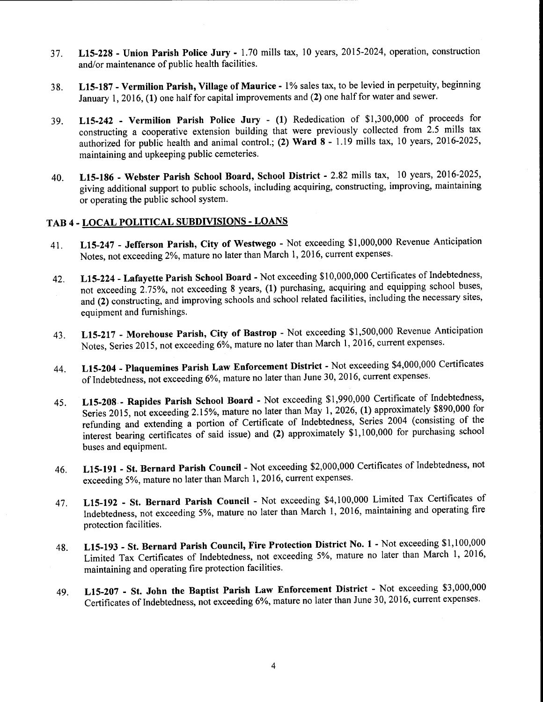- 37. LlS-228 Union Parish Police Jury 1.70 mills tax, 10 years, 2015-2024, operation, construction and/or maintenance of public health facilities.
- 38. LlS-187 Vermilion Parish, Village of Maurice <sup>1</sup>% sales tax, to be levied in perpetuity, beginning January 1, 2016, (1) one half for capital improvements and (2) one half for water and sewer.
- 39. LlS-242 Vermilion Parish Police Jury (1) Rededication of \$1,300,000 of proceeds for constructing a cooperative extension building that were previously collected from 2.5 mills tax authorized for public health and animal control.; (2) Ward 8 - 1.19 mills tax, 10 years, 2016-2025, maintaining and upkeeping public cemeteries.
- 40. LlS-186 Webster Parish School Board, School District 2.82 mills tax, 10 years, 2016-2025, giving additional support to public schools, including acquiring, constructing, improving, maintaining or operating the public school system.

### TAB 4 - LOCAL POLITICAL SUBDIVISIONS - LOANS

- 41. LlS-247 Jefferson Parish, City of Westwego Not exceeding \$1,000,000 Revenue Anticipation Notes, not exceeding 2%, mature no later than March 1, 2016, current expenses.
- 42. L15-224 Lafayette Parish School Board Not exceeding \$10,000,000 Certificates of Indebtedness, not exceeding 2.75%, not exceeding 8 years, (1) purchasing, acquiring and equipping school buses, and (2) constructing, and improving schools and school related facilities, including the necessary sites, equipment and furnishings.
- 43. LlS-217 Morehouse Parish, City of Bastrop Not exceeding \$1,500,000 Revenue Anticipation Notes, Series 2015, not exceeding 6%, mature no later than March 1, 2016, current expenses.
- 44. LlS-204 Plaquemines Parish Law Enforcement District Not exceeding \$4,000,000 Certificates of Indebtedness, not exceeding 6%, mature no later than June 30, 2016, current expenses.
- 45. LlS-208 Rapides Parish School Board Not exceeding \$1,990,000 Certificate of Indebtedness, Series 2015, not exceeding 2.15%, mature no later than May 1, 2026, (1) approximately \$890,000 for refunding and extending a portion of Certificate of Indebtedness, Series 2004 (consisting of the interest bearing certificates of said issue) and (2) approximately \$1, 100,000 for purchasing school buses and equipment.
- 46. LlS-191 St. Bernard Parish Council Not exceeding \$2,000,000 Certificates of Indebtedness, not exceeding 5%, mature no later than March 1, 2016, current expenses.
- 47. LlS-192 St. Bernard Parish Council Not exceeding \$4,100,000 Limited Tax Certificates of Indebtedness, not exceeding 5%, mature no later than March 1, 2016, maintaining and operating fire protection facilities.
- 48. LlS-193 St. Bernard Parish Council, Fire Protection District No. 1 Not exceeding \$1,100,000 Limited Tax Certificates of Indebtedness, not exceeding 5%, mature no later than March 1, 2016, maintaining and operating fire protection facilities.
- 49. LlS-207 St. John the Baptist Parish Law Enforcement District Not exceeding \$3,000,000 Certificates of Indebtedness, not exceeding 6%, mature no later than June 30, 2016, current expenses.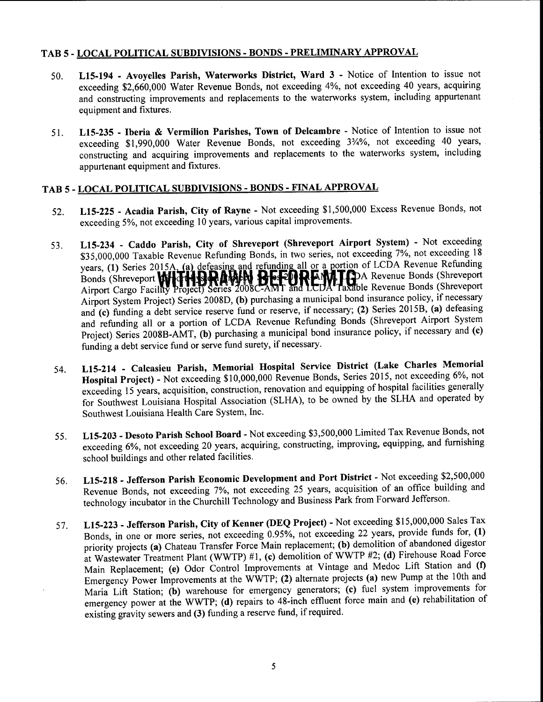#### TAB 5 - LOCAL POLITICAL SUBDIVISIONS - BONDS - PRELIMINARY APPROVAL

- 50. L15-194 Avoyelles Parish, Waterworks District, Ward 3 Notice of Intention to issue not exceeding \$2,660,000 Water Revenue Bonds, not exceeding 4%, not exceeding 40 years, acquiring and constructing improvements and replacements to the waterworks system, including appurtenant equipment and fixtures.
- 51. L15-235 Iberia & Vermilion Parishes, Town of Delcambre Notice of Intention to issue not exceeding \$1,990,000 Water Revenue Bonds, not exceeding 3%%, not exceeding 40 years, constructing and acquiring improvements and replacements to the waterworks system, including appurtenant equipment and fixtures.

## TAB 5 - LOCAL POLITICAL SUBDIVISIONS - BONDS - FINAL APPROVAL

- 52. L15-225 Acadia Parish, City of Rayne Not exceeding \$1,500,000 Excess Revenue Bonds, not exceeding 5%, not exceeding 10 years, various capital improvements.
- 53. L15-234 Caddo Parish, City of Shreveport (Shreveport Airport System) Not exceeding \$35,000,000 Taxable Revenue Refunding Bonds, in two series, not exceeding 7%, not exceeding 18 years, (1) Series 2015A, (a) defeasing and refunding all or a portion of LCDA Revenue Refunding<br>Bonds (Shreveport **WHTHARA AM REFEDREMITE**) A Revenue Bonds (Shreveport Airport Cargo Facility Project) Series  $2008C$ -AMT and LCDA Taxable Revenue Bonds (Shreveport Airport System Project) Series 2008D, (b) purchasing a municipal bond insurance policy, if necessary and (c) funding a debt service reserve fund or reserve, if necessary; (2) Series 2015B, (a) defeasing and refunding all or a portion of LCDA Revenue Refunding Bonds (Shreveport Airport System Project) Series 2008B-AMT, (b) purchasing a municipal bond insurance policy, if necessary and (c) funding a debt service fund or serve fund surety, if necessary.
- 54. L15-214 Calcasieu Parish, Memorial Hospital Service District (Lake Charles Memorial Hospital Project) - Not exceeding \$10,000,000 Revenue Bonds, Series 2015, not exceeding 6%, not exceeding 15 years, acquisition, construction, renovation and equipping of hospital facilities generally for Southwest Louisiana Hospital Association (SLHA), to be owned by the SLHA and operated by Southwest Louisiana Health Care System, Inc.
- 55. L15-203 Desoto Parish School Board Not exceeding \$3,500,000 Limited Tax Revenue Bonds, not exceeding 6%, not exceeding 20 years, acquiring, constructing, improving, equipping, and furnishing school buildings and other related facilities.
- 56. L15-218 Jefferson Parish Economic Development and Port District Not exceeding \$2,500,000 Revenue Bonds, not exceeding 7%, not exceeding 25 years, acquisition of an office building and technology incubator in the Churchill Technology and Business Park from Forward Jefferson.
- 57. L15-223 Jefferson Parish, City of Kenner (DEQ Project) Not exceeding \$15,000,000 Sales Tax Bonds, in one or more series, not exceeding 0.95%, not exceeding 22 years, provide funds for, (1) priority projects (a) Chateau Transfer Force Main replacement; (b) demolition of abandoned digestor at Wastewater Treatment Plant (WWTP) #1, (c) demolition of WWTP #2; (d) Firehouse Road Force Main Replacement; (e) Odor Control Improvements at Vintage and Medoc Lift Station and (t) Emergency Power Improvements at the WWTP; (2) alternate projects (a) new Pump at the 10th and Maria Lift Station; (b) warehouse for emergency generators; (c) fuel system improvements for emergency power at the WWTP; (d) repairs to 48-inch effluent force main and (e) rehabilitation of existing gravity sewers and (3) funding a reserve fund, if required.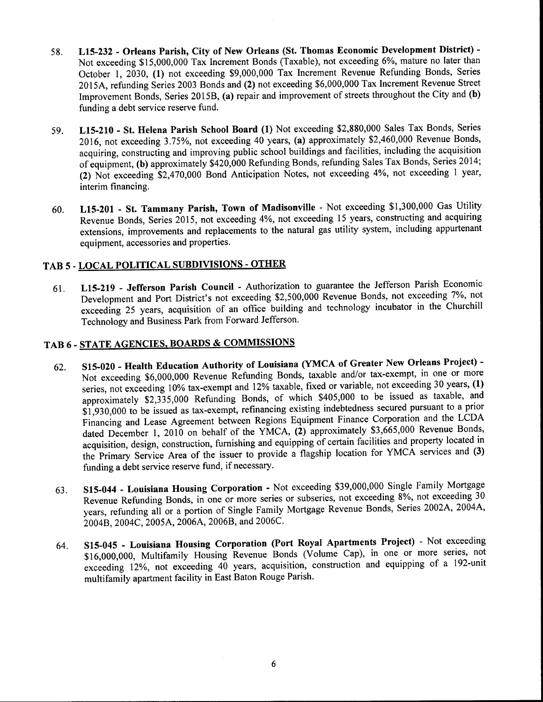- 58. L15-232 Orleans Parish, City of New Orleans (St. Thomas Economic Development District) Not exceeding \$15,000,000 Tax Increment Bonds (Taxable), not exceeding 6%, mature no later than October 1, 2030, (1) not exceeding \$9,000,000 Tax Increment Revenue Refunding Bonds, Series 2015A, refunding Series 2003 Bonds and (2) not exceeding \$6,000,000 Tax Increment Revenue Street Improvement Bonds, Series 2015B, (a) repair and improvement of streets throughout the City and (b) funding a debt service reserve fund.
- 59. L15-210 St. Helena Parish School Board (1) Not exceeding \$2,880,000 Sales Tax Bonds, Series 2016, not exceeding 3.75%, not exceeding 40 years, (a) approximately \$2,460,000 Revenue Bonds, acquiring, constructing and improving public school buildings and facilities, including the acquisition of equipment, (b) approximately \$420,000 Refunding Bonds, refunding Sales Tax Bonds, Series 2014; (2) Not exceeding \$2,470,000 Bond Anticipation Notes, not exceeding 4%, not exceeding 1 year, interim financing.
- 60. L15-201 St. Tammany Parish, Town of Madisonville Not exceeding \$1,300,000 Gas Utility Revenue Bonds, Series 2015, not exceeding 4%, not exceeding <sup>15</sup>years, constructing and acquiring extensions, improvements and replacements to the natural gas utility system, including appurtenant equipment, accessories and properties.

### TAB 5 - LOCAL POLITICAL SUBDIVISIONS - OTHER

61. L15-219 - Jefferson Parish Council - Authorization to guarantee the Jefferson Parish Economic Development and Port District's not exceeding \$2,500,000 Revenue Bonds, not exceeding 7%, not exceeding 25 years, acquisition of an office building and technology incubator in the Churchill Technology and Business Park from Forward Jefferson.

# TAB 6- STATE AGENCIES, BOARDS & COMMISSIONS

- 62. S15-020 Health Education Authority of Louisiana (YMCA of Greater New Orleans Project) Not exceeding \$6,000,000 Revenue Refunding Bonds, taxable and/or tax-exempt, in one or more series, not exceeding 10% tax-exempt and 12% taxable, fixed or variable, not exceeding 30 years, (1) approximately \$2,335,000 Refunding Bonds, of which \$405,000 to be issued as taxable, and \$1,93 0,000 to be issued as tax-exempt, refinancing existing indebtedness secured pursuant to a prior Financing and Lease Agreement between Regions Equipment Finance Corporation and the LCDA dated December 1, 2010 on behalf of the YMCA,  $(2)$  approximately \$3,665,000 Revenue Bonds, acquisition, design, construction, furnishing and equipping of certain facilities and property located in the Primary Service Area of the issuer to provide a flagship location for YMCA services and (3) funding a debt service reserve fund, if necessary.
- 63. S15-044 Louisiana Housing Corporation Not exceeding \$39,000,000 Single Family Mortgage Revenue Refunding Bonds, in one or more series or subseries, not exceeding 8%, not exceeding 30 years, refunding all or a portion of Single Family Mortgage Revenue Bonds, Series 2002A, 2004A, 2004B, 2004C, 2005A, 2006A, 2006B, and 2006C.
- 64. S15-045 Louisiana Housing Corporation (Port Royal Apartments Project) Not exceeding \$16,000,000, Multifamily Housing Revenue Bonds (Volume Cap), in one or more series, not exceeding 12%, not exceeding  $4\overline{0}$  years, acquisition, construction and equipping of a 192-unit multifamily apartment facility in East Baton Rouge Parish.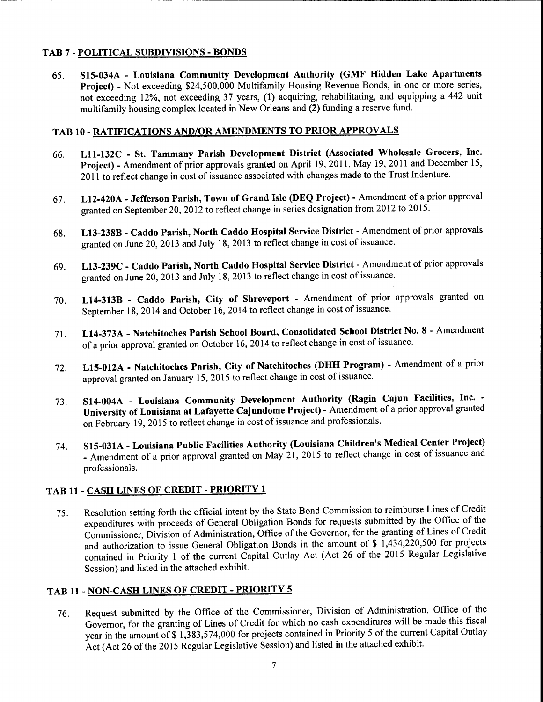### TAB 7-POLITICAL SUBDIVISIONS-BONDS

65. S15-034A - Louisiana Community Development Authority (GMF Hidden Lake Apartments Project) - Not exceeding \$24,500,000 Multifamily Housing Revenue Bonds, in one or more series, not exceeding 12%, not exceeding 37 years, (1) acquiring, rehabilitating, and equipping a 442 unit multifamily housing complex located in New Orleans and (2) funding a reserve fund.

#### TAB 10 - RATIFICATIONS AND/OR AMENDMENTS TO PRIOR APPROVALS

- 66. Lll-132C St. Tammany Parish Development District (Associated Wholesale Grocers, Inc. Project) - Amendment of prior approvals granted on April 19, 2011, May 19, 2011 and December 15, 2011 to reflect change in cost of issuance associated with changes made to the Trust Indenture.
- 67. L12-420A Jefferson Parish, Town of Grand Isle (DEQ Project) Amendment of a prior approval granted on September 20, 2012 to reflect change in series designation from 2012 to 2015.
- 68. L13-238B Caddo Parish, North Caddo Hospital Service District Amendment of prior approvals granted on June 20, 2013 and July 18, 2013 to reflect change in cost of issuance.
- 69. L13-239C Caddo Parish, North Caddo Hospital Service District Amendment of prior approvals granted on June 20, 2013 and July 18, 2013 to reflect change in cost of issuance.
- 70. L14-313B Caddo Parish, City of Shreveport Amendment of prior approvals granted on September 18, 2014 and October 16, 2014 to reflect change in cost of issuance.
- 71. L14-373A Natchitoches Parish School Board, Consolidated School District No. 8 Amendment of a prior approval granted on October 16, 2014 to reflect change in cost of issuance.
- 72. L15-012A Natchitoches Parish, City of Natchitoches (DHH Program) Amendment of a prior approval granted on January 15, 2015 to reflect change in cost of issuance.
- 73. S14-004A Louisiana Community Development Authority (Ragin Cajun Facilities, Inc. University of Louisiana at Lafayette Cajundome Project) - Amendment of a prior approval granted on February 19, 2015 to reflect change in cost of issuance and professionals.
- 74. S15-031A Louisiana Public Facilities Authority (Louisiana Children's Medical Center Project) - Amendment of a prior approval granted on May 21, 2015 to reflect change in cost of issuance and professionals.

### TAB 11 - CASH LINES OF CREDIT - PRIORITY 1

75. Resolution setting forth the official intent by the State Bond Commission to reimburse Lines of Credit expenditures with proceeds of General Obligation Bonds for requests submitted by the Office of the Commissioner, Division of Administration, Office of the Governor, for the granting of Lines of Credit and authorization to issue General Obligation Bonds in the amount of  $\frac{1}{3}$ , 434,220,500 for projects contained in Priority 1 of the current Capital Outlay Act (Act 26 of the 2015 Regular Legislative Session) and listed in the attached exhibit.

#### TAB 11 - NON-CASH LINES OF CREDIT - PRIORITY 5

76. Request submitted by the Office of the Commissioner, Division of Administration, Office of the Governor, for the granting of Lines of Credit for which no cash expenditures will be made this fiscal year in the amount of \$1,383,574,000 for projects contained in Priority 5 of the current Capital Outlay Act (Act 26 of the 2015 Regular Legislative Session) and listed in the attached exhibit.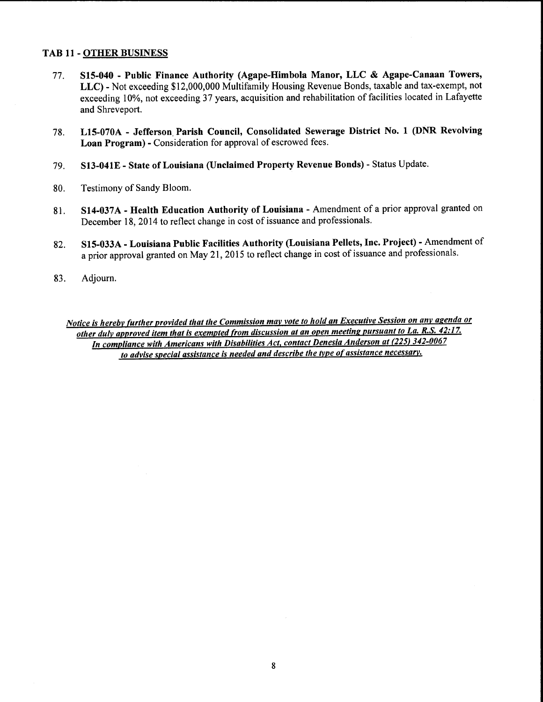#### TAB 11 - OTHER BUSINESS

- 77. S15-040 Public Finance Authority (Agape-Himbola Manor, LLC & Agape-Canaan Towers, LLC) - Not exceeding \$12,000,000 Multifamily Housing Revenue Bonds, taxable and tax-exempt, not exceeding 10%, not exceeding 37 years, acquisition and rehabilitation of facilities located in Lafayette and Shreveport.
- 78. L15-070A Jefferson, Parish Council, Consolidated Sewerage District No. 1 (DNR Revolving Loan Program) - Consideration for approval of escrowed fees.
- 79. S13-041E- State of Louisiana (Unclaimed Property Revenue Bonds) Status Update.
- 80. Testimony of Sandy Bloom.
- 81. S14-037A Health Education Authority of Louisiana Amendment of a prior approval granted on December 18, 2014 to reflect change in cost of issuance and professionals.
- 82. S15-033A Louisiana Public Facilities Authority (Louisiana Pellets, Inc. Project) Amendment of a prior approval granted on May 21, 2015 to reflect change in cost of issuance and professionals.
- 83. Adjourn.

*Notice is herebv further provided that the Commission mav vote to hold an Executive Session on anv agenda or other dulv approved item that is exempted from discussion at an open meeting pursuant to La. R.S. 42:17. In compliance with Americans with Disabilities Act, contact Denesia Anderson at (225) 342-0067 to advise special assistance is needed and describe the tvpe of assistance necessary.*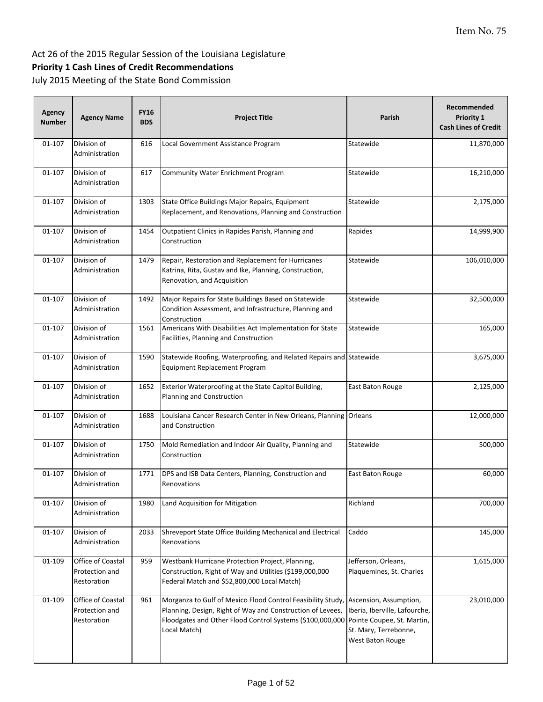## Item No. 75

#### Act 26 of the 2015 Regular Session of the Louisiana Legislature

## **Priority 1 Cash Lines of Credit Recommendations**

| Agency<br><b>Number</b> | <b>Agency Name</b>                                 | <b>FY16</b><br><b>BDS</b> | <b>Project Title</b>                                                                                                                                                                                                          | Parish                                                                                                   | Recommended<br>Priority 1<br><b>Cash Lines of Credit</b> |
|-------------------------|----------------------------------------------------|---------------------------|-------------------------------------------------------------------------------------------------------------------------------------------------------------------------------------------------------------------------------|----------------------------------------------------------------------------------------------------------|----------------------------------------------------------|
| 01-107                  | Division of<br>Administration                      | 616                       | Local Government Assistance Program                                                                                                                                                                                           | Statewide                                                                                                | 11,870,000                                               |
| 01-107                  | Division of<br>Administration                      | 617                       | <b>Community Water Enrichment Program</b>                                                                                                                                                                                     | Statewide                                                                                                | 16,210,000                                               |
| 01-107                  | Division of<br>Administration                      | 1303                      | State Office Buildings Major Repairs, Equipment<br>Replacement, and Renovations, Planning and Construction                                                                                                                    | Statewide                                                                                                | 2,175,000                                                |
| 01-107                  | Division of<br>Administration                      | 1454                      | Outpatient Clinics in Rapides Parish, Planning and<br>Construction                                                                                                                                                            | Rapides                                                                                                  | 14,999,900                                               |
| 01-107                  | Division of<br>Administration                      | 1479                      | Repair, Restoration and Replacement for Hurricanes<br>Katrina, Rita, Gustav and Ike, Planning, Construction,<br>Renovation, and Acquisition                                                                                   | Statewide                                                                                                | 106,010,000                                              |
| 01-107                  | Division of<br>Administration                      | 1492                      | Major Repairs for State Buildings Based on Statewide<br>Condition Assessment, and Infrastructure, Planning and<br>Construction                                                                                                | Statewide                                                                                                | 32,500,000                                               |
| 01-107                  | Division of<br>Administration                      | 1561                      | Americans With Disabilities Act Implementation for State<br>Facilities, Planning and Construction                                                                                                                             | Statewide                                                                                                | 165,000                                                  |
| 01-107                  | Division of<br>Administration                      | 1590                      | Statewide Roofing, Waterproofing, and Related Repairs and Statewide<br>Equipment Replacement Program                                                                                                                          |                                                                                                          | 3,675,000                                                |
| 01-107                  | Division of<br>Administration                      | 1652                      | Exterior Waterproofing at the State Capitol Building,<br>Planning and Construction                                                                                                                                            | East Baton Rouge                                                                                         | 2,125,000                                                |
| 01-107                  | Division of<br>Administration                      | 1688                      | Louisiana Cancer Research Center in New Orleans, Planning Orleans<br>and Construction                                                                                                                                         |                                                                                                          | 12,000,000                                               |
| 01-107                  | Division of<br>Administration                      | 1750                      | Mold Remediation and Indoor Air Quality, Planning and<br>Construction                                                                                                                                                         | Statewide                                                                                                | 500,000                                                  |
| 01-107                  | Division of<br>Administration                      | 1771                      | DPS and ISB Data Centers, Planning, Construction and<br>Renovations                                                                                                                                                           | East Baton Rouge                                                                                         | 60,000                                                   |
| $01 - 107$              | Division of<br>Administration                      | 1980                      | Land Acquisition for Mitigation                                                                                                                                                                                               | Richland                                                                                                 | 700,000                                                  |
| $01 - 107$              | Division of<br>Administration                      | 2033                      | Shreveport State Office Building Mechanical and Electrical<br>Renovations                                                                                                                                                     | Caddo                                                                                                    | 145,000                                                  |
| 01-109                  | Office of Coastal<br>Protection and<br>Restoration | 959                       | Westbank Hurricane Protection Project, Planning,<br>Construction, Right of Way and Utilities (\$199,000,000<br>Federal Match and \$52,800,000 Local Match)                                                                    | Jefferson, Orleans,<br>Plaquemines, St. Charles                                                          | 1,615,000                                                |
| 01-109                  | Office of Coastal<br>Protection and<br>Restoration | 961                       | Morganza to Gulf of Mexico Flood Control Feasibility Study, Ascension, Assumption,<br>Planning, Design, Right of Way and Construction of Levees,<br>Floodgates and Other Flood Control Systems (\$100,000,000<br>Local Match) | Iberia, Iberville, Lafourche,<br>Pointe Coupee, St. Martin,<br>St. Mary, Terrebonne,<br>West Baton Rouge | 23,010,000                                               |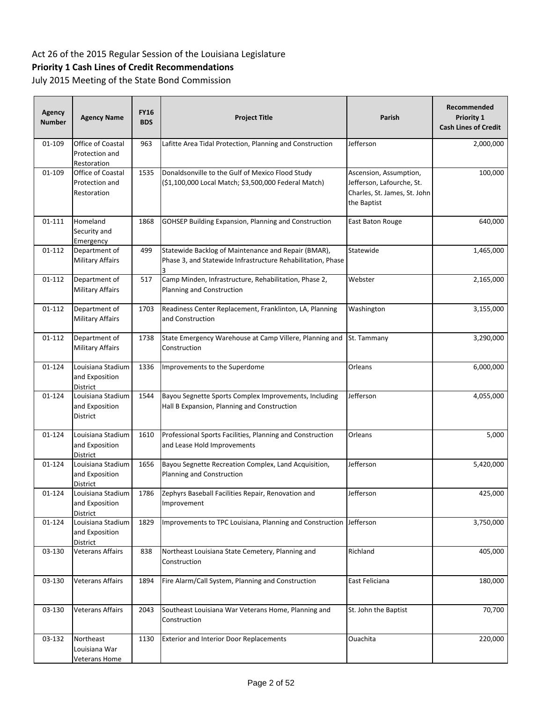## **Priority 1 Cash Lines of Credit Recommendations**

| Agency<br><b>Number</b> | <b>Agency Name</b>                                     | <b>FY16</b><br><b>BDS</b> | <b>Project Title</b>                                                                                               | <b>Parish</b>                                                                                      | Recommended<br>Priority 1<br><b>Cash Lines of Credit</b> |
|-------------------------|--------------------------------------------------------|---------------------------|--------------------------------------------------------------------------------------------------------------------|----------------------------------------------------------------------------------------------------|----------------------------------------------------------|
| 01-109                  | Office of Coastal<br>Protection and<br>Restoration     | 963                       | Lafitte Area Tidal Protection, Planning and Construction                                                           | Jefferson                                                                                          | 2,000,000                                                |
| 01-109                  | Office of Coastal<br>Protection and<br>Restoration     | 1535                      | Donaldsonville to the Gulf of Mexico Flood Study<br>(\$1,100,000 Local Match; \$3,500,000 Federal Match)           | Ascension, Assumption,<br>Jefferson, Lafourche, St.<br>Charles, St. James, St. John<br>the Baptist | 100,000                                                  |
| $01 - 111$              | Homeland<br>Security and<br>Emergency                  | 1868                      | GOHSEP Building Expansion, Planning and Construction                                                               | East Baton Rouge                                                                                   | 640,000                                                  |
| 01-112                  | Department of<br><b>Military Affairs</b>               | 499                       | Statewide Backlog of Maintenance and Repair (BMAR),<br>Phase 3, and Statewide Infrastructure Rehabilitation, Phase | Statewide                                                                                          | 1,465,000                                                |
| 01-112                  | Department of<br><b>Military Affairs</b>               | 517                       | Camp Minden, Infrastructure, Rehabilitation, Phase 2,<br>Planning and Construction                                 | Webster                                                                                            | 2,165,000                                                |
| 01-112                  | Department of<br>Military Affairs                      | 1703                      | Readiness Center Replacement, Franklinton, LA, Planning<br>and Construction                                        | Washington                                                                                         | 3,155,000                                                |
| 01-112                  | Department of<br><b>Military Affairs</b>               | 1738                      | State Emergency Warehouse at Camp Villere, Planning and<br>Construction                                            | St. Tammany                                                                                        | 3,290,000                                                |
| 01-124                  | Louisiana Stadium<br>and Exposition<br>District        | 1336                      | Improvements to the Superdome                                                                                      | Orleans                                                                                            | 6,000,000                                                |
| 01-124                  | Louisiana Stadium<br>and Exposition<br>District        | 1544                      | Bayou Segnette Sports Complex Improvements, Including<br>Hall B Expansion, Planning and Construction               | Jefferson                                                                                          | 4,055,000                                                |
| 01-124                  | Louisiana Stadium<br>and Exposition<br>District        | 1610                      | Professional Sports Facilities, Planning and Construction<br>and Lease Hold Improvements                           | Orleans                                                                                            | 5,000                                                    |
| 01-124                  | Louisiana Stadium<br>and Exposition<br>District        | 1656                      | Bayou Segnette Recreation Complex, Land Acquisition,<br>Planning and Construction                                  | Jefferson                                                                                          | 5,420,000                                                |
| 01-124                  | Louisiana Stadium<br>and Exposition<br>District        | 1786                      | Zephyrs Baseball Facilities Repair, Renovation and<br>Improvement                                                  | Jefferson                                                                                          | 425,000                                                  |
| 01-124                  | Louisiana Stadium<br>and Exposition<br><b>District</b> | 1829                      | Improvements to TPC Louisiana, Planning and Construction Jefferson                                                 |                                                                                                    | 3,750,000                                                |
| 03-130                  | Veterans Affairs                                       | 838                       | Northeast Louisiana State Cemetery, Planning and<br>Construction                                                   | Richland                                                                                           | 405,000                                                  |
| 03-130                  | Veterans Affairs                                       | 1894                      | Fire Alarm/Call System, Planning and Construction                                                                  | East Feliciana                                                                                     | 180,000                                                  |
| 03-130                  | Veterans Affairs                                       | 2043                      | Southeast Louisiana War Veterans Home, Planning and<br>Construction                                                | St. John the Baptist                                                                               | 70,700                                                   |
| 03-132                  | Northeast<br>Louisiana War<br>Veterans Home            | 1130                      | <b>Exterior and Interior Door Replacements</b>                                                                     | Ouachita                                                                                           | 220,000                                                  |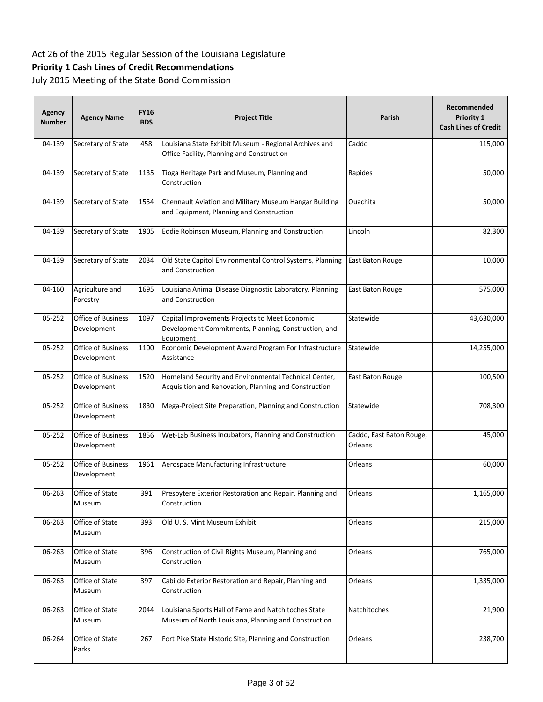## **Priority 1 Cash Lines of Credit Recommendations**

| Agency<br><b>Number</b> | <b>Agency Name</b>                       | <b>FY16</b><br><b>BDS</b> | <b>Project Title</b>                                                                                                | Parish                              | Recommended<br><b>Priority 1</b><br><b>Cash Lines of Credit</b> |
|-------------------------|------------------------------------------|---------------------------|---------------------------------------------------------------------------------------------------------------------|-------------------------------------|-----------------------------------------------------------------|
| 04-139                  | Secretary of State                       | 458                       | Louisiana State Exhibit Museum - Regional Archives and<br>Office Facility, Planning and Construction                | Caddo                               | 115,000                                                         |
| 04-139                  | Secretary of State                       | 1135                      | Tioga Heritage Park and Museum, Planning and<br>Construction                                                        | Rapides                             | 50,000                                                          |
| 04-139                  | Secretary of State                       | 1554                      | Chennault Aviation and Military Museum Hangar Building<br>and Equipment, Planning and Construction                  | Ouachita                            | 50,000                                                          |
| 04-139                  | Secretary of State                       | 1905                      | Eddie Robinson Museum, Planning and Construction                                                                    | Lincoln                             | 82,300                                                          |
| 04-139                  | Secretary of State                       | 2034                      | Old State Capitol Environmental Control Systems, Planning<br>and Construction                                       | East Baton Rouge                    | 10,000                                                          |
| 04-160                  | Agriculture and<br>Forestry              | 1695                      | Louisiana Animal Disease Diagnostic Laboratory, Planning<br>and Construction                                        | East Baton Rouge                    | 575,000                                                         |
| 05-252                  | <b>Office of Business</b><br>Development | 1097                      | Capital Improvements Projects to Meet Economic<br>Development Commitments, Planning, Construction, and<br>Equipment | Statewide                           | 43,630,000                                                      |
| 05-252                  | Office of Business<br>Development        | 1100                      | Economic Development Award Program For Infrastructure<br>Assistance                                                 | Statewide                           | 14,255,000                                                      |
| 05-252                  | <b>Office of Business</b><br>Development | 1520                      | Homeland Security and Environmental Technical Center,<br>Acquisition and Renovation, Planning and Construction      | East Baton Rouge                    | 100,500                                                         |
| 05-252                  | <b>Office of Business</b><br>Development | 1830                      | Mega-Project Site Preparation, Planning and Construction                                                            | Statewide                           | 708,300                                                         |
| 05-252                  | <b>Office of Business</b><br>Development | 1856                      | Wet-Lab Business Incubators, Planning and Construction                                                              | Caddo, East Baton Rouge,<br>Orleans | 45,000                                                          |
| 05-252                  | <b>Office of Business</b><br>Development | 1961                      | Aerospace Manufacturing Infrastructure                                                                              | Orleans                             | 60,000                                                          |
| 06-263                  | Office of State<br>Museum                | 391                       | Presbytere Exterior Restoration and Repair, Planning and<br>Construction                                            | Orleans                             | 1,165,000                                                       |
| 06-263                  | Office of State<br>Museum                | 393                       | Old U.S. Mint Museum Exhibit                                                                                        | Orleans                             | 215,000                                                         |
| 06-263                  | Office of State<br>Museum                | 396                       | Construction of Civil Rights Museum, Planning and<br>Construction                                                   | Orleans                             | 765,000                                                         |
| 06-263                  | Office of State<br>Museum                | 397                       | Cabildo Exterior Restoration and Repair, Planning and<br>Construction                                               | Orleans                             | 1,335,000                                                       |
| 06-263                  | Office of State<br>Museum                | 2044                      | Louisiana Sports Hall of Fame and Natchitoches State<br>Museum of North Louisiana, Planning and Construction        | Natchitoches                        | 21,900                                                          |
| 06-264                  | Office of State<br>Parks                 | 267                       | Fort Pike State Historic Site, Planning and Construction                                                            | Orleans                             | 238,700                                                         |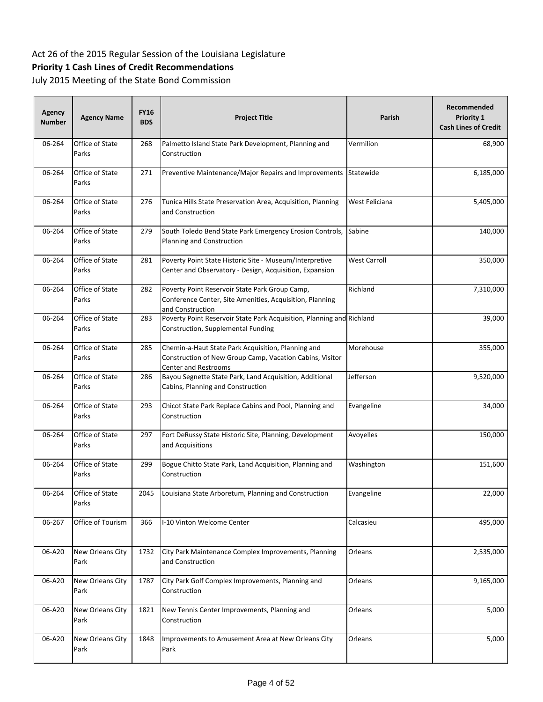## **Priority 1 Cash Lines of Credit Recommendations**

| <b>Agency</b><br><b>Number</b> | <b>Agency Name</b>       | <b>FY16</b><br><b>BDS</b> | <b>Project Title</b>                                                                                                                   | Parish              | Recommended<br>Priority 1<br><b>Cash Lines of Credit</b> |
|--------------------------------|--------------------------|---------------------------|----------------------------------------------------------------------------------------------------------------------------------------|---------------------|----------------------------------------------------------|
| 06-264                         | Office of State<br>Parks | 268                       | Palmetto Island State Park Development, Planning and<br>Construction                                                                   | Vermilion           | 68,900                                                   |
| 06-264                         | Office of State<br>Parks | 271                       | Preventive Maintenance/Major Repairs and Improvements                                                                                  | Statewide           | 6,185,000                                                |
| 06-264                         | Office of State<br>Parks | 276                       | Tunica Hills State Preservation Area, Acquisition, Planning<br>and Construction                                                        | West Feliciana      | 5,405,000                                                |
| 06-264                         | Office of State<br>Parks | 279                       | South Toledo Bend State Park Emergency Erosion Controls,<br>Planning and Construction                                                  | Sabine              | 140,000                                                  |
| 06-264                         | Office of State<br>Parks | 281                       | Poverty Point State Historic Site - Museum/Interpretive<br>Center and Observatory - Design, Acquisition, Expansion                     | <b>West Carroll</b> | 350,000                                                  |
| 06-264                         | Office of State<br>Parks | 282                       | Poverty Point Reservoir State Park Group Camp,<br>Conference Center, Site Amenities, Acquisition, Planning<br>and Construction         | Richland            | 7,310,000                                                |
| 06-264                         | Office of State<br>Parks | 283                       | Poverty Point Reservoir State Park Acquisition, Planning and Richland<br>Construction, Supplemental Funding                            |                     | 39,000                                                   |
| 06-264                         | Office of State<br>Parks | 285                       | Chemin-a-Haut State Park Acquisition, Planning and<br>Construction of New Group Camp, Vacation Cabins, Visitor<br>Center and Restrooms | Morehouse           | 355,000                                                  |
| 06-264                         | Office of State<br>Parks | 286                       | Bayou Segnette State Park, Land Acquisition, Additional<br>Cabins, Planning and Construction                                           | Jefferson           | 9,520,000                                                |
| 06-264                         | Office of State<br>Parks | 293                       | Chicot State Park Replace Cabins and Pool, Planning and<br>Construction                                                                | Evangeline          | 34,000                                                   |
| 06-264                         | Office of State<br>Parks | 297                       | Fort DeRussy State Historic Site, Planning, Development<br>and Acquisitions                                                            | Avoyelles           | 150,000                                                  |
| 06-264                         | Office of State<br>Parks | 299                       | Bogue Chitto State Park, Land Acquisition, Planning and<br>Construction                                                                | Washington          | 151,600                                                  |
| 06-264                         | Office of State<br>Parks | 2045                      | Louisiana State Arboretum, Planning and Construction                                                                                   | Evangeline          | 22,000                                                   |
| 06-267                         | Office of Tourism        | 366                       | I-10 Vinton Welcome Center                                                                                                             | Calcasieu           | 495,000                                                  |
| 06-A20                         | New Orleans City<br>Park | 1732                      | City Park Maintenance Complex Improvements, Planning<br>and Construction                                                               | Orleans             | 2,535,000                                                |
| 06-A20                         | New Orleans City<br>Park | 1787                      | City Park Golf Complex Improvements, Planning and<br>Construction                                                                      | Orleans             | 9,165,000                                                |
| 06-A20                         | New Orleans City<br>Park | 1821                      | New Tennis Center Improvements, Planning and<br>Construction                                                                           | Orleans             | 5,000                                                    |
| 06-A20                         | New Orleans City<br>Park | 1848                      | Improvements to Amusement Area at New Orleans City<br>Park                                                                             | Orleans             | 5,000                                                    |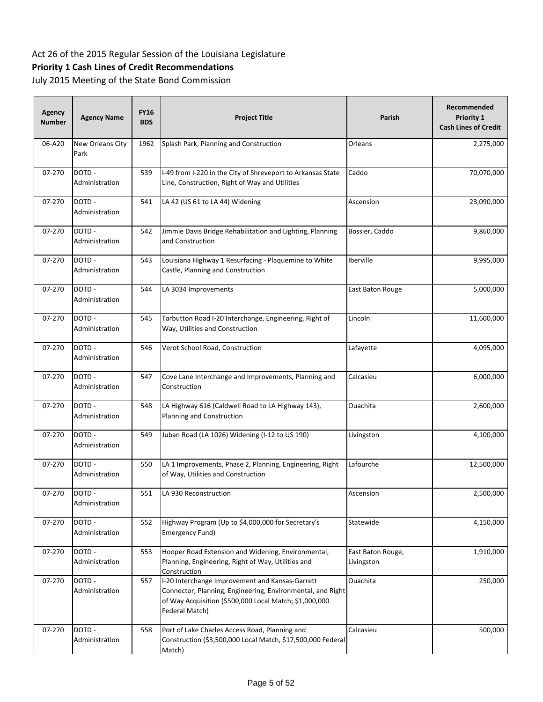## **Priority 1 Cash Lines of Credit Recommendations**

| Agency<br><b>Number</b> | <b>Agency Name</b>       | <b>FY16</b><br><b>BDS</b> | <b>Project Title</b>                                                                                                                                                                      | Parish                          | Recommended<br>Priority 1<br><b>Cash Lines of Credit</b> |
|-------------------------|--------------------------|---------------------------|-------------------------------------------------------------------------------------------------------------------------------------------------------------------------------------------|---------------------------------|----------------------------------------------------------|
| 06-A20                  | New Orleans City<br>Park | 1962                      | Splash Park, Planning and Construction                                                                                                                                                    | Orleans                         | 2,275,000                                                |
| 07-270                  | DOTD-<br>Administration  | 539                       | I-49 from I-220 in the City of Shreveport to Arkansas State<br>Line, Construction, Right of Way and Utilities                                                                             | Caddo                           | 70,070,000                                               |
| 07-270                  | DOTD-<br>Administration  | 541                       | LA 42 (US 61 to LA 44) Widening                                                                                                                                                           | Ascension                       | 23,090,000                                               |
| 07-270                  | DOTD-<br>Administration  | 542                       | Jimmie Davis Bridge Rehabilitation and Lighting, Planning<br>and Construction                                                                                                             | Bossier, Caddo                  | 9,860,000                                                |
| 07-270                  | DOTD-<br>Administration  | 543                       | Louisiana Highway 1 Resurfacing - Plaquemine to White<br>Castle, Planning and Construction                                                                                                | Iberville                       | 9,995,000                                                |
| 07-270                  | DOTD-<br>Administration  | 544                       | LA 3034 Improvements                                                                                                                                                                      | East Baton Rouge                | 5,000,000                                                |
| 07-270                  | DOTD-<br>Administration  | 545                       | Tarbutton Road I-20 Interchange, Engineering, Right of<br>Way, Utilities and Construction                                                                                                 | Lincoln                         | 11,600,000                                               |
| 07-270                  | DOTD-<br>Administration  | 546                       | Verot School Road, Construction                                                                                                                                                           | Lafayette                       | 4,095,000                                                |
| 07-270                  | DOTD-<br>Administration  | 547                       | Cove Lane Interchange and Improvements, Planning and<br>Construction                                                                                                                      | Calcasieu                       | 6,000,000                                                |
| 07-270                  | DOTD-<br>Administration  | 548                       | LA Highway 616 (Caldwell Road to LA Highway 143),<br>Planning and Construction                                                                                                            | Ouachita                        | 2,600,000                                                |
| 07-270                  | DOTD-<br>Administration  | 549                       | Juban Road (LA 1026) Widening (I-12 to US 190)                                                                                                                                            | Livingston                      | 4,100,000                                                |
| 07-270                  | DOTD-<br>Administration  | 550                       | LA 1 Improvements, Phase 2, Planning, Engineering, Right<br>of Way, Utilities and Construction                                                                                            | Lafourche                       | 12,500,000                                               |
| 07-270                  | DOTD-<br>Administration  | 551                       | LA 930 Reconstruction                                                                                                                                                                     | Ascension                       | 2,500,000                                                |
| 07-270                  | DOTD-<br>Administration  | 552                       | Highway Program (Up to \$4,000,000 for Secretary's<br>Emergency Fund)                                                                                                                     | Statewide                       | 4,150,000                                                |
| 07-270                  | DOTD-<br>Administration  | 553                       | Hooper Road Extension and Widening, Environmental,<br>Planning, Engineering, Right of Way, Utilities and<br>Construction                                                                  | East Baton Rouge,<br>Livingston | 1,910,000                                                |
| 07-270                  | DOTD-<br>Administration  | 557                       | I-20 Interchange Improvement and Kansas-Garrett<br>Connector, Planning, Engineering, Environmental, and Right<br>of Way Acquisition (\$500,000 Local Match; \$1,000,000<br>Federal Match) | Ouachita                        | 250,000                                                  |
| 07-270                  | DOTD -<br>Administration | 558                       | Port of Lake Charles Access Road, Planning and<br>Construction (\$3,500,000 Local Match, \$17,500,000 Federal<br>Match)                                                                   | Calcasieu                       | 500,000                                                  |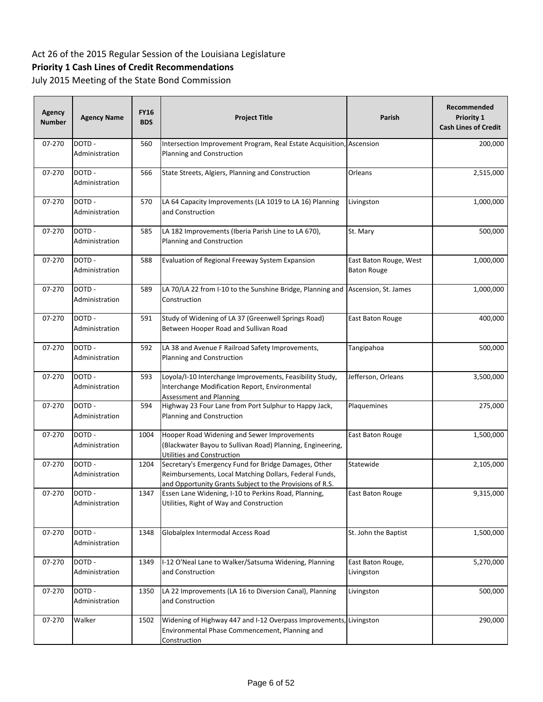## **Priority 1 Cash Lines of Credit Recommendations**

| Agency<br><b>Number</b> | <b>Agency Name</b>       | <b>FY16</b><br><b>BDS</b> | <b>Project Title</b>                                                                                                                                                       | Parish                                       | Recommended<br>Priority 1<br><b>Cash Lines of Credit</b> |
|-------------------------|--------------------------|---------------------------|----------------------------------------------------------------------------------------------------------------------------------------------------------------------------|----------------------------------------------|----------------------------------------------------------|
| 07-270                  | DOTD-<br>Administration  | 560                       | Intersection Improvement Program, Real Estate Acquisition, Ascension<br>Planning and Construction                                                                          |                                              | 200,000                                                  |
| 07-270                  | DOTD-<br>Administration  | 566                       | State Streets, Algiers, Planning and Construction                                                                                                                          | Orleans                                      | 2,515,000                                                |
| 07-270                  | DOTD -<br>Administration | 570                       | LA 64 Capacity Improvements (LA 1019 to LA 16) Planning<br>and Construction                                                                                                | Livingston                                   | 1,000,000                                                |
| 07-270                  | DOTD-<br>Administration  | 585                       | LA 182 Improvements (Iberia Parish Line to LA 670),<br>Planning and Construction                                                                                           | St. Mary                                     | 500,000                                                  |
| 07-270                  | DOTD -<br>Administration | 588                       | Evaluation of Regional Freeway System Expansion                                                                                                                            | East Baton Rouge, West<br><b>Baton Rouge</b> | 1,000,000                                                |
| 07-270                  | DOTD -<br>Administration | 589                       | LA 70/LA 22 from I-10 to the Sunshine Bridge, Planning and<br>Construction                                                                                                 | Ascension, St. James                         | 1,000,000                                                |
| 07-270                  | DOTD-<br>Administration  | 591                       | Study of Widening of LA 37 (Greenwell Springs Road)<br>Between Hooper Road and Sullivan Road                                                                               | East Baton Rouge                             | 400,000                                                  |
| 07-270                  | DOTD-<br>Administration  | 592                       | LA 38 and Avenue F Railroad Safety Improvements,<br>Planning and Construction                                                                                              | Tangipahoa                                   | 500,000                                                  |
| 07-270                  | DOTD -<br>Administration | 593                       | Loyola/I-10 Interchange Improvements, Feasibility Study,<br>Interchange Modification Report, Environmental<br><b>Assessment and Planning</b>                               | Jefferson, Orleans                           | 3,500,000                                                |
| 07-270                  | DOTD-<br>Administration  | 594                       | Highway 23 Four Lane from Port Sulphur to Happy Jack,<br>Planning and Construction                                                                                         | Plaquemines                                  | 275,000                                                  |
| 07-270                  | DOTD-<br>Administration  | 1004                      | Hooper Road Widening and Sewer Improvements<br>(Blackwater Bayou to Sullivan Road) Planning, Engineering,<br><b>Utilities and Construction</b>                             | East Baton Rouge                             | 1,500,000                                                |
| 07-270                  | DOTD-<br>Administration  | 1204                      | Secretary's Emergency Fund for Bridge Damages, Other<br>Reimbursements, Local Matching Dollars, Federal Funds,<br>and Opportunity Grants Subject to the Provisions of R.S. | Statewide                                    | 2,105,000                                                |
| 07-270                  | DOTD-<br>Administration  | 1347                      | Essen Lane Widening, I-10 to Perkins Road, Planning,<br>Utilities, Right of Way and Construction                                                                           | East Baton Rouge                             | 9,315,000                                                |
| 07-270                  | DOTD-<br>Administration  | 1348                      | Globalplex Intermodal Access Road                                                                                                                                          | St. John the Baptist                         | 1,500,000                                                |
| 07-270                  | DOTD-<br>Administration  | 1349                      | I-12 O'Neal Lane to Walker/Satsuma Widening, Planning<br>and Construction                                                                                                  | East Baton Rouge,<br>Livingston              | 5,270,000                                                |
| 07-270                  | DOTD-<br>Administration  | 1350                      | LA 22 Improvements (LA 16 to Diversion Canal), Planning<br>and Construction                                                                                                | Livingston                                   | 500,000                                                  |
| 07-270                  | Walker                   | 1502                      | Widening of Highway 447 and I-12 Overpass Improvements, Livingston<br>Environmental Phase Commencement, Planning and<br>Construction                                       |                                              | 290,000                                                  |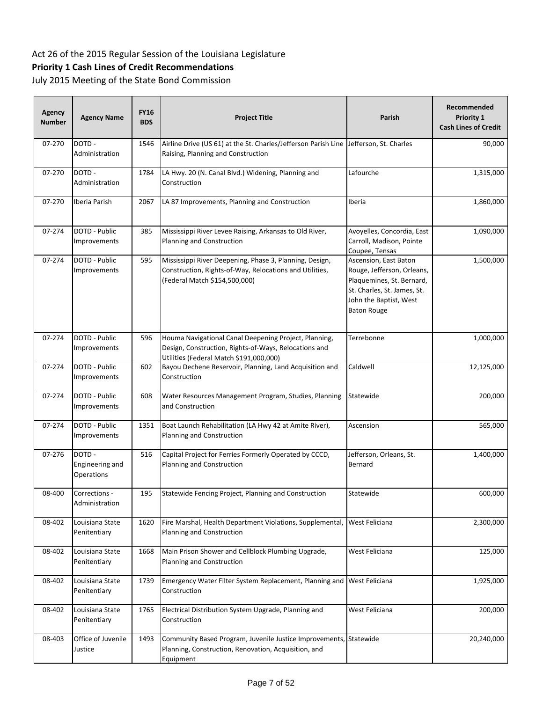## **Priority 1 Cash Lines of Credit Recommendations**

| Agency<br><b>Number</b> | <b>Agency Name</b>                             | <b>FY16</b><br><b>BDS</b> | <b>Project Title</b>                                                                                                                                      | Parish                                                                                                                                                          | Recommended<br>Priority 1<br><b>Cash Lines of Credit</b> |
|-------------------------|------------------------------------------------|---------------------------|-----------------------------------------------------------------------------------------------------------------------------------------------------------|-----------------------------------------------------------------------------------------------------------------------------------------------------------------|----------------------------------------------------------|
| 07-270                  | DOTD-<br>Administration                        | 1546                      | Airline Drive (US 61) at the St. Charles/Jefferson Parish Line Jefferson, St. Charles<br>Raising, Planning and Construction                               |                                                                                                                                                                 | 90,000                                                   |
| 07-270                  | DOTD-<br>Administration                        | 1784                      | LA Hwy. 20 (N. Canal Blvd.) Widening, Planning and<br>Construction                                                                                        | Lafourche                                                                                                                                                       | 1,315,000                                                |
| 07-270                  | Iberia Parish                                  | 2067                      | LA 87 Improvements, Planning and Construction                                                                                                             | Iberia                                                                                                                                                          | 1,860,000                                                |
| 07-274                  | DOTD - Public<br>Improvements                  | 385                       | Mississippi River Levee Raising, Arkansas to Old River,<br>Planning and Construction                                                                      | Avoyelles, Concordia, East<br>Carroll, Madison, Pointe<br>Coupee, Tensas                                                                                        | 1,090,000                                                |
| 07-274                  | DOTD - Public<br>Improvements                  | 595                       | Mississippi River Deepening, Phase 3, Planning, Design,<br>Construction, Rights-of-Way, Relocations and Utilities,<br>(Federal Match \$154,500,000)       | Ascension, East Baton<br>Rouge, Jefferson, Orleans,<br>Plaquemines, St. Bernard,<br>St. Charles, St. James, St.<br>John the Baptist, West<br><b>Baton Rouge</b> | 1,500,000                                                |
| 07-274                  | DOTD - Public<br>Improvements                  | 596                       | Houma Navigational Canal Deepening Project, Planning,<br>Design, Construction, Rights-of-Ways, Relocations and<br>Utilities (Federal Match \$191,000,000) | Terrebonne                                                                                                                                                      | 1,000,000                                                |
| 07-274                  | DOTD - Public<br>Improvements                  | 602                       | Bayou Dechene Reservoir, Planning, Land Acquisition and<br>Construction                                                                                   | Caldwell                                                                                                                                                        | 12,125,000                                               |
| 07-274                  | DOTD - Public<br>Improvements                  | 608                       | Water Resources Management Program, Studies, Planning<br>and Construction                                                                                 | Statewide                                                                                                                                                       | 200,000                                                  |
| 07-274                  | DOTD - Public<br>Improvements                  | 1351                      | Boat Launch Rehabilitation (LA Hwy 42 at Amite River),<br>Planning and Construction                                                                       | Ascension                                                                                                                                                       | 565,000                                                  |
| 07-276                  | DOTD -<br>Engineering and<br><b>Operations</b> | 516                       | Capital Project for Ferries Formerly Operated by CCCD,<br>Planning and Construction                                                                       | Jefferson, Orleans, St.<br>Bernard                                                                                                                              | 1,400,000                                                |
| 08-400                  | Corrections -<br>Administration                | 195                       | Statewide Fencing Project, Planning and Construction                                                                                                      | Statewide                                                                                                                                                       | 600,000                                                  |
| 08-402                  | Louisiana State<br>Penitentiary                | 1620                      | Fire Marshal, Health Department Violations, Supplemental,<br>Planning and Construction                                                                    | West Feliciana                                                                                                                                                  | 2,300,000                                                |
| 08-402                  | Louisiana State<br>Penitentiary                | 1668                      | Main Prison Shower and Cellblock Plumbing Upgrade,<br>Planning and Construction                                                                           | West Feliciana                                                                                                                                                  | 125,000                                                  |
| 08-402                  | Louisiana State<br>Penitentiary                | 1739                      | Emergency Water Filter System Replacement, Planning and West Feliciana<br>Construction                                                                    |                                                                                                                                                                 | 1,925,000                                                |
| 08-402                  | Louisiana State<br>Penitentiary                | 1765                      | Electrical Distribution System Upgrade, Planning and<br>Construction                                                                                      | West Feliciana                                                                                                                                                  | 200,000                                                  |
| 08-403                  | Office of Juvenile<br>Justice                  | 1493                      | Community Based Program, Juvenile Justice Improvements, Statewide<br>Planning, Construction, Renovation, Acquisition, and<br>Equipment                    |                                                                                                                                                                 | 20,240,000                                               |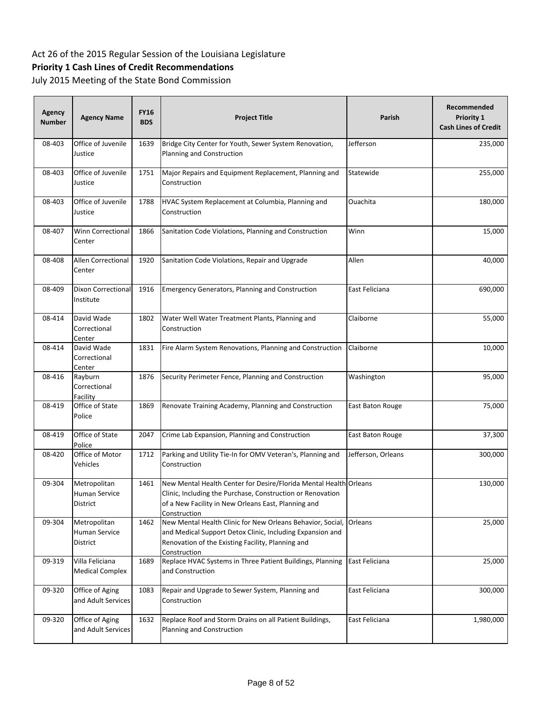## **Priority 1 Cash Lines of Credit Recommendations**

| <b>Agency</b><br><b>Number</b> | <b>Agency Name</b>                        | <b>FY16</b><br><b>BDS</b> | <b>Project Title</b>                                                                                                                                                                                   | Parish             | Recommended<br><b>Priority 1</b><br><b>Cash Lines of Credit</b> |
|--------------------------------|-------------------------------------------|---------------------------|--------------------------------------------------------------------------------------------------------------------------------------------------------------------------------------------------------|--------------------|-----------------------------------------------------------------|
| 08-403                         | Office of Juvenile<br>Justice             | 1639                      | Bridge City Center for Youth, Sewer System Renovation,<br>Planning and Construction                                                                                                                    | Jefferson          | 235,000                                                         |
| 08-403                         | Office of Juvenile<br>Justice             | 1751                      | Major Repairs and Equipment Replacement, Planning and<br>Construction                                                                                                                                  | Statewide          | 255,000                                                         |
| 08-403                         | Office of Juvenile<br>Justice             | 1788                      | HVAC System Replacement at Columbia, Planning and<br>Construction                                                                                                                                      | Ouachita           | 180,000                                                         |
| 08-407                         | Winn Correctional<br>Center               | 1866                      | Sanitation Code Violations, Planning and Construction                                                                                                                                                  | Winn               | 15,000                                                          |
| 08-408                         | <b>Allen Correctional</b><br>Center       | 1920                      | Sanitation Code Violations, Repair and Upgrade                                                                                                                                                         | Allen              | 40,000                                                          |
| 08-409                         | Dixon Correctional<br>Institute           | 1916                      | <b>Emergency Generators, Planning and Construction</b>                                                                                                                                                 | East Feliciana     | 690,000                                                         |
| 08-414                         | David Wade<br>Correctional<br>Center      | 1802                      | Water Well Water Treatment Plants, Planning and<br>Construction                                                                                                                                        | Claiborne          | 55,000                                                          |
| 08-414                         | David Wade<br>Correctional<br>Center      | 1831                      | Fire Alarm System Renovations, Planning and Construction                                                                                                                                               | Claiborne          | 10,000                                                          |
| 08-416                         | Rayburn<br>Correctional<br>Facility       | 1876                      | Security Perimeter Fence, Planning and Construction                                                                                                                                                    | Washington         | 95,000                                                          |
| 08-419                         | Office of State<br>Police                 | 1869                      | Renovate Training Academy, Planning and Construction                                                                                                                                                   | East Baton Rouge   | 75,000                                                          |
| 08-419                         | Office of State<br>Police                 | 2047                      | Crime Lab Expansion, Planning and Construction                                                                                                                                                         | East Baton Rouge   | 37,300                                                          |
| 08-420                         | Office of Motor<br>Vehicles               | 1712                      | Parking and Utility Tie-In for OMV Veteran's, Planning and<br>Construction                                                                                                                             | Jefferson, Orleans | 300,000                                                         |
| 09-304                         | Metropolitan<br>Human Service<br>District | 1461                      | New Mental Health Center for Desire/Florida Mental Health Orleans<br>Clinic, Including the Purchase, Construction or Renovation<br>of a New Facility in New Orleans East, Planning and<br>Construction |                    | 130,000                                                         |
| 09-304                         | Metropolitan<br>Human Service<br>District | 1462                      | New Mental Health Clinic for New Orleans Behavior, Social,<br>and Medical Support Detox Clinic, Including Expansion and<br>Renovation of the Existing Facility, Planning and<br>Construction           | Orleans            | 25,000                                                          |
| 09-319                         | Villa Feliciana<br><b>Medical Complex</b> | 1689                      | Replace HVAC Systems in Three Patient Buildings, Planning<br>and Construction                                                                                                                          | East Feliciana     | 25,000                                                          |
| 09-320                         | Office of Aging<br>and Adult Services     | 1083                      | Repair and Upgrade to Sewer System, Planning and<br>Construction                                                                                                                                       | East Feliciana     | 300,000                                                         |
| 09-320                         | Office of Aging<br>and Adult Services     | 1632                      | Replace Roof and Storm Drains on all Patient Buildings,<br>Planning and Construction                                                                                                                   | East Feliciana     | 1,980,000                                                       |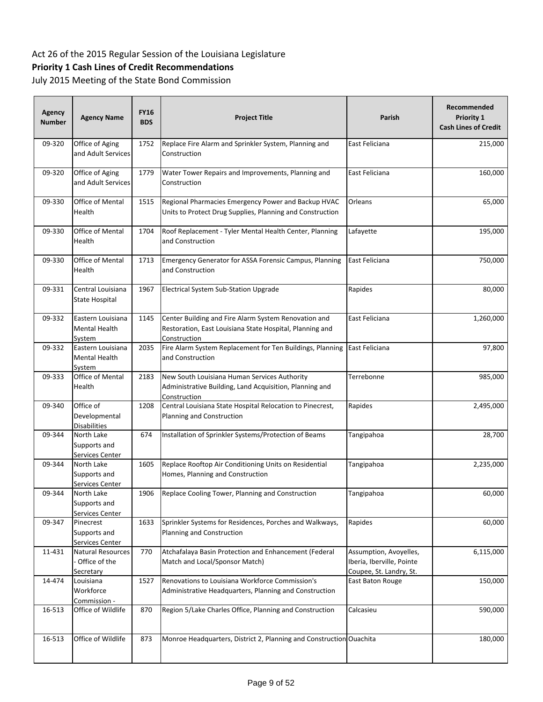## **Priority 1 Cash Lines of Credit Recommendations**

| Agency<br>Number | <b>Agency Name</b>                                     | <b>FY16</b><br><b>BDS</b> | <b>Project Title</b>                                                                                                             | <b>Parish</b>                                                                  | Recommended<br><b>Priority 1</b><br><b>Cash Lines of Credit</b> |
|------------------|--------------------------------------------------------|---------------------------|----------------------------------------------------------------------------------------------------------------------------------|--------------------------------------------------------------------------------|-----------------------------------------------------------------|
| 09-320           | Office of Aging<br>and Adult Services                  | 1752                      | Replace Fire Alarm and Sprinkler System, Planning and<br>Construction                                                            | East Feliciana                                                                 | 215,000                                                         |
| 09-320           | Office of Aging<br>and Adult Services                  | 1779                      | Water Tower Repairs and Improvements, Planning and<br>Construction                                                               | East Feliciana                                                                 | 160,000                                                         |
| 09-330           | Office of Mental<br>Health                             | 1515                      | Regional Pharmacies Emergency Power and Backup HVAC<br>Units to Protect Drug Supplies, Planning and Construction                 | Orleans                                                                        | 65,000                                                          |
| 09-330           | Office of Mental<br>Health                             | 1704                      | Roof Replacement - Tyler Mental Health Center, Planning<br>and Construction                                                      | Lafayette                                                                      | 195,000                                                         |
| 09-330           | Office of Mental<br>Health                             | 1713                      | Emergency Generator for ASSA Forensic Campus, Planning<br>and Construction                                                       | East Feliciana                                                                 | 750,000                                                         |
| 09-331           | Central Louisiana<br><b>State Hospital</b>             | 1967                      | Electrical System Sub-Station Upgrade                                                                                            | Rapides                                                                        | 80,000                                                          |
| 09-332           | Eastern Louisiana<br>Mental Health<br>System           | 1145                      | Center Building and Fire Alarm System Renovation and<br>Restoration, East Louisiana State Hospital, Planning and<br>Construction | East Feliciana                                                                 | 1,260,000                                                       |
| 09-332           | Eastern Louisiana<br>Mental Health<br>System           | 2035                      | Fire Alarm System Replacement for Ten Buildings, Planning<br>and Construction                                                    | East Feliciana                                                                 | 97,800                                                          |
| 09-333           | Office of Mental<br>Health                             | 2183                      | New South Louisiana Human Services Authority<br>Administrative Building, Land Acquisition, Planning and<br>Construction          | Terrebonne                                                                     | 985,000                                                         |
| 09-340           | Office of<br>Developmental<br><b>Disabilities</b>      | 1208                      | Central Louisiana State Hospital Relocation to Pinecrest,<br>Planning and Construction                                           | Rapides                                                                        | 2,495,000                                                       |
| 09-344           | North Lake<br>Supports and<br>Services Center          | 674                       | Installation of Sprinkler Systems/Protection of Beams                                                                            | Tangipahoa                                                                     | 28,700                                                          |
| 09-344           | North Lake<br>Supports and<br>Services Center          | 1605                      | Replace Rooftop Air Conditioning Units on Residential<br>Homes, Planning and Construction                                        | Tangipahoa                                                                     | 2,235,000                                                       |
| 09-344           | North Lake<br>Supports and<br>Services Center          | 1906                      | Replace Cooling Tower, Planning and Construction                                                                                 | Tangipahoa                                                                     | 60,000                                                          |
| 09-347           | Pinecrest<br>Supports and<br>Services Center           | 1633                      | Sprinkler Systems for Residences, Porches and Walkways,<br>Planning and Construction                                             | Rapides                                                                        | 60,000                                                          |
| 11-431           | <b>Natural Resources</b><br>Office of the<br>Secretary | 770                       | Atchafalaya Basin Protection and Enhancement (Federal<br>Match and Local/Sponsor Match)                                          | Assumption, Avoyelles,<br>Iberia, Iberville, Pointe<br>Coupee, St. Landry, St. | 6,115,000                                                       |
| 14-474           | Louisiana<br>Workforce<br>Commission -                 | 1527                      | Renovations to Louisiana Workforce Commission's<br>Administrative Headquarters, Planning and Construction                        | East Baton Rouge                                                               | 150,000                                                         |
| 16-513           | Office of Wildlife                                     | 870                       | Region 5/Lake Charles Office, Planning and Construction                                                                          | Calcasieu                                                                      | 590,000                                                         |
| 16-513           | Office of Wildlife                                     | 873                       | Monroe Headquarters, District 2, Planning and Construction Ouachita                                                              |                                                                                | 180,000                                                         |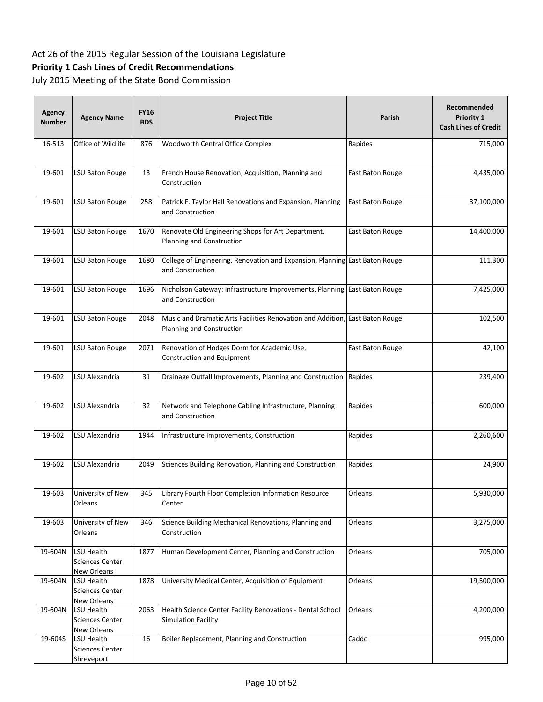## **Priority 1 Cash Lines of Credit Recommendations**

| <b>Agency</b><br><b>Number</b> | <b>Agency Name</b>                                         | <b>FY16</b><br><b>BDS</b> | <b>Project Title</b>                                                                                      | Parish                  | Recommended<br>Priority 1<br><b>Cash Lines of Credit</b> |
|--------------------------------|------------------------------------------------------------|---------------------------|-----------------------------------------------------------------------------------------------------------|-------------------------|----------------------------------------------------------|
| 16-513                         | Office of Wildlife                                         | 876                       | Woodworth Central Office Complex                                                                          | Rapides                 | 715,000                                                  |
| 19-601                         | LSU Baton Rouge                                            | 13                        | French House Renovation, Acquisition, Planning and<br>Construction                                        | East Baton Rouge        | 4,435,000                                                |
| 19-601                         | LSU Baton Rouge                                            | 258                       | Patrick F. Taylor Hall Renovations and Expansion, Planning<br>and Construction                            | <b>East Baton Rouge</b> | 37,100,000                                               |
| 19-601                         | LSU Baton Rouge                                            | 1670                      | Renovate Old Engineering Shops for Art Department,<br>Planning and Construction                           | East Baton Rouge        | 14,400,000                                               |
| 19-601                         | LSU Baton Rouge                                            | 1680                      | College of Engineering, Renovation and Expansion, Planning East Baton Rouge<br>and Construction           |                         | 111,300                                                  |
| 19-601                         | LSU Baton Rouge                                            | 1696                      | Nicholson Gateway: Infrastructure Improvements, Planning East Baton Rouge<br>and Construction             |                         | 7,425,000                                                |
| 19-601                         | LSU Baton Rouge                                            | 2048                      | Music and Dramatic Arts Facilities Renovation and Addition, East Baton Rouge<br>Planning and Construction |                         | 102,500                                                  |
| 19-601                         | LSU Baton Rouge                                            | 2071                      | Renovation of Hodges Dorm for Academic Use,<br>Construction and Equipment                                 | East Baton Rouge        | 42,100                                                   |
| 19-602                         | LSU Alexandria                                             | 31                        | Drainage Outfall Improvements, Planning and Construction                                                  | Rapides                 | 239,400                                                  |
| 19-602                         | LSU Alexandria                                             | 32                        | Network and Telephone Cabling Infrastructure, Planning<br>and Construction                                | Rapides                 | 600,000                                                  |
| 19-602                         | LSU Alexandria                                             | 1944                      | Infrastructure Improvements, Construction                                                                 | Rapides                 | 2,260,600                                                |
| 19-602                         | LSU Alexandria                                             | 2049                      | Sciences Building Renovation, Planning and Construction                                                   | Rapides                 | 24,900                                                   |
| 19-603                         | University of New<br>Orleans                               | 345                       | Library Fourth Floor Completion Information Resource<br>Center                                            | Orleans                 | 5,930,000                                                |
| 19-603                         | University of New<br>Orleans                               | 346                       | Science Building Mechanical Renovations, Planning and<br>Construction                                     | Orleans                 | 3,275,000                                                |
| 19-604N                        | LSU Health<br><b>Sciences Center</b><br>New Orleans        | 1877                      | Human Development Center, Planning and Construction                                                       | Orleans                 | 705,000                                                  |
| 19-604N                        | LSU Health<br><b>Sciences Center</b><br>New Orleans        | 1878                      | University Medical Center, Acquisition of Equipment                                                       | Orleans                 | 19,500,000                                               |
| 19-604N                        | <b>LSU Health</b><br><b>Sciences Center</b><br>New Orleans | 2063                      | Health Science Center Facility Renovations - Dental School<br>Simulation Facility                         | Orleans                 | 4,200,000                                                |
| 19-604S                        | <b>LSU Health</b><br><b>Sciences Center</b><br>Shreveport  | 16                        | Boiler Replacement, Planning and Construction                                                             | Caddo                   | 995,000                                                  |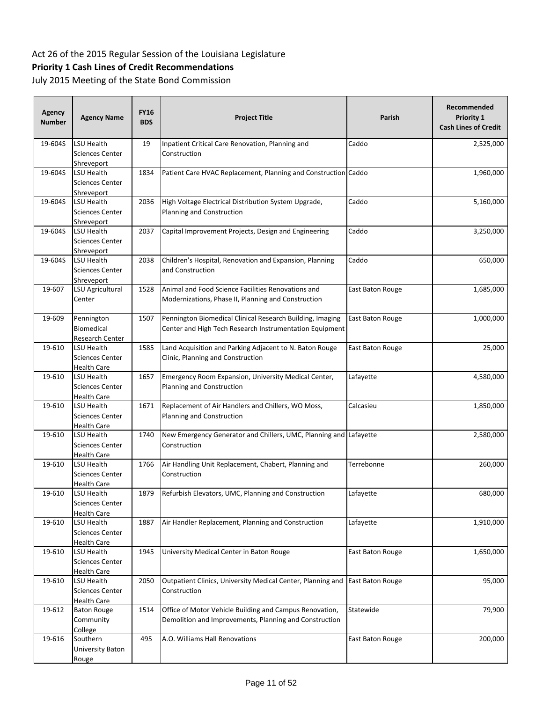## **Priority 1 Cash Lines of Credit Recommendations**

| Agency<br><b>Number</b> | <b>Agency Name</b>                                         | <b>FY16</b><br><b>BDS</b> | <b>Project Title</b>                                                                                                 | Parish           | Recommended<br>Priority 1<br><b>Cash Lines of Credit</b> |
|-------------------------|------------------------------------------------------------|---------------------------|----------------------------------------------------------------------------------------------------------------------|------------------|----------------------------------------------------------|
| 19-604S                 | LSU Health<br>Sciences Center<br>Shreveport                | 19                        | Inpatient Critical Care Renovation, Planning and<br>Construction                                                     | Caddo            | 2,525,000                                                |
| 19-604S                 | LSU Health<br>Sciences Center<br>Shreveport                | 1834                      | Patient Care HVAC Replacement, Planning and Construction Caddo                                                       |                  | 1,960,000                                                |
| 19-604S                 | LSU Health<br><b>Sciences Center</b><br>Shreveport         | 2036                      | High Voltage Electrical Distribution System Upgrade,<br>Planning and Construction                                    | Caddo            | 5,160,000                                                |
| 19-604S                 | LSU Health<br>Sciences Center<br>Shreveport                | 2037                      | Capital Improvement Projects, Design and Engineering                                                                 | Caddo            | 3,250,000                                                |
| 19-604S                 | LSU Health<br>Sciences Center<br>Shreveport                | 2038                      | Children's Hospital, Renovation and Expansion, Planning<br>and Construction                                          | Caddo            | 650,000                                                  |
| 19-607                  | LSU Agricultural<br>Center                                 | 1528                      | Animal and Food Science Facilities Renovations and<br>Modernizations, Phase II, Planning and Construction            | East Baton Rouge | 1,685,000                                                |
| 19-609                  | Pennington<br>Biomedical<br>Research Center                | 1507                      | Pennington Biomedical Clinical Research Building, Imaging<br>Center and High Tech Research Instrumentation Equipment | East Baton Rouge | 1,000,000                                                |
| 19-610                  | LSU Health<br>Sciences Center<br>Health Care               | 1585                      | Land Acquisition and Parking Adjacent to N. Baton Rouge<br>Clinic, Planning and Construction                         | East Baton Rouge | 25,000                                                   |
| 19-610                  | LSU Health<br>Sciences Center<br><b>Health Care</b>        | 1657                      | Emergency Room Expansion, University Medical Center,<br>Planning and Construction                                    | Lafayette        | 4,580,000                                                |
| 19-610                  | LSU Health<br>Sciences Center<br>Health Care               | 1671                      | Replacement of Air Handlers and Chillers, WO Moss,<br>Planning and Construction                                      | Calcasieu        | 1,850,000                                                |
| 19-610                  | LSU Health<br>Sciences Center<br><b>Health Care</b>        | 1740                      | New Emergency Generator and Chillers, UMC, Planning and Lafayette<br>Construction                                    |                  | 2,580,000                                                |
| 19-610                  | LSU Health<br>Sciences Center<br>Health Care               | 1766                      | Air Handling Unit Replacement, Chabert, Planning and<br>Construction                                                 | Terrebonne       | 260,000                                                  |
| 19-610                  | LSU Health<br><b>Sciences Center</b><br>Health Care        | 1879                      | Refurbish Elevators, UMC, Planning and Construction                                                                  | Lafayette        | 680,000                                                  |
| 19-610                  | LSU Health<br><b>Sciences Center</b><br><b>Health Care</b> | 1887                      | Air Handler Replacement, Planning and Construction                                                                   | Lafayette        | 1,910,000                                                |
| 19-610                  | LSU Health<br><b>Sciences Center</b><br><b>Health Care</b> | 1945                      | University Medical Center in Baton Rouge                                                                             | East Baton Rouge | 1,650,000                                                |
| 19-610                  | LSU Health<br><b>Sciences Center</b><br><b>Health Care</b> | 2050                      | Outpatient Clinics, University Medical Center, Planning and East Baton Rouge<br>Construction                         |                  | 95,000                                                   |
| 19-612                  | <b>Baton Rouge</b><br>Community<br>College                 | 1514                      | Office of Motor Vehicle Building and Campus Renovation,<br>Demolition and Improvements, Planning and Construction    | Statewide        | 79,900                                                   |
| 19-616                  | Southern<br>University Baton<br>Rouge                      | 495                       | A.O. Williams Hall Renovations                                                                                       | East Baton Rouge | 200,000                                                  |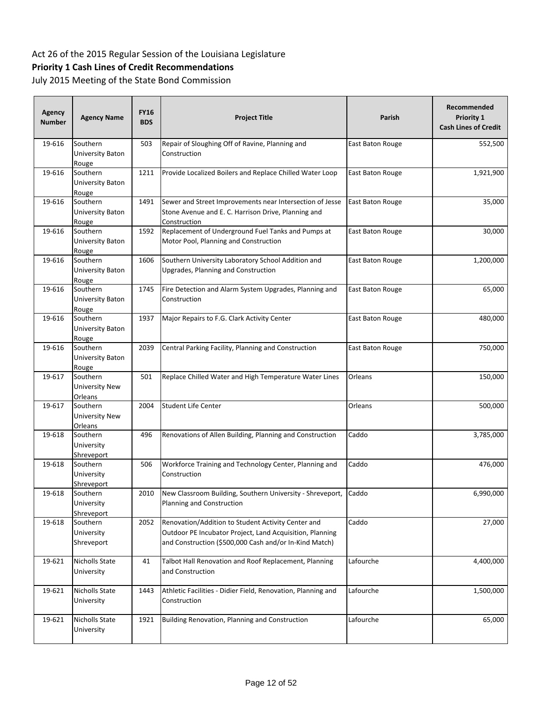## **Priority 1 Cash Lines of Credit Recommendations**

| <b>Agency</b><br><b>Number</b> | <b>Agency Name</b>                    | <b>FY16</b><br><b>BDS</b> | <b>Project Title</b>                                                                                                                                                     | Parish                  | Recommended<br>Priority 1<br><b>Cash Lines of Credit</b> |
|--------------------------------|---------------------------------------|---------------------------|--------------------------------------------------------------------------------------------------------------------------------------------------------------------------|-------------------------|----------------------------------------------------------|
| 19-616                         | Southern<br>University Baton<br>Rouge | 503                       | Repair of Sloughing Off of Ravine, Planning and<br>Construction                                                                                                          | East Baton Rouge        | 552,500                                                  |
| 19-616                         | Southern<br>University Baton<br>Rouge | 1211                      | Provide Localized Boilers and Replace Chilled Water Loop                                                                                                                 | East Baton Rouge        | 1,921,900                                                |
| 19-616                         | Southern<br>University Baton<br>Rouge | 1491                      | Sewer and Street Improvements near Intersection of Jesse<br>Stone Avenue and E. C. Harrison Drive, Planning and<br>Construction                                          | <b>East Baton Rouge</b> | 35,000                                                   |
| 19-616                         | Southern<br>University Baton<br>Rouge | 1592                      | Replacement of Underground Fuel Tanks and Pumps at<br>Motor Pool, Planning and Construction                                                                              | East Baton Rouge        | 30,000                                                   |
| 19-616                         | Southern<br>University Baton<br>Rouge | 1606                      | Southern University Laboratory School Addition and<br>Upgrades, Planning and Construction                                                                                | East Baton Rouge        | 1,200,000                                                |
| 19-616                         | Southern<br>University Baton<br>Rouge | 1745                      | Fire Detection and Alarm System Upgrades, Planning and<br>Construction                                                                                                   | East Baton Rouge        | 65,000                                                   |
| 19-616                         | Southern<br>University Baton<br>Rouge | 1937                      | Major Repairs to F.G. Clark Activity Center                                                                                                                              | East Baton Rouge        | 480,000                                                  |
| 19-616                         | Southern<br>University Baton<br>Rouge | 2039                      | Central Parking Facility, Planning and Construction                                                                                                                      | East Baton Rouge        | 750,000                                                  |
| 19-617                         | Southern<br>University New<br>Orleans | 501                       | Replace Chilled Water and High Temperature Water Lines                                                                                                                   | Orleans                 | 150,000                                                  |
| 19-617                         | Southern<br>University New<br>Orleans | 2004                      | <b>Student Life Center</b>                                                                                                                                               | Orleans                 | 500,000                                                  |
| 19-618                         | Southern<br>University<br>Shreveport  | 496                       | Renovations of Allen Building, Planning and Construction                                                                                                                 | Caddo                   | $\overline{3,}785,000$                                   |
| 19-618                         | Southern<br>University<br>Shreveport  | 506                       | Workforce Training and Technology Center, Planning and<br>Construction                                                                                                   | Caddo                   | 476,000                                                  |
| 19-618                         | Southern<br>University<br>Shreveport  | 2010                      | New Classroom Building, Southern University - Shreveport,<br>Planning and Construction                                                                                   | Caddo                   | 6,990,000                                                |
| 19-618                         | Southern<br>University<br>Shreveport  | 2052                      | Renovation/Addition to Student Activity Center and<br>Outdoor PE Incubator Project, Land Acquisition, Planning<br>and Construction (\$500,000 Cash and/or In-Kind Match) | Caddo                   | 27,000                                                   |
| 19-621                         | Nicholls State<br>University          | 41                        | Talbot Hall Renovation and Roof Replacement, Planning<br>and Construction                                                                                                | Lafourche               | 4,400,000                                                |
| 19-621                         | Nicholls State<br>University          | 1443                      | Athletic Facilities - Didier Field, Renovation, Planning and<br>Construction                                                                                             | Lafourche               | 1,500,000                                                |
| 19-621                         | Nicholls State<br>University          | 1921                      | Building Renovation, Planning and Construction                                                                                                                           | Lafourche               | 65,000                                                   |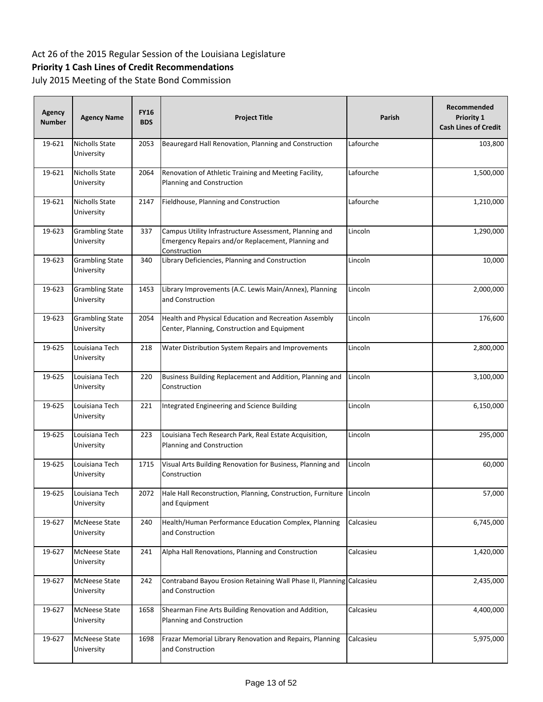## **Priority 1 Cash Lines of Credit Recommendations**

| Agency<br><b>Number</b> | <b>Agency Name</b>                   | <b>FY16</b><br><b>BDS</b> | <b>Project Title</b>                                                                                                         | Parish    | Recommended<br>Priority 1<br><b>Cash Lines of Credit</b> |
|-------------------------|--------------------------------------|---------------------------|------------------------------------------------------------------------------------------------------------------------------|-----------|----------------------------------------------------------|
| 19-621                  | Nicholls State<br>University         | 2053                      | Beauregard Hall Renovation, Planning and Construction                                                                        | Lafourche | 103,800                                                  |
| 19-621                  | <b>Nicholls State</b><br>University  | 2064                      | Renovation of Athletic Training and Meeting Facility,<br>Planning and Construction                                           | Lafourche | 1,500,000                                                |
| 19-621                  | <b>Nicholls State</b><br>University  | 2147                      | Fieldhouse, Planning and Construction                                                                                        | Lafourche | 1,210,000                                                |
| 19-623                  | <b>Grambling State</b><br>University | 337                       | Campus Utility Infrastructure Assessment, Planning and<br>Emergency Repairs and/or Replacement, Planning and<br>Construction | Lincoln   | 1,290,000                                                |
| 19-623                  | <b>Grambling State</b><br>University | 340                       | Library Deficiencies, Planning and Construction                                                                              | Lincoln   | 10,000                                                   |
| 19-623                  | <b>Grambling State</b><br>University | 1453                      | Library Improvements (A.C. Lewis Main/Annex), Planning<br>and Construction                                                   | Lincoln   | 2,000,000                                                |
| 19-623                  | <b>Grambling State</b><br>University | 2054                      | Health and Physical Education and Recreation Assembly<br>Center, Planning, Construction and Equipment                        | Lincoln   | 176,600                                                  |
| 19-625                  | Louisiana Tech<br>University         | 218                       | Water Distribution System Repairs and Improvements                                                                           | Lincoln   | 2,800,000                                                |
| 19-625                  | Louisiana Tech<br>University         | 220                       | Business Building Replacement and Addition, Planning and<br>Construction                                                     | Lincoln   | 3,100,000                                                |
| 19-625                  | Louisiana Tech<br>University         | 221                       | Integrated Engineering and Science Building                                                                                  | Lincoln   | 6,150,000                                                |
| 19-625                  | Louisiana Tech<br>University         | 223                       | Louisiana Tech Research Park, Real Estate Acquisition,<br>Planning and Construction                                          | Lincoln   | 295,000                                                  |
| 19-625                  | Louisiana Tech<br>University         | 1715                      | Visual Arts Building Renovation for Business, Planning and<br>Construction                                                   | Lincoln   | 60,000                                                   |
| 19-625                  | Louisiana Tech<br>University         | 2072                      | Hale Hall Reconstruction, Planning, Construction, Furniture Lincoln<br>and Equipment                                         |           | 57,000                                                   |
| 19-627                  | <b>McNeese State</b><br>University   | 240                       | Health/Human Performance Education Complex, Planning<br>and Construction                                                     | Calcasieu | 6,745,000                                                |
| 19-627                  | <b>McNeese State</b><br>University   | 241                       | Alpha Hall Renovations, Planning and Construction                                                                            | Calcasieu | 1,420,000                                                |
| 19-627                  | <b>McNeese State</b><br>University   | 242                       | Contraband Bayou Erosion Retaining Wall Phase II, Planning Calcasieu<br>and Construction                                     |           | 2,435,000                                                |
| 19-627                  | <b>McNeese State</b><br>University   | 1658                      | Shearman Fine Arts Building Renovation and Addition,<br>Planning and Construction                                            | Calcasieu | 4,400,000                                                |
| 19-627                  | <b>McNeese State</b><br>University   | 1698                      | Frazar Memorial Library Renovation and Repairs, Planning<br>and Construction                                                 | Calcasieu | 5,975,000                                                |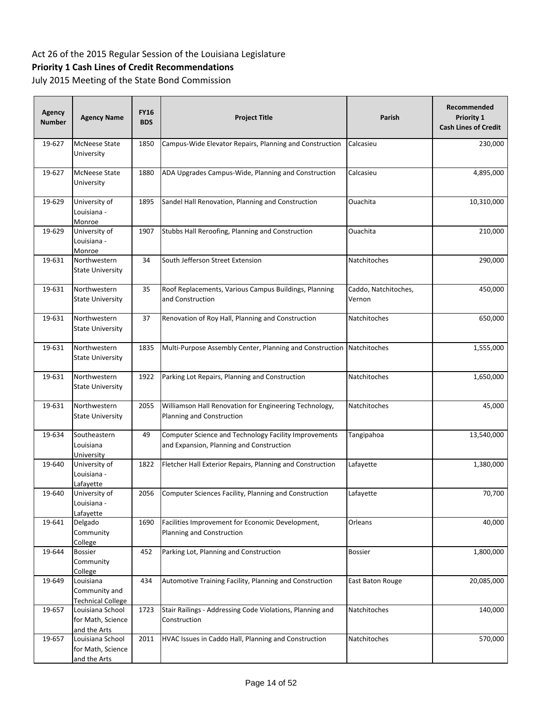## **Priority 1 Cash Lines of Credit Recommendations**

| <b>Agency</b><br><b>Number</b> | <b>Agency Name</b>                                     | <b>FY16</b><br><b>BDS</b> | <b>Project Title</b>                                                                              | Parish                         | Recommended<br>Priority 1<br><b>Cash Lines of Credit</b> |
|--------------------------------|--------------------------------------------------------|---------------------------|---------------------------------------------------------------------------------------------------|--------------------------------|----------------------------------------------------------|
| 19-627                         | <b>McNeese State</b><br>University                     | 1850                      | Campus-Wide Elevator Repairs, Planning and Construction                                           | Calcasieu                      | 230,000                                                  |
| 19-627                         | <b>McNeese State</b><br>University                     | 1880                      | ADA Upgrades Campus-Wide, Planning and Construction                                               | Calcasieu                      | 4,895,000                                                |
| 19-629                         | University of<br>Louisiana -<br>Monroe                 | 1895                      | Sandel Hall Renovation, Planning and Construction                                                 | Ouachita                       | 10,310,000                                               |
| 19-629                         | University of<br>Louisiana -<br>Monroe                 | 1907                      | Stubbs Hall Reroofing, Planning and Construction                                                  | Ouachita                       | 210,000                                                  |
| 19-631                         | Northwestern<br><b>State University</b>                | 34                        | South Jefferson Street Extension                                                                  | Natchitoches                   | 290,000                                                  |
| 19-631                         | Northwestern<br><b>State University</b>                | 35                        | Roof Replacements, Various Campus Buildings, Planning<br>and Construction                         | Caddo, Natchitoches,<br>Vernon | 450,000                                                  |
| 19-631                         | Northwestern<br><b>State University</b>                | 37                        | Renovation of Roy Hall, Planning and Construction                                                 | Natchitoches                   | 650,000                                                  |
| 19-631                         | Northwestern<br><b>State University</b>                | 1835                      | Multi-Purpose Assembly Center, Planning and Construction Natchitoches                             |                                | 1,555,000                                                |
| 19-631                         | Northwestern<br><b>State University</b>                | 1922                      | Parking Lot Repairs, Planning and Construction                                                    | Natchitoches                   | 1,650,000                                                |
| 19-631                         | Northwestern<br><b>State University</b>                | 2055                      | Williamson Hall Renovation for Engineering Technology,<br>Planning and Construction               | Natchitoches                   | 45,000                                                   |
| 19-634                         | Southeastern<br>Louisiana<br>University                | 49                        | Computer Science and Technology Facility Improvements<br>and Expansion, Planning and Construction | Tangipahoa                     | 13,540,000                                               |
| 19-640                         | University of<br>Louisiana -<br>Lafayette              | 1822                      | Fletcher Hall Exterior Repairs, Planning and Construction                                         | Lafayette                      | 1,380,000                                                |
| 19-640                         | University of<br>Louisiana -<br>Lafayette              | 2056                      | Computer Sciences Facility, Planning and Construction                                             | Lafayette                      | 70,700                                                   |
| 19-641                         | Delgado<br>Community<br>College                        | 1690                      | Facilities Improvement for Economic Development,<br>Planning and Construction                     | Orleans                        | 40,000                                                   |
| 19-644                         | Bossier<br>Community<br>College                        | 452                       | Parking Lot, Planning and Construction                                                            | <b>Bossier</b>                 | 1,800,000                                                |
| 19-649                         | Louisiana<br>Community and<br><b>Technical College</b> | 434                       | Automotive Training Facility, Planning and Construction                                           | East Baton Rouge               | 20,085,000                                               |
| 19-657                         | Louisiana School<br>for Math, Science<br>and the Arts  | 1723                      | Stair Railings - Addressing Code Violations, Planning and<br>Construction                         | Natchitoches                   | 140,000                                                  |
| 19-657                         | Louisiana School<br>for Math, Science<br>and the Arts  | 2011                      | HVAC Issues in Caddo Hall, Planning and Construction                                              | Natchitoches                   | 570,000                                                  |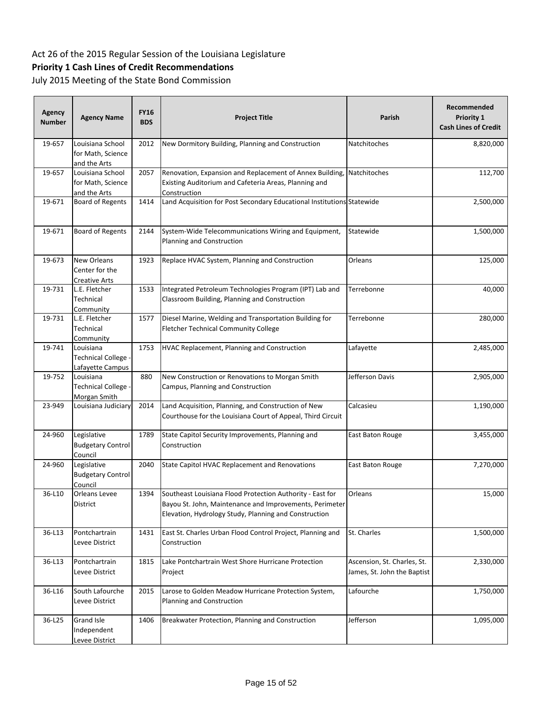## **Priority 1 Cash Lines of Credit Recommendations**

| <b>Agency</b><br><b>Number</b> | <b>Agency Name</b>                                    | <b>FY16</b><br><b>BDS</b> | <b>Project Title</b>                                                                                                                                                          | Parish                                                     | Recommended<br>Priority 1<br><b>Cash Lines of Credit</b> |
|--------------------------------|-------------------------------------------------------|---------------------------|-------------------------------------------------------------------------------------------------------------------------------------------------------------------------------|------------------------------------------------------------|----------------------------------------------------------|
| 19-657                         | Louisiana School<br>for Math, Science<br>and the Arts | 2012                      | New Dormitory Building, Planning and Construction                                                                                                                             | Natchitoches                                               | 8,820,000                                                |
| 19-657                         | Louisiana School<br>for Math, Science<br>and the Arts | 2057                      | Renovation, Expansion and Replacement of Annex Building,<br>Existing Auditorium and Cafeteria Areas, Planning and<br>Construction                                             | Natchitoches                                               | 112,700                                                  |
| 19-671                         | <b>Board of Regents</b>                               | 1414                      | Land Acquisition for Post Secondary Educational Institutions Statewide                                                                                                        |                                                            | 2,500,000                                                |
| 19-671                         | <b>Board of Regents</b>                               | 2144                      | System-Wide Telecommunications Wiring and Equipment,<br>Planning and Construction                                                                                             | Statewide                                                  | 1,500,000                                                |
| 19-673                         | New Orleans<br>Center for the<br>Creative Arts        | 1923                      | Replace HVAC System, Planning and Construction                                                                                                                                | Orleans                                                    | 125,000                                                  |
| 19-731                         | L.E. Fletcher<br>Technical<br>Community               | 1533                      | Integrated Petroleum Technologies Program (IPT) Lab and<br>Classroom Building, Planning and Construction                                                                      | Terrebonne                                                 | 40,000                                                   |
| 19-731                         | L.E. Fletcher<br>Technical<br>Community               | 1577                      | Diesel Marine, Welding and Transportation Building for<br>Fletcher Technical Community College                                                                                | Terrebonne                                                 | 280,000                                                  |
| 19-741                         | Louisiana<br>Technical College -<br>Lafayette Campus  | 1753                      | HVAC Replacement, Planning and Construction                                                                                                                                   | Lafayette                                                  | 2,485,000                                                |
| 19-752                         | Louisiana<br>Technical College -<br>Morgan Smith      | 880                       | New Construction or Renovations to Morgan Smith<br>Campus, Planning and Construction                                                                                          | Jefferson Davis                                            | 2,905,000                                                |
| 23-949                         | Louisiana Judiciary                                   | 2014                      | Land Acquisition, Planning, and Construction of New<br>Courthouse for the Louisiana Court of Appeal, Third Circuit                                                            | Calcasieu                                                  | 1,190,000                                                |
| 24-960                         | Legislative<br><b>Budgetary Control</b><br>Council    | 1789                      | State Capitol Security Improvements, Planning and<br>Construction                                                                                                             | East Baton Rouge                                           | 3,455,000                                                |
| 24-960                         | Legislative<br><b>Budgetary Control</b><br>Council    | 2040                      | State Capitol HVAC Replacement and Renovations                                                                                                                                | East Baton Rouge                                           | 7,270,000                                                |
| 36-L10                         | Orleans Levee<br>District                             | 1394                      | Southeast Louisiana Flood Protection Authority - East for<br>Bayou St. John, Maintenance and Improvements, Perimeter<br>Elevation, Hydrology Study, Planning and Construction | Orleans                                                    | 15,000                                                   |
| 36-L13                         | Pontchartrain<br>Levee District                       | 1431                      | East St. Charles Urban Flood Control Project, Planning and<br>Construction                                                                                                    | St. Charles                                                | 1,500,000                                                |
| 36-L13                         | Pontchartrain<br>Levee District                       | 1815                      | Lake Pontchartrain West Shore Hurricane Protection<br>Project                                                                                                                 | Ascension, St. Charles, St.<br>James, St. John the Baptist | 2,330,000                                                |
| 36-L16                         | South Lafourche<br>Levee District                     | 2015                      | Larose to Golden Meadow Hurricane Protection System,<br>Planning and Construction                                                                                             | Lafourche                                                  | 1,750,000                                                |
| 36-L25                         | <b>Grand Isle</b><br>Independent<br>Levee District    | 1406                      | Breakwater Protection, Planning and Construction                                                                                                                              | Jefferson                                                  | 1,095,000                                                |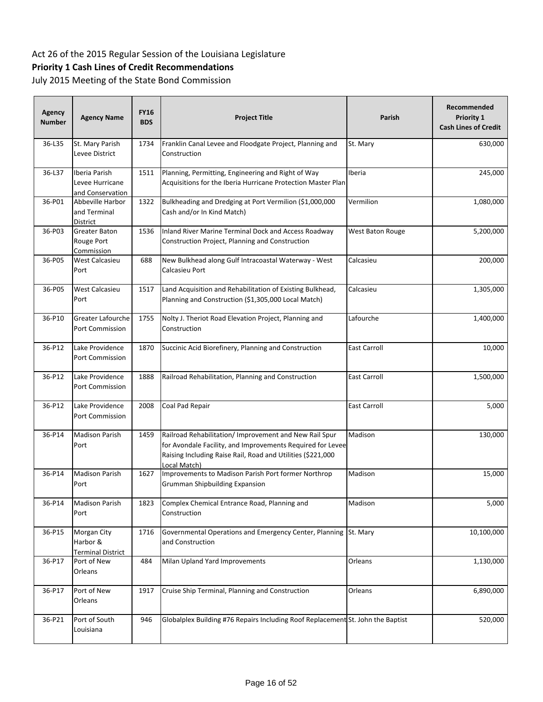## **Priority 1 Cash Lines of Credit Recommendations**

| Agency<br><b>Number</b> | <b>Agency Name</b>                                   | <b>FY16</b><br><b>BDS</b> | <b>Project Title</b>                                                                                                                                                                                | Parish              | Recommended<br>Priority 1<br><b>Cash Lines of Credit</b> |
|-------------------------|------------------------------------------------------|---------------------------|-----------------------------------------------------------------------------------------------------------------------------------------------------------------------------------------------------|---------------------|----------------------------------------------------------|
| 36-L35                  | St. Mary Parish<br>Levee District                    | 1734                      | Franklin Canal Levee and Floodgate Project, Planning and<br>Construction                                                                                                                            | St. Mary            | 630,000                                                  |
| 36-L37                  | Iberia Parish<br>Levee Hurricane<br>and Conservation | 1511                      | Planning, Permitting, Engineering and Right of Way<br>Acquisitions for the Iberia Hurricane Protection Master Plan                                                                                  | Iberia              | 245,000                                                  |
| 36-P01                  | Abbeville Harbor<br>and Terminal<br>District         | 1322                      | Bulkheading and Dredging at Port Vermilion (\$1,000,000<br>Cash and/or In Kind Match)                                                                                                               | Vermilion           | 1,080,000                                                |
| 36-P03                  | <b>Greater Baton</b><br>Rouge Port<br>Commission     | 1536                      | Inland River Marine Terminal Dock and Access Roadway<br>Construction Project, Planning and Construction                                                                                             | West Baton Rouge    | 5,200,000                                                |
| 36-P05                  | West Calcasieu<br>Port                               | 688                       | New Bulkhead along Gulf Intracoastal Waterway - West<br>Calcasieu Port                                                                                                                              | Calcasieu           | 200,000                                                  |
| 36-P05                  | <b>West Calcasieu</b><br>Port                        | 1517                      | Land Acquisition and Rehabilitation of Existing Bulkhead,<br>Planning and Construction (\$1,305,000 Local Match)                                                                                    | Calcasieu           | 1,305,000                                                |
| 36-P10                  | <b>Greater Lafourche</b><br><b>Port Commission</b>   | 1755                      | Nolty J. Theriot Road Elevation Project, Planning and<br>Construction                                                                                                                               | Lafourche           | 1,400,000                                                |
| 36-P12                  | Lake Providence<br>Port Commission                   | 1870                      | Succinic Acid Biorefinery, Planning and Construction                                                                                                                                                | East Carroll        | 10,000                                                   |
| 36-P12                  | Lake Providence<br>Port Commission                   | 1888                      | Railroad Rehabilitation, Planning and Construction                                                                                                                                                  | <b>East Carroll</b> | 1,500,000                                                |
| 36-P12                  | Lake Providence<br>Port Commission                   | 2008                      | Coal Pad Repair                                                                                                                                                                                     | <b>East Carroll</b> | 5,000                                                    |
| 36-P14                  | <b>Madison Parish</b><br>Port                        | 1459                      | Railroad Rehabilitation/ Improvement and New Rail Spur<br>for Avondale Facility, and Improvements Required for Levee<br>Raising Including Raise Rail, Road and Utilities (\$221,000<br>Local Match) | Madison             | 130,000                                                  |
| 36-P14                  | <b>Madison Parish</b><br>Port                        | 1627                      | Improvements to Madison Parish Port former Northrop<br><b>Grumman Shipbuilding Expansion</b>                                                                                                        | Madison             | 15,000                                                   |
| 36-P14                  | <b>Madison Parish</b><br>Port                        | 1823                      | Complex Chemical Entrance Road, Planning and<br>Construction                                                                                                                                        | Madison             | 5,000                                                    |
| 36-P15                  | Morgan City<br>Harbor &<br><b>Terminal District</b>  | 1716                      | Governmental Operations and Emergency Center, Planning St. Mary<br>and Construction                                                                                                                 |                     | 10,100,000                                               |
| 36-P17                  | Port of New<br>Orleans                               | 484                       | Milan Upland Yard Improvements                                                                                                                                                                      | Orleans             | 1,130,000                                                |
| 36-P17                  | Port of New<br>Orleans                               | 1917                      | Cruise Ship Terminal, Planning and Construction                                                                                                                                                     | Orleans             | 6,890,000                                                |
| 36-P21                  | Port of South<br>Louisiana                           | 946                       | Globalplex Building #76 Repairs Including Roof Replacement St. John the Baptist                                                                                                                     |                     | 520,000                                                  |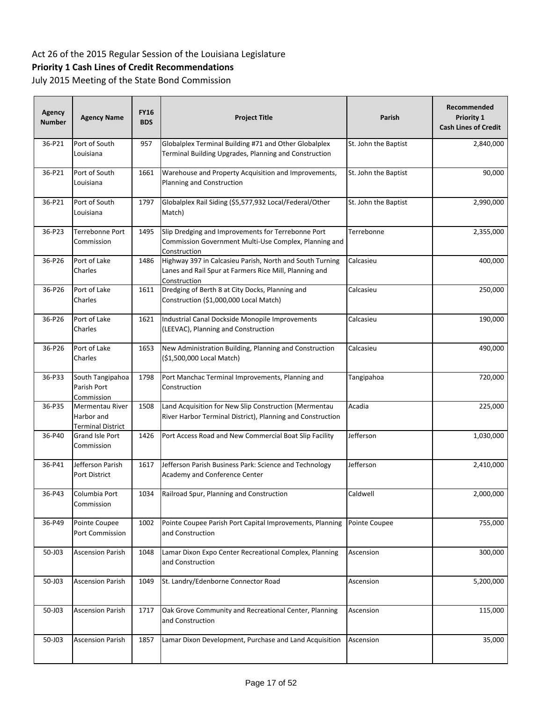## **Priority 1 Cash Lines of Credit Recommendations**

| <b>Agency</b><br><b>Number</b> | <b>Agency Name</b>                                        | <b>FY16</b><br><b>BDS</b> | <b>Project Title</b>                                                                                                               | Parish               | Recommended<br>Priority 1<br><b>Cash Lines of Credit</b> |
|--------------------------------|-----------------------------------------------------------|---------------------------|------------------------------------------------------------------------------------------------------------------------------------|----------------------|----------------------------------------------------------|
| 36-P21                         | Port of South<br>Louisiana                                | 957                       | Globalplex Terminal Building #71 and Other Globalplex<br>Terminal Building Upgrades, Planning and Construction                     | St. John the Baptist | 2,840,000                                                |
| 36-P21                         | Port of South<br>Louisiana                                | 1661                      | Warehouse and Property Acquisition and Improvements,<br>Planning and Construction                                                  | St. John the Baptist | 90,000                                                   |
| 36-P21                         | Port of South<br>Louisiana                                | 1797                      | Globalplex Rail Siding (\$5,577,932 Local/Federal/Other<br>Match)                                                                  | St. John the Baptist | 2,990,000                                                |
| 36-P23                         | Terrebonne Port<br>Commission                             | 1495                      | Slip Dredging and Improvements for Terrebonne Port<br>Commission Government Multi-Use Complex, Planning and<br>Construction        | Terrebonne           | 2,355,000                                                |
| 36-P26                         | Port of Lake<br>Charles                                   | 1486                      | Highway 397 in Calcasieu Parish, North and South Turning<br>Lanes and Rail Spur at Farmers Rice Mill, Planning and<br>Construction | Calcasieu            | 400,000                                                  |
| 36-P26                         | Port of Lake<br>Charles                                   | 1611                      | Dredging of Berth 8 at City Docks, Planning and<br>Construction (\$1,000,000 Local Match)                                          | Calcasieu            | 250,000                                                  |
| 36-P26                         | Port of Lake<br>Charles                                   | 1621                      | Industrial Canal Dockside Monopile Improvements<br>(LEEVAC), Planning and Construction                                             | Calcasieu            | 190,000                                                  |
| 36-P26                         | Port of Lake<br>Charles                                   | 1653                      | New Administration Building, Planning and Construction<br>(\$1,500,000 Local Match)                                                | Calcasieu            | 490,000                                                  |
| 36-P33                         | South Tangipahoa<br>Parish Port<br>Commission             | 1798                      | Port Manchac Terminal Improvements, Planning and<br>Construction                                                                   | Tangipahoa           | 720,000                                                  |
| 36-P35                         | Mermentau River<br>Harbor and<br><b>Terminal District</b> | 1508                      | Land Acquisition for New Slip Construction (Mermentau<br>River Harbor Terminal District), Planning and Construction                | Acadia               | 225,000                                                  |
| 36-P40                         | Grand Isle Port<br>Commission                             | 1426                      | Port Access Road and New Commercial Boat Slip Facility                                                                             | Jefferson            | 1,030,000                                                |
| 36-P41                         | Jefferson Parish<br>Port District                         | 1617                      | Jefferson Parish Business Park: Science and Technology<br>Academy and Conference Center                                            | Jefferson            | 2,410,000                                                |
| 36-P43                         | Columbia Port<br>Commission                               | 1034                      | Railroad Spur, Planning and Construction                                                                                           | Caldwell             | 2,000,000                                                |
| 36-P49                         | Pointe Coupee<br>Port Commission                          | 1002                      | Pointe Coupee Parish Port Capital Improvements, Planning<br>and Construction                                                       | Pointe Coupee        | 755,000                                                  |
| 50-J03                         | <b>Ascension Parish</b>                                   | 1048                      | Lamar Dixon Expo Center Recreational Complex, Planning<br>and Construction                                                         | Ascension            | 300,000                                                  |
| 50-J03                         | <b>Ascension Parish</b>                                   | 1049                      | St. Landry/Edenborne Connector Road                                                                                                | Ascension            | 5,200,000                                                |
| 50-J03                         | <b>Ascension Parish</b>                                   | 1717                      | Oak Grove Community and Recreational Center, Planning<br>and Construction                                                          | Ascension            | 115,000                                                  |
| 50-J03                         | <b>Ascension Parish</b>                                   | 1857                      | Lamar Dixon Development, Purchase and Land Acquisition                                                                             | Ascension            | 35,000                                                   |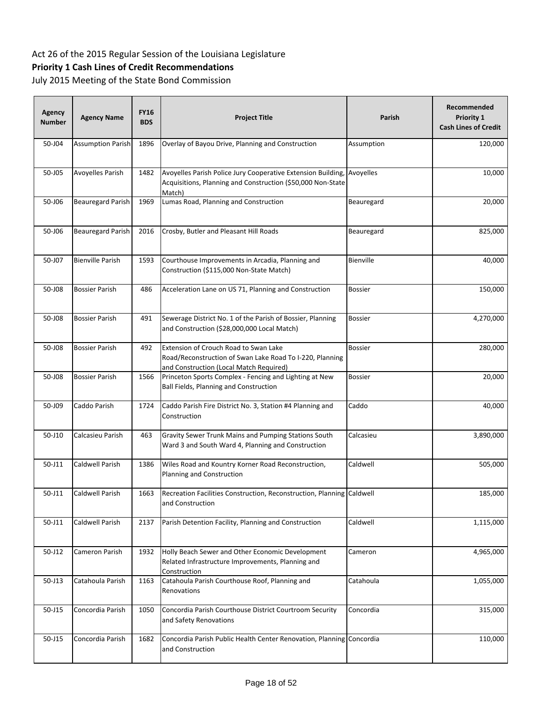## **Priority 1 Cash Lines of Credit Recommendations**

| Agency<br><b>Number</b> | <b>Agency Name</b>       | <b>FY16</b><br><b>BDS</b> | <b>Project Title</b>                                                                                                                         | Parish         | Recommended<br><b>Priority 1</b><br><b>Cash Lines of Credit</b> |
|-------------------------|--------------------------|---------------------------|----------------------------------------------------------------------------------------------------------------------------------------------|----------------|-----------------------------------------------------------------|
| 50-J04                  | <b>Assumption Parish</b> | 1896                      | Overlay of Bayou Drive, Planning and Construction                                                                                            | Assumption     | 120,000                                                         |
| 50-J05                  | Avoyelles Parish         | 1482                      | Avoyelles Parish Police Jury Cooperative Extension Building,<br>Acquisitions, Planning and Construction (\$50,000 Non-State<br>Match)        | Avoyelles      | 10,000                                                          |
| 50-J06                  | <b>Beauregard Parish</b> | 1969                      | Lumas Road, Planning and Construction                                                                                                        | Beauregard     | 20,000                                                          |
| 50-J06                  | Beauregard Parish        | 2016                      | Crosby, Butler and Pleasant Hill Roads                                                                                                       | Beauregard     | 825,000                                                         |
| 50-J07                  | <b>Bienville Parish</b>  | 1593                      | Courthouse Improvements in Arcadia, Planning and<br>Construction (\$115,000 Non-State Match)                                                 | Bienville      | 40,000                                                          |
| 50-J08                  | Bossier Parish           | 486                       | Acceleration Lane on US 71, Planning and Construction                                                                                        | <b>Bossier</b> | 150,000                                                         |
| 50-J08                  | <b>Bossier Parish</b>    | 491                       | Sewerage District No. 1 of the Parish of Bossier, Planning<br>and Construction (\$28,000,000 Local Match)                                    | <b>Bossier</b> | 4,270,000                                                       |
| 50-J08                  | <b>Bossier Parish</b>    | 492                       | Extension of Crouch Road to Swan Lake<br>Road/Reconstruction of Swan Lake Road To I-220, Planning<br>and Construction (Local Match Required) | <b>Bossier</b> | 280,000                                                         |
| 50-J08                  | <b>Bossier Parish</b>    | 1566                      | Princeton Sports Complex - Fencing and Lighting at New<br>Ball Fields, Planning and Construction                                             | <b>Bossier</b> | 20,000                                                          |
| 50-J09                  | Caddo Parish             | 1724                      | Caddo Parish Fire District No. 3, Station #4 Planning and<br>Construction                                                                    | Caddo          | 40,000                                                          |
| 50-J10                  | Calcasieu Parish         | 463                       | Gravity Sewer Trunk Mains and Pumping Stations South<br>Ward 3 and South Ward 4, Planning and Construction                                   | Calcasieu      | 3,890,000                                                       |
| 50-J11                  | Caldwell Parish          | 1386                      | Wiles Road and Kountry Korner Road Reconstruction,<br>Planning and Construction                                                              | Caldwell       | 505,000                                                         |
| 50-J11                  | <b>Caldwell Parish</b>   | 1663                      | Recreation Facilities Construction, Reconstruction, Planning Caldwell<br>and Construction                                                    |                | 185,000                                                         |
| 50-J11                  | Caldwell Parish          | 2137                      | Parish Detention Facility, Planning and Construction                                                                                         | Caldwell       | 1,115,000                                                       |
| $50 - J12$              | Cameron Parish           | 1932                      | Holly Beach Sewer and Other Economic Development<br>Related Infrastructure Improvements, Planning and<br>Construction                        | Cameron        | 4,965,000                                                       |
| $50 - J13$              | Catahoula Parish         | 1163                      | Catahoula Parish Courthouse Roof, Planning and<br>Renovations                                                                                | Catahoula      | 1,055,000                                                       |
| 50-J15                  | Concordia Parish         | 1050                      | Concordia Parish Courthouse District Courtroom Security<br>and Safety Renovations                                                            | Concordia      | 315,000                                                         |
| 50-J15                  | Concordia Parish         | 1682                      | Concordia Parish Public Health Center Renovation, Planning Concordia<br>and Construction                                                     |                | 110,000                                                         |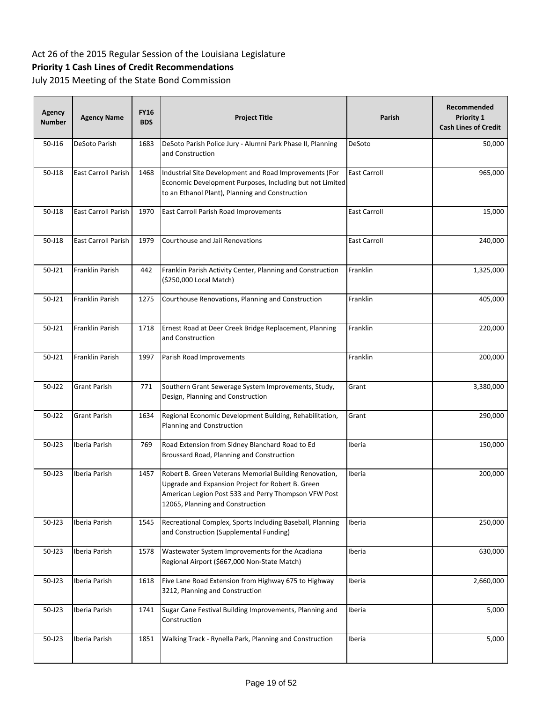## **Priority 1 Cash Lines of Credit Recommendations**

| Agency<br><b>Number</b> | <b>Agency Name</b>         | <b>FY16</b><br><b>BDS</b> | <b>Project Title</b>                                                                                                                                                                                    | Parish              | Recommended<br><b>Priority 1</b><br><b>Cash Lines of Credit</b> |
|-------------------------|----------------------------|---------------------------|---------------------------------------------------------------------------------------------------------------------------------------------------------------------------------------------------------|---------------------|-----------------------------------------------------------------|
| 50-J16                  | <b>DeSoto Parish</b>       | 1683                      | DeSoto Parish Police Jury - Alumni Park Phase II, Planning<br>and Construction                                                                                                                          | DeSoto              | 50,000                                                          |
| 50-J18                  | <b>East Carroll Parish</b> | 1468                      | Industrial Site Development and Road Improvements (For<br>Economic Development Purposes, Including but not Limited<br>to an Ethanol Plant), Planning and Construction                                   | <b>East Carroll</b> | 965,000                                                         |
| 50-J18                  | <b>East Carroll Parish</b> | 1970                      | East Carroll Parish Road Improvements                                                                                                                                                                   | <b>East Carroll</b> | 15,000                                                          |
| 50-J18                  | <b>East Carroll Parish</b> | 1979                      | Courthouse and Jail Renovations                                                                                                                                                                         | <b>East Carroll</b> | 240,000                                                         |
| 50-J21                  | Franklin Parish            | 442                       | Franklin Parish Activity Center, Planning and Construction<br>(\$250,000 Local Match)                                                                                                                   | Franklin            | 1,325,000                                                       |
| 50-J21                  | Franklin Parish            | 1275                      | Courthouse Renovations, Planning and Construction                                                                                                                                                       | Franklin            | 405,000                                                         |
| 50-J21                  | Franklin Parish            | 1718                      | Ernest Road at Deer Creek Bridge Replacement, Planning<br>and Construction                                                                                                                              | Franklin            | 220,000                                                         |
| 50-J21                  | Franklin Parish            | 1997                      | Parish Road Improvements                                                                                                                                                                                | Franklin            | 200,000                                                         |
| 50-J22                  | <b>Grant Parish</b>        | 771                       | Southern Grant Sewerage System Improvements, Study,<br>Design, Planning and Construction                                                                                                                | Grant               | 3,380,000                                                       |
| 50-J22                  | <b>Grant Parish</b>        | 1634                      | Regional Economic Development Building, Rehabilitation,<br>Planning and Construction                                                                                                                    | Grant               | 290,000                                                         |
| $50 - J23$              | Iberia Parish              | 769                       | Road Extension from Sidney Blanchard Road to Ed<br>Broussard Road, Planning and Construction                                                                                                            | Iberia              | 150,000                                                         |
| $50 - J23$              | Iberia Parish              | 1457                      | Robert B. Green Veterans Memorial Building Renovation,<br>Upgrade and Expansion Project for Robert B. Green<br>American Legion Post 533 and Perry Thompson VFW Post<br>12065, Planning and Construction | Iberia              | 200,000                                                         |
| 50-J23                  | Iberia Parish              | 1545                      | Recreational Complex, Sports Including Baseball, Planning<br>and Construction (Supplemental Funding)                                                                                                    | Iberia              | 250,000                                                         |
| 50-J23                  | Iberia Parish              | 1578                      | Wastewater System Improvements for the Acadiana<br>Regional Airport (\$667,000 Non-State Match)                                                                                                         | Iberia              | 630,000                                                         |
| 50-J23                  | Iberia Parish              | 1618                      | Five Lane Road Extension from Highway 675 to Highway<br>3212, Planning and Construction                                                                                                                 | Iberia              | 2,660,000                                                       |
| 50-J23                  | Iberia Parish              | 1741                      | Sugar Cane Festival Building Improvements, Planning and<br>Construction                                                                                                                                 | Iberia              | 5,000                                                           |
| 50-J23                  | Iberia Parish              | 1851                      | Walking Track - Rynella Park, Planning and Construction                                                                                                                                                 | Iberia              | 5,000                                                           |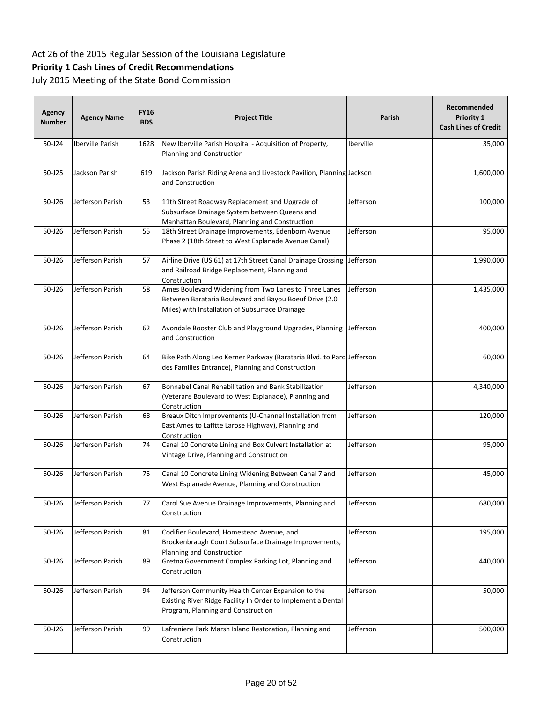## **Priority 1 Cash Lines of Credit Recommendations**

| Agency<br><b>Number</b> | <b>Agency Name</b> | <b>FY16</b><br><b>BDS</b> | <b>Project Title</b>                                                                                                                                               | <b>Parish</b> | Recommended<br><b>Priority 1</b><br><b>Cash Lines of Credit</b> |
|-------------------------|--------------------|---------------------------|--------------------------------------------------------------------------------------------------------------------------------------------------------------------|---------------|-----------------------------------------------------------------|
| 50-J24                  | Iberville Parish   | 1628                      | New Iberville Parish Hospital - Acquisition of Property,<br>Planning and Construction                                                                              | Iberville     | 35,000                                                          |
| 50-J25                  | Jackson Parish     | 619                       | Jackson Parish Riding Arena and Livestock Pavilion, Planning Jackson<br>and Construction                                                                           |               | 1,600,000                                                       |
| 50-J26                  | Jefferson Parish   | 53                        | 11th Street Roadway Replacement and Upgrade of<br>Subsurface Drainage System between Queens and<br>Manhattan Boulevard, Planning and Construction                  | Jefferson     | 100,000                                                         |
| 50-J26                  | Jefferson Parish   | 55                        | 18th Street Drainage Improvements, Edenborn Avenue<br>Phase 2 (18th Street to West Esplanade Avenue Canal)                                                         | Jefferson     | 95,000                                                          |
| 50-J26                  | Jefferson Parish   | 57                        | Airline Drive (US 61) at 17th Street Canal Drainage Crossing Jefferson<br>and Railroad Bridge Replacement, Planning and<br>Construction                            |               | 1,990,000                                                       |
| 50-J26                  | Jefferson Parish   | 58                        | Ames Boulevard Widening from Two Lanes to Three Lanes<br>Between Barataria Boulevard and Bayou Boeuf Drive (2.0<br>Miles) with Installation of Subsurface Drainage | Jefferson     | 1,435,000                                                       |
| 50-J26                  | Jefferson Parish   | 62                        | Avondale Booster Club and Playground Upgrades, Planning<br>and Construction                                                                                        | Jefferson     | 400,000                                                         |
| 50-J26                  | Jefferson Parish   | 64                        | Bike Path Along Leo Kerner Parkway (Barataria Blvd. to Parc Jefferson<br>des Familles Entrance), Planning and Construction                                         |               | 60,000                                                          |
| 50-J26                  | Jefferson Parish   | 67                        | Bonnabel Canal Rehabilitation and Bank Stabilization<br>(Veterans Boulevard to West Esplanade), Planning and<br>Construction                                       | Jefferson     | 4,340,000                                                       |
| 50-J26                  | Jefferson Parish   | 68                        | Breaux Ditch Improvements (U-Channel Installation from<br>East Ames to Lafitte Larose Highway), Planning and<br>Construction                                       | Jefferson     | 120,000                                                         |
| 50-J26                  | Jefferson Parish   | 74                        | Canal 10 Concrete Lining and Box Culvert Installation at<br>Vintage Drive, Planning and Construction                                                               | Jefferson     | 95,000                                                          |
| 50-J26                  | Jefferson Parish   | 75                        | Canal 10 Concrete Lining Widening Between Canal 7 and<br>West Esplanade Avenue, Planning and Construction                                                          | Jefferson     | 45,000                                                          |
| 50-J26                  | Jefferson Parish   | 77                        | Carol Sue Avenue Drainage Improvements, Planning and<br>Construction                                                                                               | Jefferson     | 680,000                                                         |
| 50-J26                  | Jefferson Parish   | 81                        | Codifier Boulevard, Homestead Avenue, and<br>Brockenbraugh Court Subsurface Drainage Improvements,<br>Planning and Construction                                    | Jefferson     | 195,000                                                         |
| 50-J26                  | Jefferson Parish   | 89                        | Gretna Government Complex Parking Lot, Planning and<br>Construction                                                                                                | Jefferson     | 440,000                                                         |
| 50-J26                  | Jefferson Parish   | 94                        | Jefferson Community Health Center Expansion to the<br>Existing River Ridge Facility In Order to Implement a Dental<br>Program, Planning and Construction           | Jefferson     | 50,000                                                          |
| 50-J26                  | Jefferson Parish   | 99                        | Lafreniere Park Marsh Island Restoration, Planning and<br>Construction                                                                                             | Jefferson     | 500,000                                                         |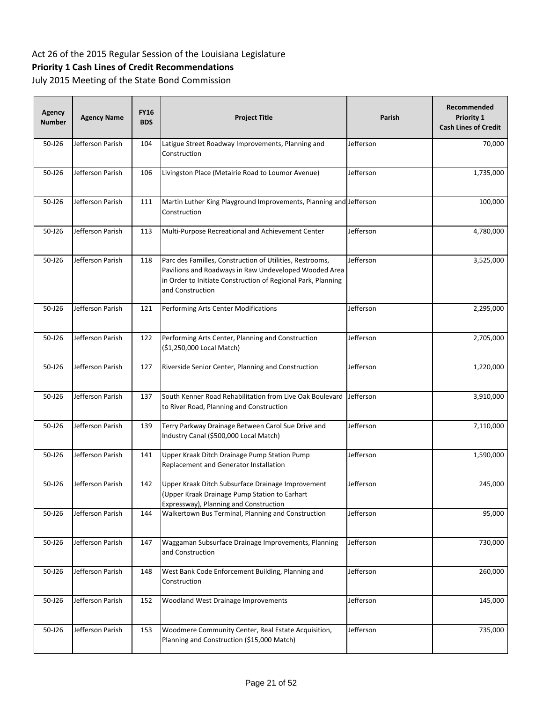## **Priority 1 Cash Lines of Credit Recommendations**

| <b>Agency</b><br><b>Number</b> | <b>Agency Name</b> | <b>FY16</b><br><b>BDS</b> | <b>Project Title</b>                                                                                                                                                                                  | <b>Parish</b> | Recommended<br>Priority 1<br><b>Cash Lines of Credit</b> |
|--------------------------------|--------------------|---------------------------|-------------------------------------------------------------------------------------------------------------------------------------------------------------------------------------------------------|---------------|----------------------------------------------------------|
| 50-J26                         | Jefferson Parish   | 104                       | Latigue Street Roadway Improvements, Planning and<br>Construction                                                                                                                                     | Jefferson     | 70,000                                                   |
| 50-J26                         | Jefferson Parish   | 106                       | Livingston Place (Metairie Road to Loumor Avenue)                                                                                                                                                     | Jefferson     | 1,735,000                                                |
| $50 - 126$                     | Jefferson Parish   | 111                       | Martin Luther King Playground Improvements, Planning and Jefferson<br>Construction                                                                                                                    |               | 100,000                                                  |
| 50-J26                         | Jefferson Parish   | 113                       | Multi-Purpose Recreational and Achievement Center                                                                                                                                                     | Jefferson     | 4,780,000                                                |
| 50-J26                         | Jefferson Parish   | 118                       | Parc des Familles, Construction of Utilities, Restrooms,<br>Pavilions and Roadways in Raw Undeveloped Wooded Area<br>in Order to Initiate Construction of Regional Park, Planning<br>and Construction | Jefferson     | 3,525,000                                                |
| 50-J26                         | Jefferson Parish   | 121                       | Performing Arts Center Modifications                                                                                                                                                                  | Jefferson     | 2,295,000                                                |
| 50-J26                         | Jefferson Parish   | 122                       | Performing Arts Center, Planning and Construction<br>(\$1,250,000 Local Match)                                                                                                                        | Jefferson     | 2,705,000                                                |
| 50-J26                         | Jefferson Parish   | 127                       | Riverside Senior Center, Planning and Construction                                                                                                                                                    | Jefferson     | 1,220,000                                                |
| 50-J26                         | Jefferson Parish   | 137                       | South Kenner Road Rehabilitation from Live Oak Boulevard<br>to River Road, Planning and Construction                                                                                                  | Jefferson     | 3,910,000                                                |
| 50-J26                         | Jefferson Parish   | 139                       | Terry Parkway Drainage Between Carol Sue Drive and<br>Industry Canal (\$500,000 Local Match)                                                                                                          | Jefferson     | 7,110,000                                                |
| 50-J26                         | Jefferson Parish   | 141                       | Upper Kraak Ditch Drainage Pump Station Pump<br>Replacement and Generator Installation                                                                                                                | Jefferson     | 1,590,000                                                |
| 50-J26                         | Jefferson Parish   | 142                       | Upper Kraak Ditch Subsurface Drainage Improvement<br>(Upper Kraak Drainage Pump Station to Earhart<br>Expressway), Planning and Construction                                                          | Jefferson     | 245,000                                                  |
| 50-J26                         | Jefferson Parish   | 144                       | Walkertown Bus Terminal, Planning and Construction                                                                                                                                                    | Jefferson     | 95,000                                                   |
| 50-J26                         | Jefferson Parish   | 147                       | Waggaman Subsurface Drainage Improvements, Planning<br>and Construction                                                                                                                               | Jefferson     | 730,000                                                  |
| 50-J26                         | Jefferson Parish   | 148                       | West Bank Code Enforcement Building, Planning and<br>Construction                                                                                                                                     | Jefferson     | 260,000                                                  |
| 50-J26                         | Jefferson Parish   | 152                       | Woodland West Drainage Improvements                                                                                                                                                                   | Jefferson     | 145,000                                                  |
| 50-J26                         | Jefferson Parish   | 153                       | Woodmere Community Center, Real Estate Acquisition,<br>Planning and Construction (\$15,000 Match)                                                                                                     | Jefferson     | 735,000                                                  |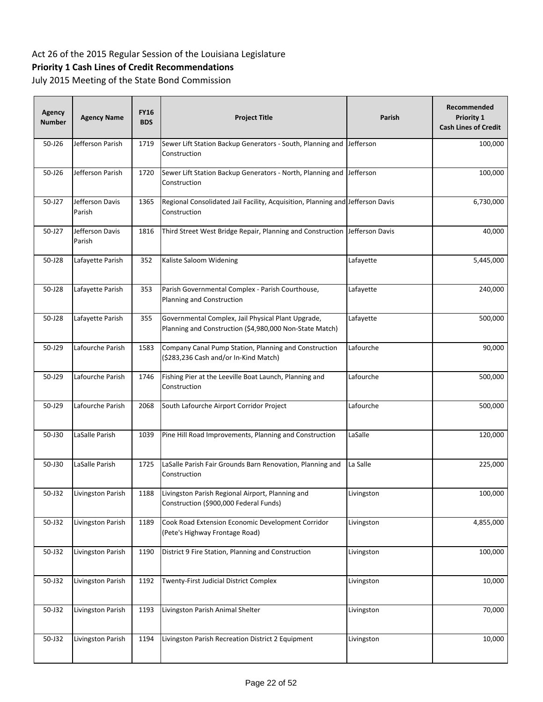## **Priority 1 Cash Lines of Credit Recommendations**

| Agency<br><b>Number</b> | <b>Agency Name</b>        | <b>FY16</b><br><b>BDS</b> | <b>Project Title</b>                                                                                          | Parish     | Recommended<br>Priority 1<br><b>Cash Lines of Credit</b> |
|-------------------------|---------------------------|---------------------------|---------------------------------------------------------------------------------------------------------------|------------|----------------------------------------------------------|
| 50-J26                  | Jefferson Parish          | 1719                      | Sewer Lift Station Backup Generators - South, Planning and Jefferson<br>Construction                          |            | 100,000                                                  |
| 50-J26                  | Jefferson Parish          | 1720                      | Sewer Lift Station Backup Generators - North, Planning and<br>Construction                                    | Jefferson  | 100,000                                                  |
| 50-J27                  | Jefferson Davis<br>Parish | 1365                      | Regional Consolidated Jail Facility, Acquisition, Planning and Jefferson Davis<br>Construction                |            | 6,730,000                                                |
| 50-J27                  | Jefferson Davis<br>Parish | 1816                      | Third Street West Bridge Repair, Planning and Construction Jefferson Davis                                    |            | 40,000                                                   |
| 50-J28                  | Lafayette Parish          | 352                       | Kaliste Saloom Widening                                                                                       | Lafayette  | 5,445,000                                                |
| 50-J28                  | Lafayette Parish          | 353                       | Parish Governmental Complex - Parish Courthouse,<br>Planning and Construction                                 | Lafayette  | 240,000                                                  |
| 50-J28                  | Lafayette Parish          | 355                       | Governmental Complex, Jail Physical Plant Upgrade,<br>Planning and Construction (\$4,980,000 Non-State Match) | Lafayette  | 500,000                                                  |
| 50-J29                  | Lafourche Parish          | 1583                      | Company Canal Pump Station, Planning and Construction<br>(\$283,236 Cash and/or In-Kind Match)                | Lafourche  | 90,000                                                   |
| 50-J29                  | Lafourche Parish          | 1746                      | Fishing Pier at the Leeville Boat Launch, Planning and<br>Construction                                        | Lafourche  | 500,000                                                  |
| 50-J29                  | Lafourche Parish          | 2068                      | South Lafourche Airport Corridor Project                                                                      | Lafourche  | 500,000                                                  |
| 50-J30                  | LaSalle Parish            | 1039                      | Pine Hill Road Improvements, Planning and Construction                                                        | LaSalle    | 120,000                                                  |
| 50-J30                  | LaSalle Parish            | 1725                      | LaSalle Parish Fair Grounds Barn Renovation, Planning and<br>Construction                                     | La Salle   | 225,000                                                  |
| 50-J32                  | Livingston Parish         | 1188                      | Livingston Parish Regional Airport, Planning and<br>Construction (\$900,000 Federal Funds)                    | Livingston | 100,000                                                  |
| 50-J32                  | Livingston Parish         | 1189                      | Cook Road Extension Economic Development Corridor<br>(Pete's Highway Frontage Road)                           | Livingston | 4,855,000                                                |
| 50-J32                  | Livingston Parish         | 1190                      | District 9 Fire Station, Planning and Construction                                                            | Livingston | 100,000                                                  |
| 50-J32                  | Livingston Parish         | 1192                      | Twenty-First Judicial District Complex                                                                        | Livingston | 10,000                                                   |
| 50-J32                  | Livingston Parish         | 1193                      | Livingston Parish Animal Shelter                                                                              | Livingston | 70,000                                                   |
| 50-J32                  | Livingston Parish         | 1194                      | Livingston Parish Recreation District 2 Equipment                                                             | Livingston | 10,000                                                   |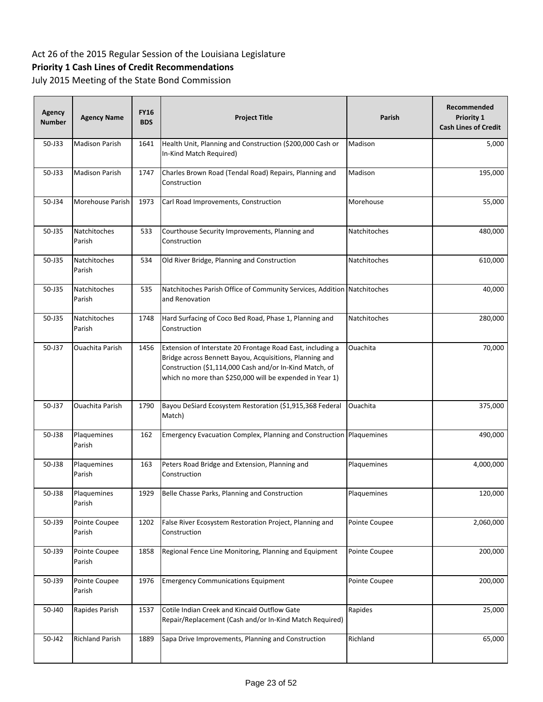## **Priority 1 Cash Lines of Credit Recommendations**

| <b>Agency</b><br><b>Number</b> | <b>Agency Name</b>      | <b>FY16</b><br><b>BDS</b> | <b>Project Title</b>                                                                                                                                                                                                                         | Parish        | Recommended<br>Priority 1<br><b>Cash Lines of Credit</b> |
|--------------------------------|-------------------------|---------------------------|----------------------------------------------------------------------------------------------------------------------------------------------------------------------------------------------------------------------------------------------|---------------|----------------------------------------------------------|
| 50-J33                         | <b>Madison Parish</b>   | 1641                      | Health Unit, Planning and Construction (\$200,000 Cash or<br>In-Kind Match Required)                                                                                                                                                         | Madison       | 5,000                                                    |
| 50-J33                         | <b>Madison Parish</b>   | 1747                      | Charles Brown Road (Tendal Road) Repairs, Planning and<br>Construction                                                                                                                                                                       | Madison       | 195,000                                                  |
| 50-J34                         | Morehouse Parish        | 1973                      | Carl Road Improvements, Construction                                                                                                                                                                                                         | Morehouse     | 55,000                                                   |
| 50-J35                         | Natchitoches<br>Parish  | 533                       | Courthouse Security Improvements, Planning and<br>Construction                                                                                                                                                                               | Natchitoches  | 480,000                                                  |
| 50-J35                         | Natchitoches<br>Parish  | 534                       | Old River Bridge, Planning and Construction                                                                                                                                                                                                  | Natchitoches  | 610,000                                                  |
| 50-J35                         | Natchitoches<br>Parish  | 535                       | Natchitoches Parish Office of Community Services, Addition Natchitoches<br>and Renovation                                                                                                                                                    |               | 40,000                                                   |
| 50-J35                         | Natchitoches<br>Parish  | 1748                      | Hard Surfacing of Coco Bed Road, Phase 1, Planning and<br>Construction                                                                                                                                                                       | Natchitoches  | 280,000                                                  |
| 50-J37                         | <b>Ouachita Parish</b>  | 1456                      | Extension of Interstate 20 Frontage Road East, including a<br>Bridge across Bennett Bayou, Acquisitions, Planning and<br>Construction (\$1,114,000 Cash and/or In-Kind Match, of<br>which no more than \$250,000 will be expended in Year 1) | Ouachita      | 70,000                                                   |
| 50-J37                         | Ouachita Parish         | 1790                      | Bayou DeSiard Ecosystem Restoration (\$1,915,368 Federal<br>Match)                                                                                                                                                                           | Ouachita      | 375,000                                                  |
| 50-J38                         | Plaquemines<br>Parish   | 162                       | Emergency Evacuation Complex, Planning and Construction Plaquemines                                                                                                                                                                          |               | 490,000                                                  |
| 50-J38                         | Plaquemines<br>Parish   | 163                       | Peters Road Bridge and Extension, Planning and<br>Construction                                                                                                                                                                               | Plaquemines   | 4,000,000                                                |
| 50-J38                         | Plaquemines<br>Parish   | 1929                      | Belle Chasse Parks, Planning and Construction                                                                                                                                                                                                | Plaquemines   | 120,000                                                  |
| 50-J39                         | Pointe Coupee<br>Parish | 1202                      | False River Ecosystem Restoration Project, Planning and<br>Construction                                                                                                                                                                      | Pointe Coupee | 2,060,000                                                |
| 50-J39                         | Pointe Coupee<br>Parish | 1858                      | Regional Fence Line Monitoring, Planning and Equipment                                                                                                                                                                                       | Pointe Coupee | 200,000                                                  |
| 50-J39                         | Pointe Coupee<br>Parish | 1976                      | <b>Emergency Communications Equipment</b>                                                                                                                                                                                                    | Pointe Coupee | 200,000                                                  |
| 50-J40                         | Rapides Parish          | 1537                      | Cotile Indian Creek and Kincaid Outflow Gate<br>Repair/Replacement (Cash and/or In-Kind Match Required)                                                                                                                                      | Rapides       | 25,000                                                   |
| 50-J42                         | <b>Richland Parish</b>  | 1889                      | Sapa Drive Improvements, Planning and Construction                                                                                                                                                                                           | Richland      | 65,000                                                   |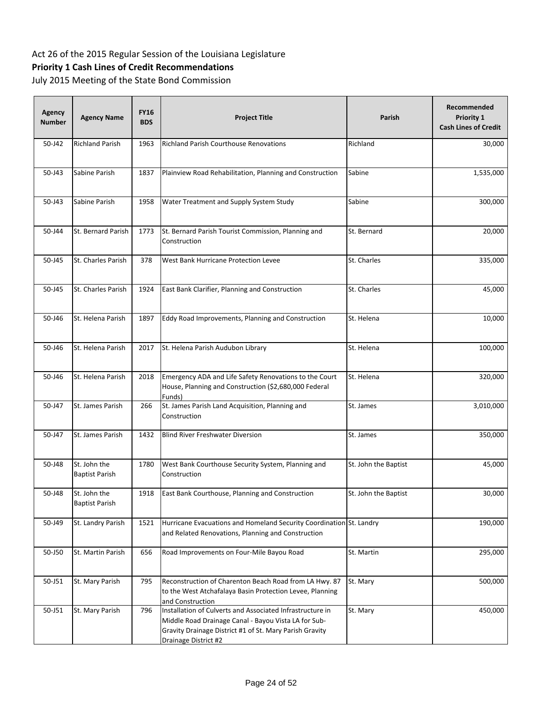## **Priority 1 Cash Lines of Credit Recommendations**

| Agency<br><b>Number</b> | <b>Agency Name</b>                    | <b>FY16</b><br><b>BDS</b> | <b>Project Title</b>                                                                                                                                                                                 | Parish               | Recommended<br>Priority 1<br><b>Cash Lines of Credit</b> |
|-------------------------|---------------------------------------|---------------------------|------------------------------------------------------------------------------------------------------------------------------------------------------------------------------------------------------|----------------------|----------------------------------------------------------|
| 50-J42                  | <b>Richland Parish</b>                | 1963                      | <b>Richland Parish Courthouse Renovations</b>                                                                                                                                                        | Richland             | 30,000                                                   |
| 50-J43                  | Sabine Parish                         | 1837                      | Plainview Road Rehabilitation, Planning and Construction                                                                                                                                             | Sabine               | 1,535,000                                                |
| 50-J43                  | Sabine Parish                         | 1958                      | Water Treatment and Supply System Study                                                                                                                                                              | Sabine               | 300,000                                                  |
| 50-J44                  | St. Bernard Parish                    | 1773                      | St. Bernard Parish Tourist Commission, Planning and<br>Construction                                                                                                                                  | St. Bernard          | 20,000                                                   |
| 50-J45                  | St. Charles Parish                    | 378                       | West Bank Hurricane Protection Levee                                                                                                                                                                 | St. Charles          | 335,000                                                  |
| 50-J45                  | St. Charles Parish                    | 1924                      | East Bank Clarifier, Planning and Construction                                                                                                                                                       | St. Charles          | 45,000                                                   |
| 50-J46                  | St. Helena Parish                     | 1897                      | Eddy Road Improvements, Planning and Construction                                                                                                                                                    | St. Helena           | 10,000                                                   |
| 50-J46                  | St. Helena Parish                     | 2017                      | St. Helena Parish Audubon Library                                                                                                                                                                    | St. Helena           | 100,000                                                  |
| 50-J46                  | St. Helena Parish                     | 2018                      | Emergency ADA and Life Safety Renovations to the Court<br>House, Planning and Construction (\$2,680,000 Federal<br>Funds)                                                                            | St. Helena           | 320,000                                                  |
| 50-J47                  | St. James Parish                      | 266                       | St. James Parish Land Acquisition, Planning and<br>Construction                                                                                                                                      | St. James            | 3,010,000                                                |
| 50-J47                  | St. James Parish                      | 1432                      | <b>Blind River Freshwater Diversion</b>                                                                                                                                                              | St. James            | 350,000                                                  |
| 50-J48                  | St. John the<br><b>Baptist Parish</b> | 1780                      | West Bank Courthouse Security System, Planning and<br>Construction                                                                                                                                   | St. John the Baptist | 45,000                                                   |
| 50-J48                  | St. John the<br><b>Baptist Parish</b> | 1918                      | East Bank Courthouse, Planning and Construction                                                                                                                                                      | St. John the Baptist | 30,000                                                   |
| 50-J49                  | St. Landry Parish                     | 1521                      | Hurricane Evacuations and Homeland Security Coordination St. Landry<br>and Related Renovations, Planning and Construction                                                                            |                      | 190,000                                                  |
| 50-J50                  | St. Martin Parish                     | 656                       | Road Improvements on Four-Mile Bayou Road                                                                                                                                                            | St. Martin           | 295,000                                                  |
| 50-J51                  | St. Mary Parish                       | 795                       | Reconstruction of Charenton Beach Road from LA Hwy. 87<br>to the West Atchafalaya Basin Protection Levee, Planning<br>and Construction                                                               | St. Mary             | 500,000                                                  |
| 50-J51                  | St. Mary Parish                       | 796                       | Installation of Culverts and Associated Infrastructure in<br>Middle Road Drainage Canal - Bayou Vista LA for Sub-<br>Gravity Drainage District #1 of St. Mary Parish Gravity<br>Drainage District #2 | St. Mary             | 450,000                                                  |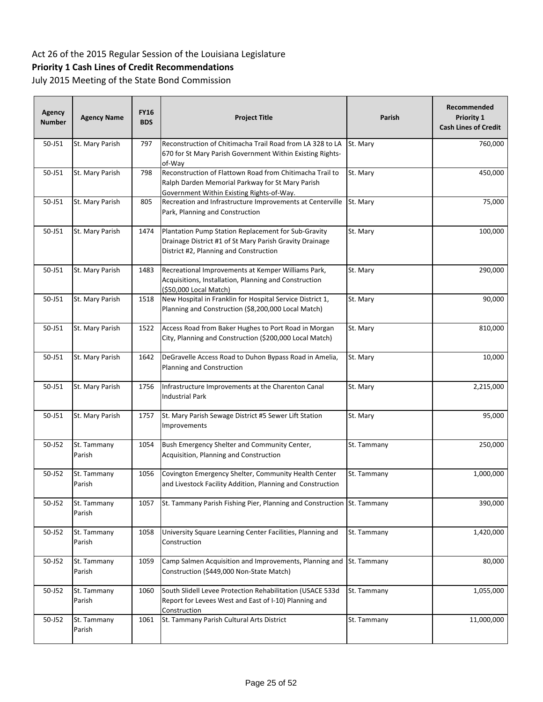## **Priority 1 Cash Lines of Credit Recommendations**

| Agency<br><b>Number</b> | <b>Agency Name</b>    | <b>FY16</b><br><b>BDS</b> | <b>Project Title</b>                                                                                                                                      | <b>Parish</b> | Recommended<br>Priority 1<br><b>Cash Lines of Credit</b> |
|-------------------------|-----------------------|---------------------------|-----------------------------------------------------------------------------------------------------------------------------------------------------------|---------------|----------------------------------------------------------|
| 50-J51                  | St. Mary Parish       | 797                       | Reconstruction of Chitimacha Trail Road from LA 328 to LA<br>670 for St Mary Parish Government Within Existing Rights-<br>of-Way                          | St. Mary      | 760,000                                                  |
| 50-J51                  | St. Mary Parish       | 798                       | Reconstruction of Flattown Road from Chitimacha Trail to<br>Ralph Darden Memorial Parkway for St Mary Parish<br>Government Within Existing Rights-of-Way. | St. Mary      | 450,000                                                  |
| 50-J51                  | St. Mary Parish       | 805                       | Recreation and Infrastructure Improvements at Centerville<br>Park, Planning and Construction                                                              | St. Mary      | 75,000                                                   |
| 50-J51                  | St. Mary Parish       | 1474                      | Plantation Pump Station Replacement for Sub-Gravity<br>Drainage District #1 of St Mary Parish Gravity Drainage<br>District #2, Planning and Construction  | St. Mary      | 100,000                                                  |
| 50-J51                  | St. Mary Parish       | 1483                      | Recreational Improvements at Kemper Williams Park,<br>Acquisitions, Installation, Planning and Construction<br>(\$50,000 Local Match)                     | St. Mary      | 290,000                                                  |
| 50-J51                  | St. Mary Parish       | 1518                      | New Hospital in Franklin for Hospital Service District 1,<br>Planning and Construction (\$8,200,000 Local Match)                                          | St. Mary      | 90,000                                                   |
| 50-J51                  | St. Mary Parish       | 1522                      | Access Road from Baker Hughes to Port Road in Morgan<br>City, Planning and Construction (\$200,000 Local Match)                                           | St. Mary      | 810,000                                                  |
| 50-J51                  | St. Mary Parish       | 1642                      | DeGravelle Access Road to Duhon Bypass Road in Amelia,<br>Planning and Construction                                                                       | St. Mary      | 10,000                                                   |
| 50-J51                  | St. Mary Parish       | 1756                      | Infrastructure Improvements at the Charenton Canal<br><b>Industrial Park</b>                                                                              | St. Mary      | 2,215,000                                                |
| 50-J51                  | St. Mary Parish       | 1757                      | St. Mary Parish Sewage District #5 Sewer Lift Station<br>Improvements                                                                                     | St. Mary      | 95,000                                                   |
| 50-J52                  | St. Tammany<br>Parish | 1054                      | Bush Emergency Shelter and Community Center,<br>Acquisition, Planning and Construction                                                                    | St. Tammany   | 250,000                                                  |
| 50-J52                  | St. Tammany<br>Parish | 1056                      | Covington Emergency Shelter, Community Health Center<br>and Livestock Facility Addition, Planning and Construction                                        | St. Tammany   | 1,000,000                                                |
| 50-J52                  | St. Tammany<br>Parish | 1057                      | St. Tammany Parish Fishing Pier, Planning and Construction St. Tammany                                                                                    |               | 390,000                                                  |
| 50-J52                  | St. Tammany<br>Parish | 1058                      | University Square Learning Center Facilities, Planning and<br>Construction                                                                                | St. Tammany   | 1,420,000                                                |
| 50-J52                  | St. Tammany<br>Parish | 1059                      | Camp Salmen Acquisition and Improvements, Planning and<br>Construction (\$449,000 Non-State Match)                                                        | St. Tammany   | 80,000                                                   |
| 50-J52                  | St. Tammany<br>Parish | 1060                      | South Slidell Levee Protection Rehabilitation (USACE 533d<br>Report for Levees West and East of I-10) Planning and<br>Construction                        | St. Tammany   | 1,055,000                                                |
| 50-J52                  | St. Tammany<br>Parish | 1061                      | St. Tammany Parish Cultural Arts District                                                                                                                 | St. Tammany   | 11,000,000                                               |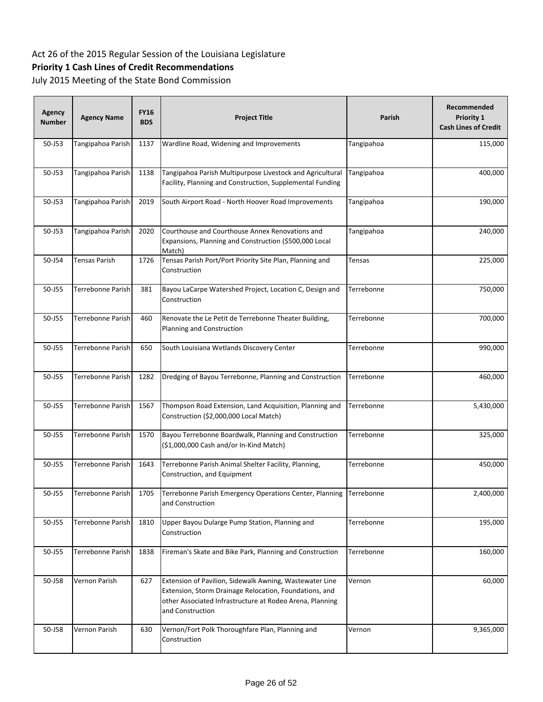## **Priority 1 Cash Lines of Credit Recommendations**

| <b>Agency</b><br><b>Number</b> | <b>Agency Name</b> | <b>FY16</b><br><b>BDS</b> | <b>Project Title</b>                                                                                                                                                                              | <b>Parish</b> | Recommended<br>Priority 1<br><b>Cash Lines of Credit</b> |
|--------------------------------|--------------------|---------------------------|---------------------------------------------------------------------------------------------------------------------------------------------------------------------------------------------------|---------------|----------------------------------------------------------|
| 50-J53                         | Tangipahoa Parish  | 1137                      | Wardline Road, Widening and Improvements                                                                                                                                                          | Tangipahoa    | 115,000                                                  |
| 50-J53                         | Tangipahoa Parish  | 1138                      | Tangipahoa Parish Multipurpose Livestock and Agricultural<br>Facility, Planning and Construction, Supplemental Funding                                                                            | Tangipahoa    | 400,000                                                  |
| $50 - 153$                     | Tangipahoa Parish  | 2019                      | South Airport Road - North Hoover Road Improvements                                                                                                                                               | Tangipahoa    | 190,000                                                  |
| 50-J53                         | Tangipahoa Parish  | 2020                      | Courthouse and Courthouse Annex Renovations and<br>Expansions, Planning and Construction (\$500,000 Local<br>Match)                                                                               | Tangipahoa    | 240,000                                                  |
| 50-J54                         | Tensas Parish      | 1726                      | Tensas Parish Port/Port Priority Site Plan, Planning and<br>Construction                                                                                                                          | Tensas        | 225,000                                                  |
| 50-J55                         | Terrebonne Parish  | 381                       | Bayou LaCarpe Watershed Project, Location C, Design and<br>Construction                                                                                                                           | Terrebonne    | 750,000                                                  |
| 50-J55                         | Terrebonne Parish  | 460                       | Renovate the Le Petit de Terrebonne Theater Building,<br>Planning and Construction                                                                                                                | Terrebonne    | 700,000                                                  |
| 50-J55                         | Terrebonne Parish  | 650                       | South Louisiana Wetlands Discovery Center                                                                                                                                                         | Terrebonne    | 990,000                                                  |
| 50-J55                         | Terrebonne Parish  | 1282                      | Dredging of Bayou Terrebonne, Planning and Construction                                                                                                                                           | Terrebonne    | 460,000                                                  |
| 50-J55                         | Terrebonne Parish  | 1567                      | Thompson Road Extension, Land Acquisition, Planning and<br>Construction (\$2,000,000 Local Match)                                                                                                 | Terrebonne    | 5,430,000                                                |
| 50-J55                         | Terrebonne Parish  | 1570                      | Bayou Terrebonne Boardwalk, Planning and Construction<br>(\$1,000,000 Cash and/or In-Kind Match)                                                                                                  | Terrebonne    | 325,000                                                  |
| 50-J55                         | Terrebonne Parish  | 1643                      | Terrebonne Parish Animal Shelter Facility, Planning,<br>Construction, and Equipment                                                                                                               | Terrebonne    | 450,000                                                  |
| 50-J55                         | Terrebonne Parish  | 1705                      | Terrebonne Parish Emergency Operations Center, Planning Terrebonne<br>and Construction                                                                                                            |               | 2,400,000                                                |
| 50-J55                         | Terrebonne Parish  | 1810                      | Upper Bayou Dularge Pump Station, Planning and<br>Construction                                                                                                                                    | Terrebonne    | 195,000                                                  |
| 50-J55                         | Terrebonne Parish  | 1838                      | Fireman's Skate and Bike Park, Planning and Construction                                                                                                                                          | Terrebonne    | 160,000                                                  |
| 50-J58                         | Vernon Parish      | 627                       | Extension of Pavilion, Sidewalk Awning, Wastewater Line<br>Extension, Storm Drainage Relocation, Foundations, and<br>other Associated Infrastructure at Rodeo Arena, Planning<br>and Construction | Vernon        | 60,000                                                   |
| 50-J58                         | Vernon Parish      | 630                       | Vernon/Fort Polk Thoroughfare Plan, Planning and<br>Construction                                                                                                                                  | Vernon        | 9,365,000                                                |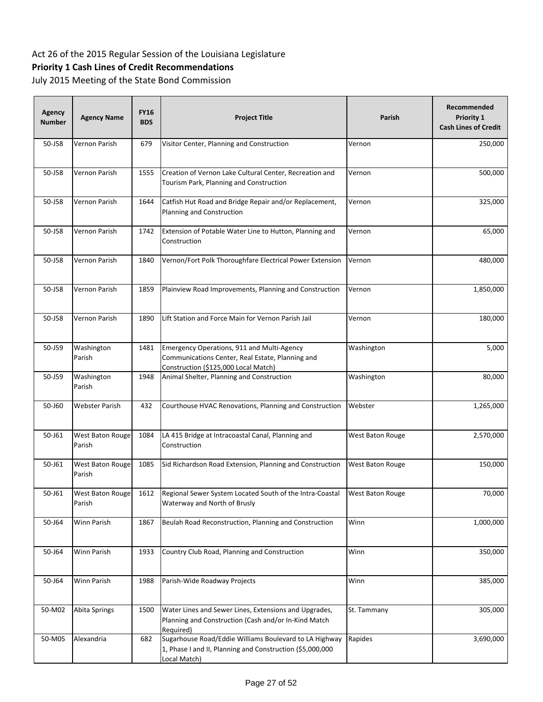## **Priority 1 Cash Lines of Credit Recommendations**

| <b>Agency</b><br><b>Number</b> | <b>Agency Name</b>         | <b>FY16</b><br><b>BDS</b> | <b>Project Title</b>                                                                                                                   | Parish                  | Recommended<br>Priority 1<br><b>Cash Lines of Credit</b> |
|--------------------------------|----------------------------|---------------------------|----------------------------------------------------------------------------------------------------------------------------------------|-------------------------|----------------------------------------------------------|
| 50-J58                         | Vernon Parish              | 679                       | Visitor Center, Planning and Construction                                                                                              | Vernon                  | 250,000                                                  |
| 50-J58                         | Vernon Parish              | 1555                      | Creation of Vernon Lake Cultural Center, Recreation and<br>Tourism Park, Planning and Construction                                     | Vernon                  | 500,000                                                  |
| 50-J58                         | Vernon Parish              | 1644                      | Catfish Hut Road and Bridge Repair and/or Replacement,<br>Planning and Construction                                                    | Vernon                  | 325,000                                                  |
| 50-J58                         | Vernon Parish              | 1742                      | Extension of Potable Water Line to Hutton, Planning and<br>Construction                                                                | Vernon                  | 65,000                                                   |
| 50-J58                         | Vernon Parish              | 1840                      | Vernon/Fort Polk Thoroughfare Electrical Power Extension                                                                               | Vernon                  | 480,000                                                  |
| 50-J58                         | Vernon Parish              | 1859                      | Plainview Road Improvements, Planning and Construction                                                                                 | Vernon                  | 1,850,000                                                |
| 50-J58                         | Vernon Parish              | 1890                      | Lift Station and Force Main for Vernon Parish Jail                                                                                     | Vernon                  | 180,000                                                  |
| 50-J59                         | Washington<br>Parish       | 1481                      | Emergency Operations, 911 and Multi-Agency<br>Communications Center, Real Estate, Planning and<br>Construction (\$125,000 Local Match) | Washington              | 5,000                                                    |
| 50-J59                         | Washington<br>Parish       | 1948                      | Animal Shelter, Planning and Construction                                                                                              | Washington              | 80,000                                                   |
| 50-J60                         | Webster Parish             | 432                       | Courthouse HVAC Renovations, Planning and Construction                                                                                 | Webster                 | 1,265,000                                                |
| 50-J61                         | West Baton Rouge<br>Parish | 1084                      | LA 415 Bridge at Intracoastal Canal, Planning and<br>Construction                                                                      | West Baton Rouge        | 2,570,000                                                |
| 50-J61                         | West Baton Rouge<br>Parish | 1085                      | Sid Richardson Road Extension, Planning and Construction                                                                               | West Baton Rouge        | 150,000                                                  |
| 50-J61                         | West Baton Rouge<br>Parish | 1612                      | Regional Sewer System Located South of the Intra-Coastal<br>Waterway and North of Brusly                                               | <b>West Baton Rouge</b> | 70,000                                                   |
| 50-J64                         | Winn Parish                | 1867                      | Beulah Road Reconstruction, Planning and Construction                                                                                  | Winn                    | 1,000,000                                                |
| 50-J64                         | Winn Parish                | 1933                      | Country Club Road, Planning and Construction                                                                                           | Winn                    | 350,000                                                  |
| 50-J64                         | Winn Parish                | 1988                      | Parish-Wide Roadway Projects                                                                                                           | Winn                    | 385,000                                                  |
| 50-M02                         | Abita Springs              | 1500                      | Water Lines and Sewer Lines, Extensions and Upgrades,<br>Planning and Construction (Cash and/or In-Kind Match<br>Required)             | St. Tammany             | 305,000                                                  |
| 50-M05                         | Alexandria                 | 682                       | Sugarhouse Road/Eddie Williams Boulevard to LA Highway<br>1, Phase I and II, Planning and Construction (\$5,000,000<br>Local Match)    | Rapides                 | 3,690,000                                                |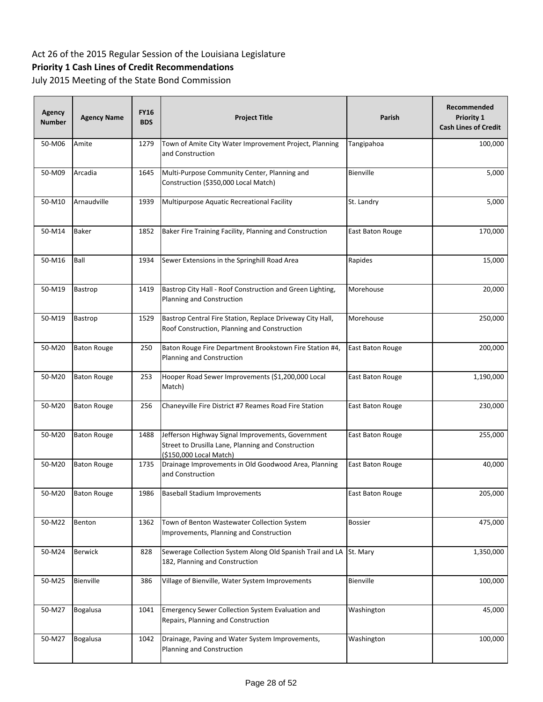## **Priority 1 Cash Lines of Credit Recommendations**

| <b>Agency</b><br><b>Number</b> | <b>Agency Name</b> | <b>FY16</b><br><b>BDS</b> | <b>Project Title</b>                                                                                                               | Parish           | Recommended<br>Priority 1<br><b>Cash Lines of Credit</b> |
|--------------------------------|--------------------|---------------------------|------------------------------------------------------------------------------------------------------------------------------------|------------------|----------------------------------------------------------|
| 50-M06                         | Amite              | 1279                      | Town of Amite City Water Improvement Project, Planning<br>and Construction                                                         | Tangipahoa       | 100,000                                                  |
| 50-M09                         | Arcadia            | 1645                      | Multi-Purpose Community Center, Planning and<br>Construction (\$350,000 Local Match)                                               | Bienville        | 5,000                                                    |
| 50-M10                         | Arnaudville        | 1939                      | Multipurpose Aquatic Recreational Facility                                                                                         | St. Landry       | 5,000                                                    |
| 50-M14                         | <b>Baker</b>       | 1852                      | Baker Fire Training Facility, Planning and Construction                                                                            | East Baton Rouge | 170,000                                                  |
| 50-M16                         | Ball               | 1934                      | Sewer Extensions in the Springhill Road Area                                                                                       | Rapides          | 15,000                                                   |
| 50-M19                         | Bastrop            | 1419                      | Bastrop City Hall - Roof Construction and Green Lighting,<br>Planning and Construction                                             | Morehouse        | 20,000                                                   |
| 50-M19                         | Bastrop            | 1529                      | Bastrop Central Fire Station, Replace Driveway City Hall,<br>Roof Construction, Planning and Construction                          | Morehouse        | 250,000                                                  |
| 50-M20                         | <b>Baton Rouge</b> | 250                       | Baton Rouge Fire Department Brookstown Fire Station #4,<br>Planning and Construction                                               | East Baton Rouge | 200,000                                                  |
| 50-M20                         | <b>Baton Rouge</b> | 253                       | Hooper Road Sewer Improvements (\$1,200,000 Local<br>Match)                                                                        | East Baton Rouge | 1,190,000                                                |
| 50-M20                         | <b>Baton Rouge</b> | 256                       | Chaneyville Fire District #7 Reames Road Fire Station                                                                              | East Baton Rouge | 230,000                                                  |
| 50-M20                         | <b>Baton Rouge</b> | 1488                      | Jefferson Highway Signal Improvements, Government<br>Street to Drusilla Lane, Planning and Construction<br>(\$150,000 Local Match) | East Baton Rouge | 255,000                                                  |
| 50-M20                         | <b>Baton Rouge</b> | 1735                      | Drainage Improvements in Old Goodwood Area, Planning<br>and Construction                                                           | East Baton Rouge | 40,000                                                   |
| 50-M20                         | <b>Baton Rouge</b> | 1986                      | <b>Baseball Stadium Improvements</b>                                                                                               | East Baton Rouge | 205,000                                                  |
| 50-M22                         | Benton             | 1362                      | Town of Benton Wastewater Collection System<br>Improvements, Planning and Construction                                             | <b>Bossier</b>   | 475,000                                                  |
| 50-M24                         | <b>Berwick</b>     | 828                       | Sewerage Collection System Along Old Spanish Trail and LA<br>182, Planning and Construction                                        | St. Mary         | 1,350,000                                                |
| 50-M25                         | Bienville          | 386                       | Village of Bienville, Water System Improvements                                                                                    | Bienville        | 100,000                                                  |
| 50-M27                         | Bogalusa           | 1041                      | <b>Emergency Sewer Collection System Evaluation and</b><br>Repairs, Planning and Construction                                      | Washington       | 45,000                                                   |
| 50-M27                         | <b>Bogalusa</b>    | 1042                      | Drainage, Paving and Water System Improvements,<br>Planning and Construction                                                       | Washington       | 100,000                                                  |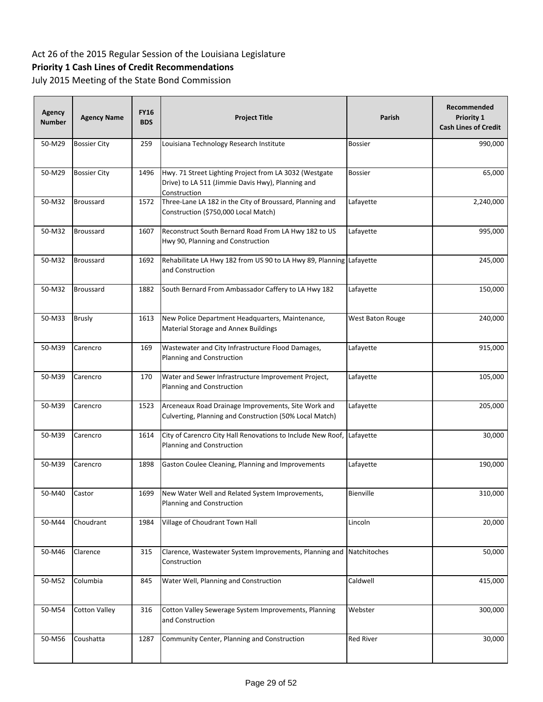# **Priority 1 Cash Lines of Credit Recommendations**

| <b>Agency</b><br><b>Number</b> | <b>Agency Name</b>   | <b>FY16</b><br><b>BDS</b> | <b>Project Title</b>                                                                                                        | Parish           | Recommended<br>Priority 1<br><b>Cash Lines of Credit</b> |
|--------------------------------|----------------------|---------------------------|-----------------------------------------------------------------------------------------------------------------------------|------------------|----------------------------------------------------------|
| 50-M29                         | <b>Bossier City</b>  | 259                       | Louisiana Technology Research Institute                                                                                     | <b>Bossier</b>   | 990,000                                                  |
| 50-M29                         | <b>Bossier City</b>  | 1496                      | Hwy. 71 Street Lighting Project from LA 3032 (Westgate<br>Drive) to LA 511 (Jimmie Davis Hwy), Planning and<br>Construction | <b>Bossier</b>   | 65,000                                                   |
| 50-M32                         | <b>Broussard</b>     | 1572                      | Three-Lane LA 182 in the City of Broussard, Planning and<br>Construction (\$750,000 Local Match)                            | Lafayette        | 2,240,000                                                |
| 50-M32                         | <b>Broussard</b>     | 1607                      | Reconstruct South Bernard Road From LA Hwy 182 to US<br>Hwy 90, Planning and Construction                                   | Lafayette        | 995,000                                                  |
| 50-M32                         | <b>Broussard</b>     | 1692                      | Rehabilitate LA Hwy 182 from US 90 to LA Hwy 89, Planning Lafayette<br>and Construction                                     |                  | 245,000                                                  |
| 50-M32                         | <b>Broussard</b>     | 1882                      | South Bernard From Ambassador Caffery to LA Hwy 182                                                                         | Lafayette        | 150,000                                                  |
| 50-M33                         | <b>Brusly</b>        | 1613                      | New Police Department Headquarters, Maintenance,<br>Material Storage and Annex Buildings                                    | West Baton Rouge | 240,000                                                  |
| 50-M39                         | Carencro             | 169                       | Wastewater and City Infrastructure Flood Damages,<br>Planning and Construction                                              | Lafayette        | 915,000                                                  |
| 50-M39                         | Carencro             | 170                       | Water and Sewer Infrastructure Improvement Project,<br>Planning and Construction                                            | Lafayette        | 105,000                                                  |
| 50-M39                         | Carencro             | 1523                      | Arceneaux Road Drainage Improvements, Site Work and<br>Culverting, Planning and Construction (50% Local Match)              | Lafayette        | 205,000                                                  |
| 50-M39                         | Carencro             | 1614                      | City of Carencro City Hall Renovations to Include New Roof,<br>Planning and Construction                                    | Lafayette        | 30,000                                                   |
| 50-M39                         | Carencro             | 1898                      | Gaston Coulee Cleaning, Planning and Improvements                                                                           | Lafayette        | 190,000                                                  |
| 50-M40                         | Castor               | 1699                      | New Water Well and Related System Improvements,<br>Planning and Construction                                                | Bienville        | 310,000                                                  |
| 50-M44                         | Choudrant            | 1984                      | Village of Choudrant Town Hall                                                                                              | Lincoln          | 20,000                                                   |
| 50-M46                         | Clarence             | 315                       | Clarence, Wastewater System Improvements, Planning and<br>Construction                                                      | Natchitoches     | 50,000                                                   |
| 50-M52                         | Columbia             | 845                       | Water Well, Planning and Construction                                                                                       | Caldwell         | 415,000                                                  |
| 50-M54                         | <b>Cotton Valley</b> | 316                       | Cotton Valley Sewerage System Improvements, Planning<br>and Construction                                                    | Webster          | 300,000                                                  |
| 50-M56                         | Coushatta            | 1287                      | Community Center, Planning and Construction                                                                                 | <b>Red River</b> | 30,000                                                   |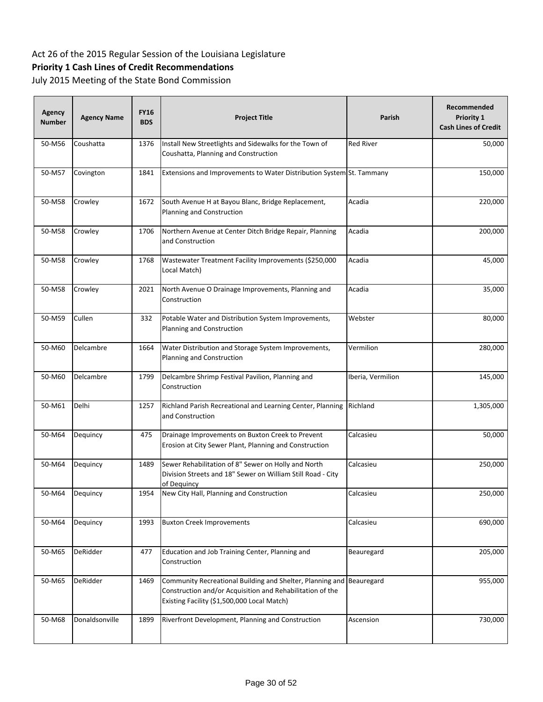# **Priority 1 Cash Lines of Credit Recommendations**

| Agency<br><b>Number</b> | <b>Agency Name</b> | <b>FY16</b><br><b>BDS</b> | <b>Project Title</b>                                                                                                                                                  | Parish            | Recommended<br>Priority 1<br><b>Cash Lines of Credit</b> |
|-------------------------|--------------------|---------------------------|-----------------------------------------------------------------------------------------------------------------------------------------------------------------------|-------------------|----------------------------------------------------------|
| 50-M56                  | Coushatta          | 1376                      | Install New Streetlights and Sidewalks for the Town of<br>Coushatta, Planning and Construction                                                                        | <b>Red River</b>  | 50,000                                                   |
| 50-M57                  | Covington          | 1841                      | Extensions and Improvements to Water Distribution System St. Tammany                                                                                                  |                   | 150,000                                                  |
| 50-M58                  | Crowley            | 1672                      | South Avenue H at Bayou Blanc, Bridge Replacement,<br>Planning and Construction                                                                                       | Acadia            | 220,000                                                  |
| 50-M58                  | Crowley            | 1706                      | Northern Avenue at Center Ditch Bridge Repair, Planning<br>and Construction                                                                                           | Acadia            | 200,000                                                  |
| 50-M58                  | Crowley            | 1768                      | Wastewater Treatment Facility Improvements (\$250,000<br>Local Match)                                                                                                 | Acadia            | 45,000                                                   |
| 50-M58                  | Crowley            | 2021                      | North Avenue O Drainage Improvements, Planning and<br>Construction                                                                                                    | Acadia            | 35,000                                                   |
| 50-M59                  | Cullen             | 332                       | Potable Water and Distribution System Improvements,<br>Planning and Construction                                                                                      | Webster           | 80,000                                                   |
| 50-M60                  | Delcambre          | 1664                      | Water Distribution and Storage System Improvements,<br>Planning and Construction                                                                                      | Vermilion         | 280,000                                                  |
| 50-M60                  | Delcambre          | 1799                      | Delcambre Shrimp Festival Pavilion, Planning and<br>Construction                                                                                                      | Iberia, Vermilion | 145,000                                                  |
| 50-M61                  | Delhi              | 1257                      | Richland Parish Recreational and Learning Center, Planning<br>and Construction                                                                                        | Richland          | 1,305,000                                                |
| 50-M64                  | Dequincy           | 475                       | Drainage Improvements on Buxton Creek to Prevent<br>Erosion at City Sewer Plant, Planning and Construction                                                            | Calcasieu         | 50,000                                                   |
| 50-M64                  | Dequincy           | 1489                      | Sewer Rehabilitation of 8" Sewer on Holly and North<br>Division Streets and 18" Sewer on William Still Road - City<br>of Deguincy                                     | Calcasieu         | 250,000                                                  |
| 50-M64                  | Dequincy           | 1954                      | New City Hall, Planning and Construction                                                                                                                              | Calcasieu         | 250,000                                                  |
| 50-M64                  | Dequincy           | 1993                      | <b>Buxton Creek Improvements</b>                                                                                                                                      | Calcasieu         | 690,000                                                  |
| 50-M65                  | DeRidder           | 477                       | Education and Job Training Center, Planning and<br>Construction                                                                                                       | Beauregard        | 205,000                                                  |
| 50-M65                  | DeRidder           | 1469                      | Community Recreational Building and Shelter, Planning and<br>Construction and/or Acquisition and Rehabilitation of the<br>Existing Facility (\$1,500,000 Local Match) | Beauregard        | 955,000                                                  |
| 50-M68                  | Donaldsonville     | 1899                      | Riverfront Development, Planning and Construction                                                                                                                     | Ascension         | 730,000                                                  |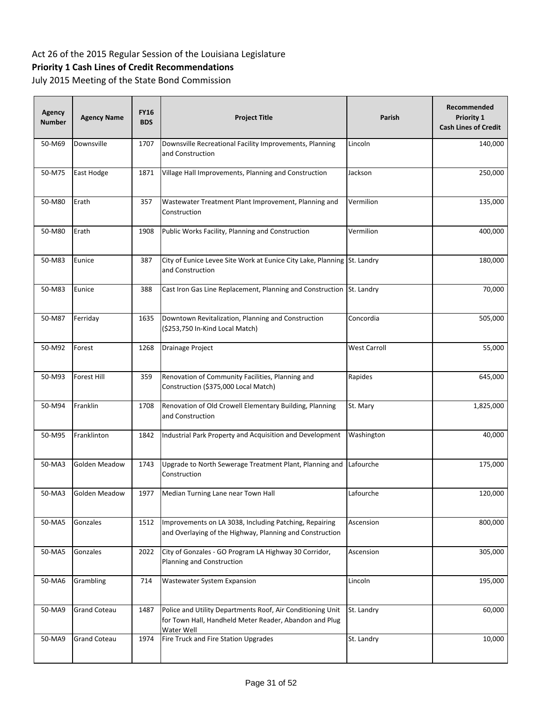# **Priority 1 Cash Lines of Credit Recommendations**

| Agency<br><b>Number</b> | <b>Agency Name</b>   | <b>FY16</b><br><b>BDS</b> | <b>Project Title</b>                                                                                                               | Parish              | Recommended<br>Priority 1<br><b>Cash Lines of Credit</b> |
|-------------------------|----------------------|---------------------------|------------------------------------------------------------------------------------------------------------------------------------|---------------------|----------------------------------------------------------|
| 50-M69                  | Downsville           | 1707                      | Downsville Recreational Facility Improvements, Planning<br>and Construction                                                        | Lincoln             | 140,000                                                  |
| 50-M75                  | East Hodge           | 1871                      | Village Hall Improvements, Planning and Construction                                                                               | Jackson             | 250,000                                                  |
| 50-M80                  | Erath                | 357                       | Wastewater Treatment Plant Improvement, Planning and<br>Construction                                                               | Vermilion           | 135,000                                                  |
| 50-M80                  | Erath                | 1908                      | Public Works Facility, Planning and Construction                                                                                   | Vermilion           | 400,000                                                  |
| 50-M83                  | Eunice               | 387                       | City of Eunice Levee Site Work at Eunice City Lake, Planning St. Landry<br>and Construction                                        |                     | 180,000                                                  |
| 50-M83                  | Eunice               | 388                       | Cast Iron Gas Line Replacement, Planning and Construction                                                                          | St. Landry          | 70,000                                                   |
| 50-M87                  | Ferriday             | 1635                      | Downtown Revitalization, Planning and Construction<br>(\$253,750 In-Kind Local Match)                                              | Concordia           | 505,000                                                  |
| 50-M92                  | Forest               | 1268                      | Drainage Project                                                                                                                   | <b>West Carroll</b> | 55,000                                                   |
| 50-M93                  | Forest Hill          | 359                       | Renovation of Community Facilities, Planning and<br>Construction (\$375,000 Local Match)                                           | Rapides             | 645,000                                                  |
| 50-M94                  | Franklin             | 1708                      | Renovation of Old Crowell Elementary Building, Planning<br>and Construction                                                        | St. Mary            | 1,825,000                                                |
| 50-M95                  | Franklinton          | 1842                      | Industrial Park Property and Acquisition and Development                                                                           | Washington          | 40,000                                                   |
| 50-MA3                  | <b>Golden Meadow</b> | 1743                      | Upgrade to North Sewerage Treatment Plant, Planning and<br>Construction                                                            | Lafourche           | 175,000                                                  |
| 50-MA3                  | <b>Golden Meadow</b> | 1977                      | Median Turning Lane near Town Hall                                                                                                 | Lafourche           | 120,000                                                  |
| 50-MA5                  | Gonzales             | 1512                      | Improvements on LA 3038, Including Patching, Repairing<br>and Overlaying of the Highway, Planning and Construction                 | Ascension           | 800,000                                                  |
| 50-MA5                  | Gonzales             | 2022                      | City of Gonzales - GO Program LA Highway 30 Corridor,<br>Planning and Construction                                                 | Ascension           | 305,000                                                  |
| 50-MA6                  | Grambling            | 714                       | Wastewater System Expansion                                                                                                        | Lincoln             | 195,000                                                  |
| 50-MA9                  | <b>Grand Coteau</b>  | 1487                      | Police and Utility Departments Roof, Air Conditioning Unit<br>for Town Hall, Handheld Meter Reader, Abandon and Plug<br>Water Well | St. Landry          | 60,000                                                   |
| 50-MA9                  | <b>Grand Coteau</b>  | 1974                      | Fire Truck and Fire Station Upgrades                                                                                               | St. Landry          | 10,000                                                   |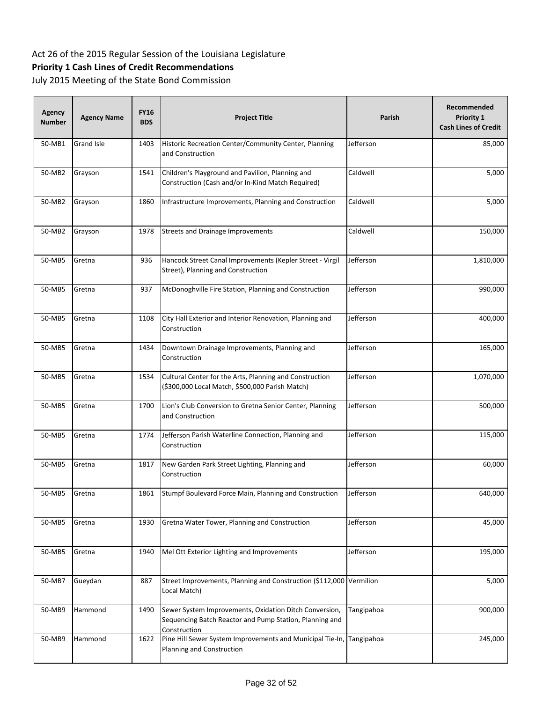# **Priority 1 Cash Lines of Credit Recommendations**

| Agency<br><b>Number</b> | <b>Agency Name</b> | <b>FY16</b><br><b>BDS</b> | <b>Project Title</b>                                                                                                              | Parish     | Recommended<br>Priority 1<br><b>Cash Lines of Credit</b> |
|-------------------------|--------------------|---------------------------|-----------------------------------------------------------------------------------------------------------------------------------|------------|----------------------------------------------------------|
| 50-MB1                  | <b>Grand Isle</b>  | 1403                      | Historic Recreation Center/Community Center, Planning<br>and Construction                                                         | Jefferson  | 85,000                                                   |
| 50-MB2                  | Grayson            | 1541                      | Children's Playground and Pavilion, Planning and<br>Construction (Cash and/or In-Kind Match Required)                             | Caldwell   | 5,000                                                    |
| 50-MB2                  | Grayson            | 1860                      | Infrastructure Improvements, Planning and Construction                                                                            | Caldwell   | 5,000                                                    |
| 50-MB2                  | Grayson            | 1978                      | <b>Streets and Drainage Improvements</b>                                                                                          | Caldwell   | 150,000                                                  |
| 50-MB5                  | Gretna             | 936                       | Hancock Street Canal Improvements (Kepler Street - Virgil<br>Street), Planning and Construction                                   | Jefferson  | 1,810,000                                                |
| 50-MB5                  | Gretna             | 937                       | McDonoghville Fire Station, Planning and Construction                                                                             | Jefferson  | 990,000                                                  |
| 50-MB5                  | Gretna             | 1108                      | City Hall Exterior and Interior Renovation, Planning and<br>Construction                                                          | Jefferson  | 400,000                                                  |
| 50-MB5                  | Gretna             | 1434                      | Downtown Drainage Improvements, Planning and<br>Construction                                                                      | Jefferson  | 165,000                                                  |
| 50-MB5                  | Gretna             | 1534                      | Cultural Center for the Arts, Planning and Construction<br>(\$300,000 Local Match, \$500,000 Parish Match)                        | Jefferson  | 1,070,000                                                |
| 50-MB5                  | Gretna             | 1700                      | Lion's Club Conversion to Gretna Senior Center, Planning<br>and Construction                                                      | Jefferson  | 500,000                                                  |
| 50-MB5                  | Gretna             | 1774                      | Jefferson Parish Waterline Connection, Planning and<br>Construction                                                               | Jefferson  | 115,000                                                  |
| 50-MB5                  | Gretna             | 1817                      | New Garden Park Street Lighting, Planning and<br>Construction                                                                     | Jefferson  | 60,000                                                   |
| 50-MB5                  | Gretna             | 1861                      | Stumpf Boulevard Force Main, Planning and Construction                                                                            | Jefferson  | 640,000                                                  |
| 50-MB5                  | Gretna             | 1930                      | Gretna Water Tower, Planning and Construction                                                                                     | Jefferson  | 45,000                                                   |
| 50-MB5                  | Gretna             | 1940                      | Mel Ott Exterior Lighting and Improvements                                                                                        | Jefferson  | 195,000                                                  |
| 50-MB7                  | Gueydan            | 887                       | Street Improvements, Planning and Construction (\$112,000 Vermilion<br>Local Match)                                               |            | 5,000                                                    |
| 50-MB9                  | Hammond            | 1490                      | Sewer System Improvements, Oxidation Ditch Conversion,<br>Sequencing Batch Reactor and Pump Station, Planning and<br>Construction | Tangipahoa | 900,000                                                  |
| 50-MB9                  | Hammond            | 1622                      | Pine Hill Sewer System Improvements and Municipal Tie-In, Tangipahoa<br>Planning and Construction                                 |            | 245,000                                                  |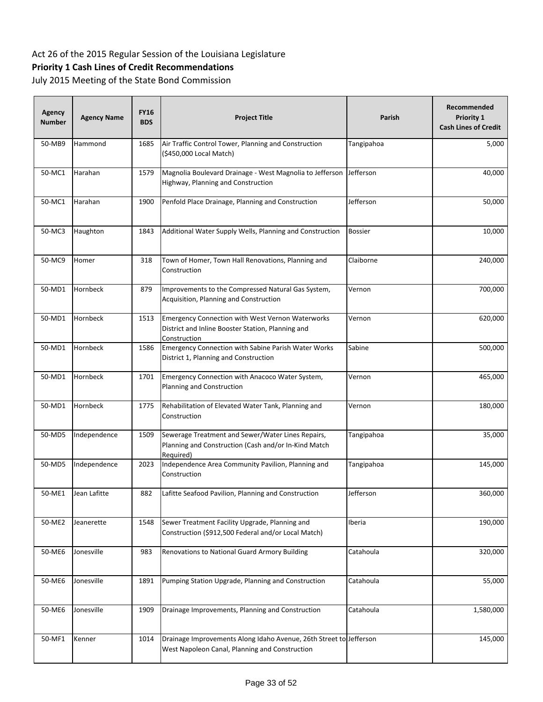# **Priority 1 Cash Lines of Credit Recommendations**

| Agency<br><b>Number</b> | <b>Agency Name</b> | <b>FY16</b><br><b>BDS</b> | <b>Project Title</b>                                                                                                         | Parish         | Recommended<br>Priority 1<br><b>Cash Lines of Credit</b> |
|-------------------------|--------------------|---------------------------|------------------------------------------------------------------------------------------------------------------------------|----------------|----------------------------------------------------------|
| 50-MB9                  | Hammond            | 1685                      | Air Traffic Control Tower, Planning and Construction<br>(\$450,000 Local Match)                                              | Tangipahoa     | 5,000                                                    |
| 50-MC1                  | Harahan            | 1579                      | Magnolia Boulevard Drainage - West Magnolia to Jefferson<br>Highway, Planning and Construction                               | Jefferson      | 40,000                                                   |
| 50-MC1                  | Harahan            | 1900                      | Penfold Place Drainage, Planning and Construction                                                                            | Jefferson      | 50,000                                                   |
| 50-MC3                  | Haughton           | 1843                      | Additional Water Supply Wells, Planning and Construction                                                                     | <b>Bossier</b> | 10,000                                                   |
| 50-MC9                  | Homer              | 318                       | Town of Homer, Town Hall Renovations, Planning and<br>Construction                                                           | Claiborne      | 240,000                                                  |
| 50-MD1                  | <b>Hornbeck</b>    | 879                       | Improvements to the Compressed Natural Gas System,<br>Acquisition, Planning and Construction                                 | Vernon         | 700,000                                                  |
| 50-MD1                  | Hornbeck           | 1513                      | <b>Emergency Connection with West Vernon Waterworks</b><br>District and Inline Booster Station, Planning and<br>Construction | Vernon         | 620,000                                                  |
| 50-MD1                  | Hornbeck           | 1586                      | <b>Emergency Connection with Sabine Parish Water Works</b><br>District 1, Planning and Construction                          | Sabine         | 500,000                                                  |
| 50-MD1                  | Hornbeck           | 1701                      | Emergency Connection with Anacoco Water System,<br>Planning and Construction                                                 | Vernon         | 465,000                                                  |
| 50-MD1                  | Hornbeck           | 1775                      | Rehabilitation of Elevated Water Tank, Planning and<br>Construction                                                          | Vernon         | 180,000                                                  |
| 50-MD5                  | Independence       | 1509                      | Sewerage Treatment and Sewer/Water Lines Repairs,<br>Planning and Construction (Cash and/or In-Kind Match<br>Required)       | Tangipahoa     | 35,000                                                   |
| 50-MD5                  | Independence       | 2023                      | Independence Area Community Pavilion, Planning and<br>Construction                                                           | Tangipahoa     | 145,000                                                  |
| 50-ME1                  | Jean Lafitte       | 882                       | Lafitte Seafood Pavilion, Planning and Construction                                                                          | Jefferson      | 360,000                                                  |
| 50-ME2                  | Jeanerette         | 1548                      | Sewer Treatment Facility Upgrade, Planning and<br>Construction (\$912,500 Federal and/or Local Match)                        | Iberia         | 190,000                                                  |
| 50-ME6                  | Jonesville         | 983                       | Renovations to National Guard Armory Building                                                                                | Catahoula      | 320,000                                                  |
| 50-ME6                  | Jonesville         | 1891                      | Pumping Station Upgrade, Planning and Construction                                                                           | Catahoula      | 55,000                                                   |
| 50-ME6                  | Jonesville         | 1909                      | Drainage Improvements, Planning and Construction                                                                             | Catahoula      | 1,580,000                                                |
| 50-MF1                  | Kenner             | 1014                      | Drainage Improvements Along Idaho Avenue, 26th Street to Jefferson<br>West Napoleon Canal, Planning and Construction         |                | 145,000                                                  |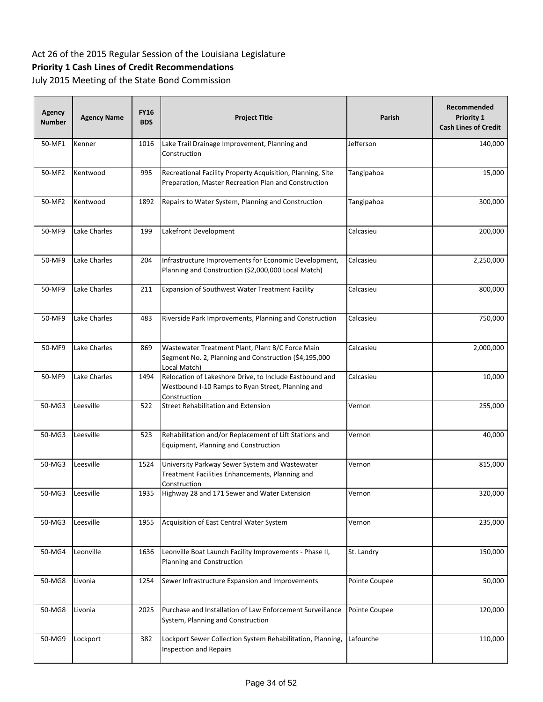# **Priority 1 Cash Lines of Credit Recommendations**

| Agency<br><b>Number</b> | <b>Agency Name</b> | <b>FY16</b><br><b>BDS</b> | <b>Project Title</b>                                                                                                         | Parish        | Recommended<br>Priority 1<br><b>Cash Lines of Credit</b> |
|-------------------------|--------------------|---------------------------|------------------------------------------------------------------------------------------------------------------------------|---------------|----------------------------------------------------------|
| 50-MF1                  | Kenner             | 1016                      | Lake Trail Drainage Improvement, Planning and<br>Construction                                                                | Jefferson     | 140,000                                                  |
| 50-MF2                  | Kentwood           | 995                       | Recreational Facility Property Acquisition, Planning, Site<br>Preparation, Master Recreation Plan and Construction           | Tangipahoa    | 15,000                                                   |
| 50-MF2                  | Kentwood           | 1892                      | Repairs to Water System, Planning and Construction                                                                           | Tangipahoa    | 300,000                                                  |
| 50-MF9                  | Lake Charles       | 199                       | Lakefront Development                                                                                                        | Calcasieu     | 200,000                                                  |
| 50-MF9                  | Lake Charles       | 204                       | Infrastructure Improvements for Economic Development,<br>Planning and Construction (\$2,000,000 Local Match)                 | Calcasieu     | 2,250,000                                                |
| 50-MF9                  | Lake Charles       | 211                       | Expansion of Southwest Water Treatment Facility                                                                              | Calcasieu     | 800,000                                                  |
| 50-MF9                  | Lake Charles       | 483                       | Riverside Park Improvements, Planning and Construction                                                                       | Calcasieu     | 750,000                                                  |
| 50-MF9                  | Lake Charles       | 869                       | Wastewater Treatment Plant, Plant B/C Force Main<br>Segment No. 2, Planning and Construction (\$4,195,000<br>Local Match)    | Calcasieu     | 2,000,000                                                |
| 50-MF9                  | Lake Charles       | 1494                      | Relocation of Lakeshore Drive, to Include Eastbound and<br>Westbound I-10 Ramps to Ryan Street, Planning and<br>Construction | Calcasieu     | 10,000                                                   |
| 50-MG3                  | Leesville          | 522                       | Street Rehabilitation and Extension                                                                                          | Vernon        | 255,000                                                  |
| 50-MG3                  | Leesville          | 523                       | Rehabilitation and/or Replacement of Lift Stations and<br>Equipment, Planning and Construction                               | Vernon        | 40,000                                                   |
| 50-MG3                  | Leesville          | 1524                      | University Parkway Sewer System and Wastewater<br>Treatment Facilities Enhancements, Planning and<br>Construction            | Vernon        | 815,000                                                  |
| 50-MG3                  | Leesville          | 1935                      | Highway 28 and 171 Sewer and Water Extension                                                                                 | Vernon        | 320,000                                                  |
| 50-MG3                  | Leesville          | 1955                      | Acquisition of East Central Water System                                                                                     | Vernon        | 235,000                                                  |
| 50-MG4                  | Leonville          | 1636                      | Leonville Boat Launch Facility Improvements - Phase II,<br>Planning and Construction                                         | St. Landry    | 150,000                                                  |
| 50-MG8                  | Livonia            | 1254                      | Sewer Infrastructure Expansion and Improvements                                                                              | Pointe Coupee | 50,000                                                   |
| 50-MG8                  | Livonia            | 2025                      | Purchase and Installation of Law Enforcement Surveillance<br>System, Planning and Construction                               | Pointe Coupee | 120,000                                                  |
| 50-MG9                  | Lockport           | 382                       | Lockport Sewer Collection System Rehabilitation, Planning,<br><b>Inspection and Repairs</b>                                  | Lafourche     | 110,000                                                  |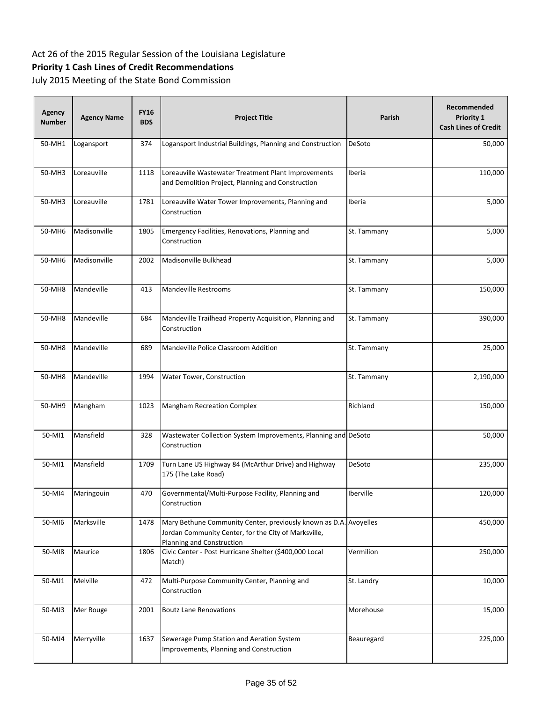# **Priority 1 Cash Lines of Credit Recommendations**

| Agency<br><b>Number</b> | <b>Agency Name</b> | <b>FY16</b><br><b>BDS</b> | <b>Project Title</b>                                                                                                                                   | Parish      | Recommended<br><b>Priority 1</b><br><b>Cash Lines of Credit</b> |
|-------------------------|--------------------|---------------------------|--------------------------------------------------------------------------------------------------------------------------------------------------------|-------------|-----------------------------------------------------------------|
| 50-MH1                  | Logansport         | 374                       | Logansport Industrial Buildings, Planning and Construction                                                                                             | DeSoto      | 50,000                                                          |
| 50-MH3                  | Loreauville        | 1118                      | Loreauville Wastewater Treatment Plant Improvements<br>and Demolition Project, Planning and Construction                                               | Iberia      | 110,000                                                         |
| 50-MH3                  | Loreauville        | 1781                      | Loreauville Water Tower Improvements, Planning and<br>Construction                                                                                     | Iberia      | 5,000                                                           |
| 50-MH6                  | Madisonville       | 1805                      | Emergency Facilities, Renovations, Planning and<br>Construction                                                                                        | St. Tammany | 5,000                                                           |
| 50-MH6                  | Madisonville       | 2002                      | Madisonville Bulkhead                                                                                                                                  | St. Tammany | 5,000                                                           |
| 50-MH8                  | Mandeville         | 413                       | <b>Mandeville Restrooms</b>                                                                                                                            | St. Tammany | 150,000                                                         |
| 50-MH8                  | Mandeville         | 684                       | Mandeville Trailhead Property Acquisition, Planning and<br>Construction                                                                                | St. Tammany | 390,000                                                         |
| 50-MH8                  | Mandeville         | 689                       | Mandeville Police Classroom Addition                                                                                                                   | St. Tammany | 25,000                                                          |
| 50-MH8                  | Mandeville         | 1994                      | Water Tower, Construction                                                                                                                              | St. Tammany | 2,190,000                                                       |
| 50-MH9                  | Mangham            | 1023                      | Mangham Recreation Complex                                                                                                                             | Richland    | 150,000                                                         |
| 50-MI1                  | Mansfield          | 328                       | Wastewater Collection System Improvements, Planning and DeSoto<br>Construction                                                                         |             | 50,000                                                          |
| 50-MI1                  | Mansfield          | 1709                      | Turn Lane US Highway 84 (McArthur Drive) and Highway<br>175 (The Lake Road)                                                                            | DeSoto      | 235,000                                                         |
| 50-MI4                  | Maringouin         | 470                       | Governmental/Multi-Purpose Facility, Planning and<br>Construction                                                                                      | Iberville   | 120,000                                                         |
| 50-MI6                  | Marksville         | 1478                      | Mary Bethune Community Center, previously known as D.A. Avoyelles<br>Jordan Community Center, for the City of Marksville,<br>Planning and Construction |             | 450,000                                                         |
| 50-MI8                  | Maurice            | 1806                      | Civic Center - Post Hurricane Shelter (\$400,000 Local<br>Match)                                                                                       | Vermilion   | 250,000                                                         |
| 50-MJ1                  | Melville           | 472                       | Multi-Purpose Community Center, Planning and<br>Construction                                                                                           | St. Landry  | 10,000                                                          |
| 50-MJ3                  | Mer Rouge          | 2001                      | <b>Boutz Lane Renovations</b>                                                                                                                          | Morehouse   | 15,000                                                          |
| 50-MJ4                  | Merryville         | 1637                      | Sewerage Pump Station and Aeration System<br>Improvements, Planning and Construction                                                                   | Beauregard  | 225,000                                                         |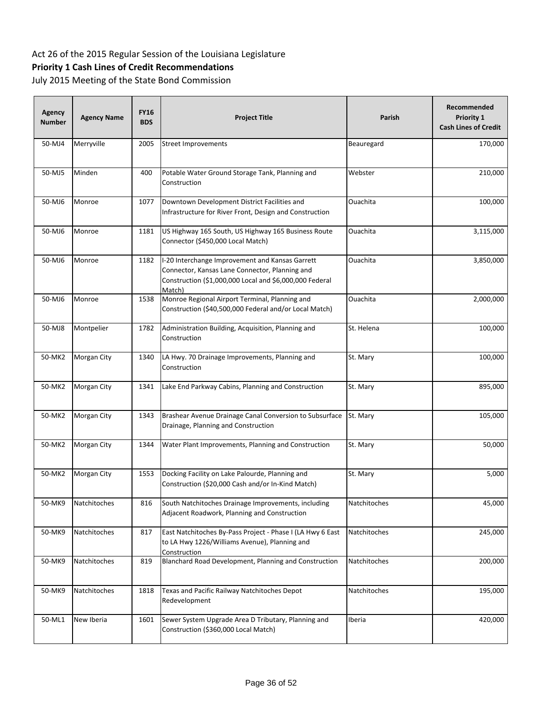# **Priority 1 Cash Lines of Credit Recommendations**

| Agency<br><b>Number</b> | <b>Agency Name</b> | <b>FY16</b><br><b>BDS</b> | <b>Project Title</b>                                                                                                                                                   | Parish       | Recommended<br>Priority 1<br><b>Cash Lines of Credit</b> |
|-------------------------|--------------------|---------------------------|------------------------------------------------------------------------------------------------------------------------------------------------------------------------|--------------|----------------------------------------------------------|
| 50-MJ4                  | Merryville         | 2005                      | <b>Street Improvements</b>                                                                                                                                             | Beauregard   | 170,000                                                  |
| 50-MJ5                  | Minden             | 400                       | Potable Water Ground Storage Tank, Planning and<br>Construction                                                                                                        | Webster      | 210,000                                                  |
| 50-MJ6                  | Monroe             | 1077                      | Downtown Development District Facilities and<br>Infrastructure for River Front, Design and Construction                                                                | Ouachita     | 100,000                                                  |
| 50-MJ6                  | Monroe             | 1181                      | US Highway 165 South, US Highway 165 Business Route<br>Connector (\$450,000 Local Match)                                                                               | Ouachita     | 3,115,000                                                |
| 50-MJ6                  | Monroe             | 1182                      | I-20 Interchange Improvement and Kansas Garrett<br>Connector, Kansas Lane Connector, Planning and<br>Construction (\$1,000,000 Local and \$6,000,000 Federal<br>Match) | Ouachita     | 3,850,000                                                |
| 50-MJ6                  | Monroe             | 1538                      | Monroe Regional Airport Terminal, Planning and<br>Construction (\$40,500,000 Federal and/or Local Match)                                                               | Ouachita     | 2,000,000                                                |
| 50-MJ8                  | Montpelier         | 1782                      | Administration Building, Acquisition, Planning and<br>Construction                                                                                                     | St. Helena   | 100,000                                                  |
| 50-MK2                  | Morgan City        | 1340                      | LA Hwy. 70 Drainage Improvements, Planning and<br>Construction                                                                                                         | St. Mary     | 100,000                                                  |
| 50-MK2                  | Morgan City        | 1341                      | Lake End Parkway Cabins, Planning and Construction                                                                                                                     | St. Mary     | 895,000                                                  |
| 50-MK2                  | Morgan City        | 1343                      | Brashear Avenue Drainage Canal Conversion to Subsurface<br>Drainage, Planning and Construction                                                                         | St. Mary     | 105,000                                                  |
| 50-MK2                  | Morgan City        | 1344                      | Water Plant Improvements, Planning and Construction                                                                                                                    | St. Mary     | 50,000                                                   |
| 50-MK2                  | Morgan City        | 1553                      | Docking Facility on Lake Palourde, Planning and<br>Construction (\$20,000 Cash and/or In-Kind Match)                                                                   | St. Mary     | 5,000                                                    |
| 50-MK9                  | Natchitoches       | 816                       | South Natchitoches Drainage Improvements, including<br>Adjacent Roadwork, Planning and Construction                                                                    | Natchitoches | 45,000                                                   |
| 50-MK9                  | Natchitoches       | 817                       | East Natchitoches By-Pass Project - Phase I (LA Hwy 6 East<br>to LA Hwy 1226/Williams Avenue), Planning and<br>Construction                                            | Natchitoches | 245,000                                                  |
| 50-MK9                  | Natchitoches       | 819                       | Blanchard Road Development, Planning and Construction                                                                                                                  | Natchitoches | 200,000                                                  |
| 50-MK9                  | Natchitoches       | 1818                      | Texas and Pacific Railway Natchitoches Depot<br>Redevelopment                                                                                                          | Natchitoches | 195,000                                                  |
| 50-ML1                  | New Iberia         | 1601                      | Sewer System Upgrade Area D Tributary, Planning and<br>Construction (\$360,000 Local Match)                                                                            | Iberia       | 420,000                                                  |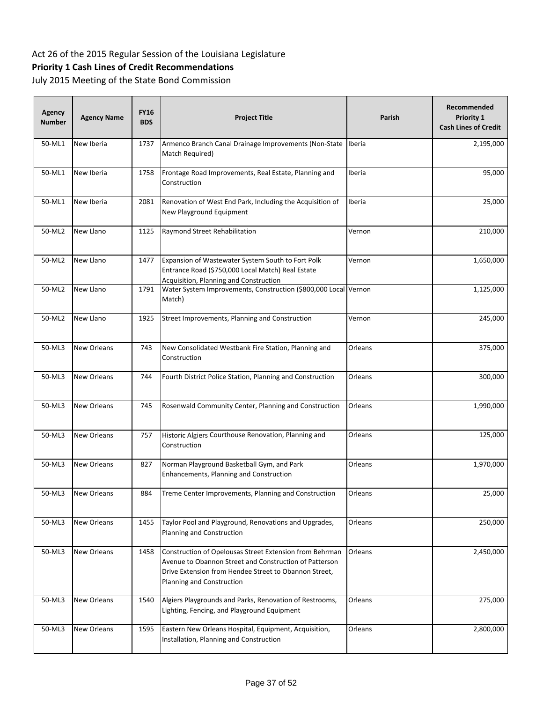# **Priority 1 Cash Lines of Credit Recommendations**

| Agency<br><b>Number</b> | <b>Agency Name</b> | <b>FY16</b><br><b>BDS</b> | <b>Project Title</b>                                                                                                                                                                                    | Parish  | Recommended<br>Priority 1<br><b>Cash Lines of Credit</b> |
|-------------------------|--------------------|---------------------------|---------------------------------------------------------------------------------------------------------------------------------------------------------------------------------------------------------|---------|----------------------------------------------------------|
| 50-ML1                  | New Iberia         | 1737                      | Armenco Branch Canal Drainage Improvements (Non-State Iberia<br>Match Required)                                                                                                                         |         | 2,195,000                                                |
| 50-ML1                  | New Iberia         | 1758                      | Frontage Road Improvements, Real Estate, Planning and<br>Construction                                                                                                                                   | Iberia  | 95,000                                                   |
| 50-ML1                  | New Iberia         | 2081                      | Renovation of West End Park, Including the Acquisition of<br>New Playground Equipment                                                                                                                   | Iberia  | 25,000                                                   |
| 50-ML2                  | New Llano          | 1125                      | Raymond Street Rehabilitation                                                                                                                                                                           | Vernon  | 210,000                                                  |
| 50-ML2                  | New Llano          | 1477                      | Expansion of Wastewater System South to Fort Polk<br>Entrance Road (\$750,000 Local Match) Real Estate<br><b>Acquisition, Planning and Construction</b>                                                 | Vernon  | 1,650,000                                                |
| 50-ML2                  | New Llano          | 1791                      | Water System Improvements, Construction (\$800,000 Local Vernon<br>Match)                                                                                                                               |         | 1,125,000                                                |
| 50-ML2                  | New Llano          | 1925                      | Street Improvements, Planning and Construction                                                                                                                                                          | Vernon  | 245,000                                                  |
| 50-ML3                  | New Orleans        | 743                       | New Consolidated Westbank Fire Station, Planning and<br>Construction                                                                                                                                    | Orleans | 375,000                                                  |
| 50-ML3                  | New Orleans        | 744                       | Fourth District Police Station, Planning and Construction                                                                                                                                               | Orleans | 300,000                                                  |
| 50-ML3                  | New Orleans        | 745                       | Rosenwald Community Center, Planning and Construction                                                                                                                                                   | Orleans | 1,990,000                                                |
| 50-ML3                  | New Orleans        | 757                       | Historic Algiers Courthouse Renovation, Planning and<br>Construction                                                                                                                                    | Orleans | 125,000                                                  |
| 50-ML3                  | New Orleans        | 827                       | Norman Playground Basketball Gym, and Park<br>Enhancements, Planning and Construction                                                                                                                   | Orleans | 1,970,000                                                |
| 50-ML3                  | New Orleans        | 884                       | Treme Center Improvements, Planning and Construction                                                                                                                                                    | Orleans | 25,000                                                   |
| 50-ML3                  | <b>New Orleans</b> | 1455                      | Taylor Pool and Playground, Renovations and Upgrades,<br>Planning and Construction                                                                                                                      | Orleans | 250,000                                                  |
| 50-ML3                  | New Orleans        | 1458                      | Construction of Opelousas Street Extension from Behrman<br>Avenue to Obannon Street and Construction of Patterson<br>Drive Extension from Hendee Street to Obannon Street,<br>Planning and Construction | Orleans | 2,450,000                                                |
| 50-ML3                  | New Orleans        | 1540                      | Algiers Playgrounds and Parks, Renovation of Restrooms,<br>Lighting, Fencing, and Playground Equipment                                                                                                  | Orleans | 275,000                                                  |
| 50-ML3                  | New Orleans        | 1595                      | Eastern New Orleans Hospital, Equipment, Acquisition,<br>Installation, Planning and Construction                                                                                                        | Orleans | 2,800,000                                                |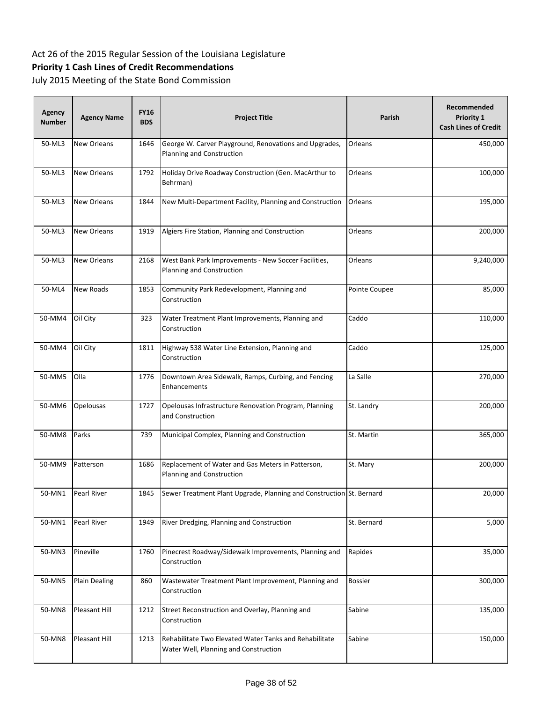# **Priority 1 Cash Lines of Credit Recommendations**

| <b>Agency</b><br><b>Number</b> | <b>Agency Name</b>   | <b>FY16</b><br><b>BDS</b> | <b>Project Title</b>                                                                            | Parish         | Recommended<br>Priority 1<br><b>Cash Lines of Credit</b> |
|--------------------------------|----------------------|---------------------------|-------------------------------------------------------------------------------------------------|----------------|----------------------------------------------------------|
| 50-ML3                         | New Orleans          | 1646                      | George W. Carver Playground, Renovations and Upgrades,<br>Planning and Construction             | Orleans        | 450,000                                                  |
| 50-ML3                         | <b>New Orleans</b>   | 1792                      | Holiday Drive Roadway Construction (Gen. MacArthur to<br>Behrman)                               | Orleans        | 100,000                                                  |
| 50-ML3                         | <b>New Orleans</b>   | 1844                      | New Multi-Department Facility, Planning and Construction                                        | Orleans        | 195,000                                                  |
| 50-ML3                         | New Orleans          | 1919                      | Algiers Fire Station, Planning and Construction                                                 | Orleans        | 200,000                                                  |
| 50-ML3                         | New Orleans          | 2168                      | West Bank Park Improvements - New Soccer Facilities,<br>Planning and Construction               | Orleans        | 9,240,000                                                |
| 50-ML4                         | New Roads            | 1853                      | Community Park Redevelopment, Planning and<br>Construction                                      | Pointe Coupee  | 85,000                                                   |
| 50-MM4                         | Oil City             | 323                       | Water Treatment Plant Improvements, Planning and<br>Construction                                | Caddo          | 110,000                                                  |
| 50-MM4                         | Oil City             | 1811                      | Highway 538 Water Line Extension, Planning and<br>Construction                                  | Caddo          | 125,000                                                  |
| 50-MM5                         | Olla                 | 1776                      | Downtown Area Sidewalk, Ramps, Curbing, and Fencing<br>Enhancements                             | La Salle       | 270,000                                                  |
| 50-MM6                         | Opelousas            | 1727                      | Opelousas Infrastructure Renovation Program, Planning<br>and Construction                       | St. Landry     | 200,000                                                  |
| 50-MM8                         | Parks                | 739                       | Municipal Complex, Planning and Construction                                                    | St. Martin     | 365,000                                                  |
| 50-MM9                         | Patterson            | 1686                      | Replacement of Water and Gas Meters in Patterson,<br>Planning and Construction                  | St. Mary       | 200,000                                                  |
| 50-MN1                         | Pearl River          | 1845                      | Sewer Treatment Plant Upgrade, Planning and Construction St. Bernard                            |                | 20,000                                                   |
| 50-MN1                         | Pearl River          | 1949                      | River Dredging, Planning and Construction                                                       | St. Bernard    | 5,000                                                    |
| 50-MN3                         | Pineville            | 1760                      | Pinecrest Roadway/Sidewalk Improvements, Planning and<br>Construction                           | Rapides        | 35,000                                                   |
| 50-MN5                         | <b>Plain Dealing</b> | 860                       | Wastewater Treatment Plant Improvement, Planning and<br>Construction                            | <b>Bossier</b> | 300,000                                                  |
| 50-MN8                         | Pleasant Hill        | 1212                      | Street Reconstruction and Overlay, Planning and<br>Construction                                 | Sabine         | 135,000                                                  |
| 50-MN8                         | Pleasant Hill        | 1213                      | Rehabilitate Two Elevated Water Tanks and Rehabilitate<br>Water Well, Planning and Construction | Sabine         | 150,000                                                  |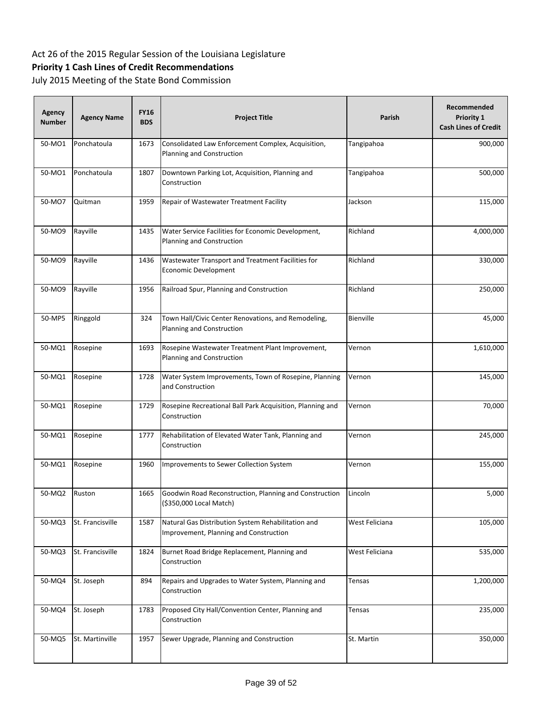# **Priority 1 Cash Lines of Credit Recommendations**

| <b>Agency</b><br><b>Number</b> | <b>Agency Name</b> | <b>FY16</b><br><b>BDS</b> | <b>Project Title</b>                                                                         | Parish         | Recommended<br>Priority 1<br><b>Cash Lines of Credit</b> |
|--------------------------------|--------------------|---------------------------|----------------------------------------------------------------------------------------------|----------------|----------------------------------------------------------|
| 50-MO1                         | Ponchatoula        | 1673                      | Consolidated Law Enforcement Complex, Acquisition,<br>Planning and Construction              | Tangipahoa     | 900,000                                                  |
| 50-MO1                         | Ponchatoula        | 1807                      | Downtown Parking Lot, Acquisition, Planning and<br>Construction                              | Tangipahoa     | 500,000                                                  |
| 50-MO7                         | Quitman            | 1959                      | Repair of Wastewater Treatment Facility                                                      | Jackson        | 115,000                                                  |
| 50-MO9                         | Rayville           | 1435                      | Water Service Facilities for Economic Development,<br>Planning and Construction              | Richland       | 4,000,000                                                |
| 50-MO9                         | Rayville           | 1436                      | Wastewater Transport and Treatment Facilities for<br>Economic Development                    | Richland       | 330,000                                                  |
| 50-MO9                         | Rayville           | 1956                      | Railroad Spur, Planning and Construction                                                     | Richland       | 250,000                                                  |
| 50-MP5                         | Ringgold           | 324                       | Town Hall/Civic Center Renovations, and Remodeling,<br>Planning and Construction             | Bienville      | 45,000                                                   |
| 50-MQ1                         | Rosepine           | 1693                      | Rosepine Wastewater Treatment Plant Improvement,<br>Planning and Construction                | Vernon         | 1,610,000                                                |
| 50-MQ1                         | Rosepine           | 1728                      | Water System Improvements, Town of Rosepine, Planning<br>and Construction                    | Vernon         | 145,000                                                  |
| 50-MQ1                         | Rosepine           | 1729                      | Rosepine Recreational Ball Park Acquisition, Planning and<br>Construction                    | Vernon         | 70,000                                                   |
| 50-MQ1                         | Rosepine           | 1777                      | Rehabilitation of Elevated Water Tank, Planning and<br>Construction                          | Vernon         | 245,000                                                  |
| 50-MQ1                         | Rosepine           | 1960                      | Improvements to Sewer Collection System                                                      | Vernon         | 155,000                                                  |
| 50-MQ2                         | Ruston             | 1665                      | Goodwin Road Reconstruction, Planning and Construction<br>(\$350,000 Local Match)            | Lincoln        | 5,000                                                    |
| 50-MQ3                         | St. Francisville   | 1587                      | Natural Gas Distribution System Rehabilitation and<br>Improvement, Planning and Construction | West Feliciana | 105,000                                                  |
| 50-MQ3                         | St. Francisville   | 1824                      | Burnet Road Bridge Replacement, Planning and<br>Construction                                 | West Feliciana | 535,000                                                  |
| 50-MQ4                         | St. Joseph         | 894                       | Repairs and Upgrades to Water System, Planning and<br>Construction                           | Tensas         | 1,200,000                                                |
| 50-MQ4                         | St. Joseph         | 1783                      | Proposed City Hall/Convention Center, Planning and<br>Construction                           | Tensas         | 235,000                                                  |
| 50-MQ5                         | St. Martinville    | 1957                      | Sewer Upgrade, Planning and Construction                                                     | St. Martin     | 350,000                                                  |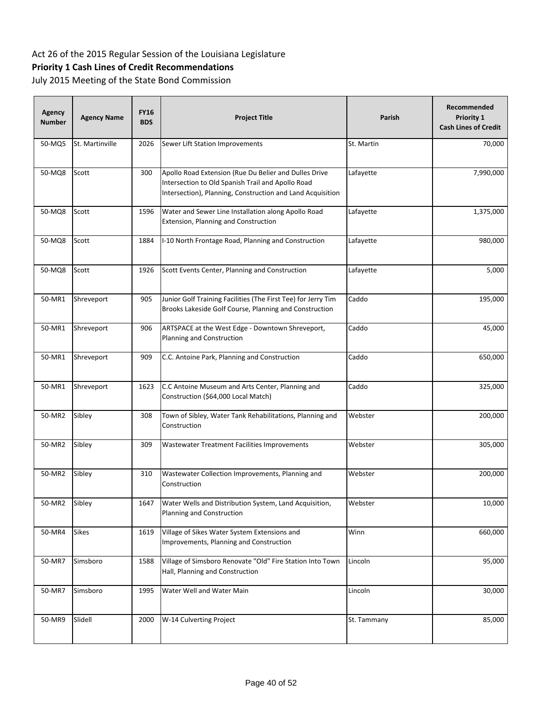# **Priority 1 Cash Lines of Credit Recommendations**

| <b>Agency</b><br><b>Number</b> | <b>Agency Name</b> | <b>FY16</b><br><b>BDS</b> | <b>Project Title</b>                                                                                                                                                     | Parish      | Recommended<br>Priority 1<br><b>Cash Lines of Credit</b> |
|--------------------------------|--------------------|---------------------------|--------------------------------------------------------------------------------------------------------------------------------------------------------------------------|-------------|----------------------------------------------------------|
| 50-MQ5                         | St. Martinville    | 2026                      | Sewer Lift Station Improvements                                                                                                                                          | St. Martin  | 70,000                                                   |
| 50-MQ8                         | Scott              | 300                       | Apollo Road Extension (Rue Du Belier and Dulles Drive<br>Intersection to Old Spanish Trail and Apollo Road<br>Intersection), Planning, Construction and Land Acquisition | Lafayette   | 7,990,000                                                |
| 50-MQ8                         | Scott              | 1596                      | Water and Sewer Line Installation along Apollo Road<br>Extension, Planning and Construction                                                                              | Lafayette   | 1,375,000                                                |
| 50-MQ8                         | Scott              | 1884                      | I-10 North Frontage Road, Planning and Construction                                                                                                                      | Lafayette   | 980,000                                                  |
| 50-MQ8                         | Scott              | 1926                      | Scott Events Center, Planning and Construction                                                                                                                           | Lafayette   | 5,000                                                    |
| 50-MR1                         | Shreveport         | 905                       | Junior Golf Training Facilities (The First Tee) for Jerry Tim<br>Brooks Lakeside Golf Course, Planning and Construction                                                  | Caddo       | 195,000                                                  |
| 50-MR1                         | Shreveport         | 906                       | ARTSPACE at the West Edge - Downtown Shreveport,<br>Planning and Construction                                                                                            | Caddo       | 45,000                                                   |
| 50-MR1                         | Shreveport         | 909                       | C.C. Antoine Park, Planning and Construction                                                                                                                             | Caddo       | 650,000                                                  |
| 50-MR1                         | Shreveport         | 1623                      | C.C Antoine Museum and Arts Center, Planning and<br>Construction (\$64,000 Local Match)                                                                                  | Caddo       | 325,000                                                  |
| 50-MR2                         | Sibley             | 308                       | Town of Sibley, Water Tank Rehabilitations, Planning and<br>Construction                                                                                                 | Webster     | 200,000                                                  |
| 50-MR2                         | Sibley             | 309                       | Wastewater Treatment Facilities Improvements                                                                                                                             | Webster     | 305,000                                                  |
| 50-MR2                         | Sibley             | 310                       | Wastewater Collection Improvements, Planning and<br>Construction                                                                                                         | Webster     | 200,000                                                  |
| 50-MR2                         | Sibley             | 1647                      | Water Wells and Distribution System, Land Acquisition,<br>Planning and Construction                                                                                      | Webster     | 10,000                                                   |
| 50-MR4                         | <b>Sikes</b>       | 1619                      | Village of Sikes Water System Extensions and<br>Improvements, Planning and Construction                                                                                  | Winn        | 660,000                                                  |
| 50-MR7                         | Simsboro           | 1588                      | Village of Simsboro Renovate "Old" Fire Station Into Town<br>Hall, Planning and Construction                                                                             | Lincoln     | 95,000                                                   |
| 50-MR7                         | Simsboro           | 1995                      | Water Well and Water Main                                                                                                                                                | Lincoln     | 30,000                                                   |
| 50-MR9                         | Slidell            | 2000                      | W-14 Culverting Project                                                                                                                                                  | St. Tammany | 85,000                                                   |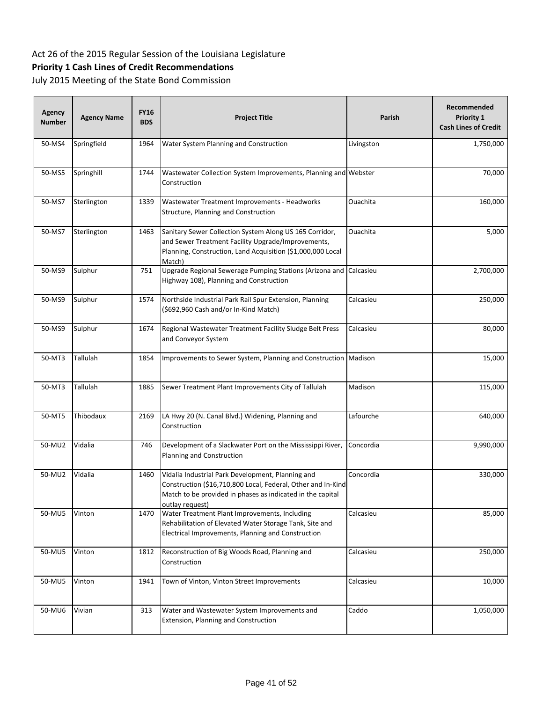# **Priority 1 Cash Lines of Credit Recommendations**

| Agency<br><b>Number</b> | <b>Agency Name</b> | <b>FY16</b><br><b>BDS</b> | <b>Project Title</b>                                                                                                                                                                               | Parish     | Recommended<br>Priority 1<br><b>Cash Lines of Credit</b> |
|-------------------------|--------------------|---------------------------|----------------------------------------------------------------------------------------------------------------------------------------------------------------------------------------------------|------------|----------------------------------------------------------|
| 50-MS4                  | Springfield        | 1964                      | Water System Planning and Construction                                                                                                                                                             | Livingston | 1,750,000                                                |
| 50-MS5                  | Springhill         | 1744                      | Wastewater Collection System Improvements, Planning and Webster<br>Construction                                                                                                                    |            | 70,000                                                   |
| 50-MS7                  | Sterlington        | 1339                      | Wastewater Treatment Improvements - Headworks<br>Structure, Planning and Construction                                                                                                              | Ouachita   | 160,000                                                  |
| 50-MS7                  | Sterlington        | 1463                      | Sanitary Sewer Collection System Along US 165 Corridor,<br>and Sewer Treatment Facility Upgrade/Improvements,<br>Planning, Construction, Land Acquisition (\$1,000,000 Local<br>Match)             | Ouachita   | 5,000                                                    |
| 50-MS9                  | Sulphur            | 751                       | Upgrade Regional Sewerage Pumping Stations (Arizona and Calcasieu<br>Highway 108), Planning and Construction                                                                                       |            | 2,700,000                                                |
| 50-MS9                  | Sulphur            | 1574                      | Northside Industrial Park Rail Spur Extension, Planning<br>(\$692,960 Cash and/or In-Kind Match)                                                                                                   | Calcasieu  | 250,000                                                  |
| 50-MS9                  | Sulphur            | 1674                      | Regional Wastewater Treatment Facility Sludge Belt Press<br>and Conveyor System                                                                                                                    | Calcasieu  | 80,000                                                   |
| 50-MT3                  | Tallulah           | 1854                      | Improvements to Sewer System, Planning and Construction Madison                                                                                                                                    |            | 15,000                                                   |
| 50-MT3                  | Tallulah           | 1885                      | Sewer Treatment Plant Improvements City of Tallulah                                                                                                                                                | Madison    | 115,000                                                  |
| 50-MT5                  | Thibodaux          | 2169                      | LA Hwy 20 (N. Canal Blvd.) Widening, Planning and<br>Construction                                                                                                                                  | Lafourche  | 640,000                                                  |
| 50-MU2                  | Vidalia            | 746                       | Development of a Slackwater Port on the Mississippi River,<br>Planning and Construction                                                                                                            | Concordia  | 9,990,000                                                |
| 50-MU2                  | Vidalia            | 1460                      | Vidalia Industrial Park Development, Planning and<br>Construction (\$16,710,800 Local, Federal, Other and In-Kind<br>Match to be provided in phases as indicated in the capital<br>outlay request) | Concordia  | 330,000                                                  |
| 50-MU5                  | Vinton             | 1470                      | Water Treatment Plant Improvements, Including<br>Rehabilitation of Elevated Water Storage Tank, Site and<br>Electrical Improvements, Planning and Construction                                     | Calcasieu  | 85,000                                                   |
| 50-MU5                  | Vinton             | 1812                      | Reconstruction of Big Woods Road, Planning and<br>Construction                                                                                                                                     | Calcasieu  | 250,000                                                  |
| 50-MU5                  | Vinton             | 1941                      | Town of Vinton, Vinton Street Improvements                                                                                                                                                         | Calcasieu  | 10,000                                                   |
| 50-MU6                  | Vivian             | 313                       | Water and Wastewater System Improvements and<br>Extension, Planning and Construction                                                                                                               | Caddo      | 1,050,000                                                |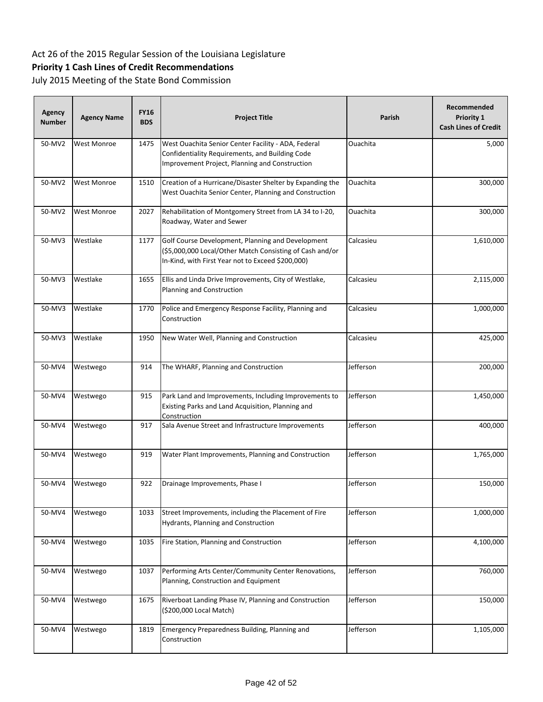# **Priority 1 Cash Lines of Credit Recommendations**

| Agency<br><b>Number</b> | <b>Agency Name</b> | <b>FY16</b><br><b>BDS</b> | <b>Project Title</b>                                                                                                                                               | Parish    | Recommended<br>Priority 1<br><b>Cash Lines of Credit</b> |
|-------------------------|--------------------|---------------------------|--------------------------------------------------------------------------------------------------------------------------------------------------------------------|-----------|----------------------------------------------------------|
| 50-MV2                  | West Monroe        | 1475                      | West Ouachita Senior Center Facility - ADA, Federal<br>Confidentiality Requirements, and Building Code<br>Improvement Project, Planning and Construction           | Ouachita  | 5,000                                                    |
| 50-MV2                  | West Monroe        | 1510                      | Creation of a Hurricane/Disaster Shelter by Expanding the<br>West Ouachita Senior Center, Planning and Construction                                                | Ouachita  | 300,000                                                  |
| 50-MV2                  | West Monroe        | 2027                      | Rehabilitation of Montgomery Street from LA 34 to I-20,<br>Roadway, Water and Sewer                                                                                | Ouachita  | 300,000                                                  |
| 50-MV3                  | Westlake           | 1177                      | Golf Course Development, Planning and Development<br>(\$5,000,000 Local/Other Match Consisting of Cash and/or<br>In-Kind, with First Year not to Exceed \$200,000) | Calcasieu | 1,610,000                                                |
| 50-MV3                  | Westlake           | 1655                      | Ellis and Linda Drive Improvements, City of Westlake,<br>Planning and Construction                                                                                 | Calcasieu | 2,115,000                                                |
| 50-MV3                  | Westlake           | 1770                      | Police and Emergency Response Facility, Planning and<br>Construction                                                                                               | Calcasieu | 1,000,000                                                |
| 50-MV3                  | Westlake           | 1950                      | New Water Well, Planning and Construction                                                                                                                          | Calcasieu | 425,000                                                  |
| 50-MV4                  | Westwego           | 914                       | The WHARF, Planning and Construction                                                                                                                               | Jefferson | 200,000                                                  |
| 50-MV4                  | Westwego           | 915                       | Park Land and Improvements, Including Improvements to<br>Existing Parks and Land Acquisition, Planning and<br>Construction                                         | Jefferson | 1,450,000                                                |
| 50-MV4                  | Westwego           | 917                       | Sala Avenue Street and Infrastructure Improvements                                                                                                                 | Jefferson | 400,000                                                  |
| 50-MV4                  | Westwego           | 919                       | Water Plant Improvements, Planning and Construction                                                                                                                | Jefferson | 1,765,000                                                |
| 50-MV4                  | Westwego           | 922                       | Drainage Improvements, Phase I                                                                                                                                     | Jefferson | 150,000                                                  |
| 50-MV4                  | Westwego           | 1033                      | Street Improvements, including the Placement of Fire<br>Hydrants, Planning and Construction                                                                        | Jefferson | 1,000,000                                                |
| 50-MV4                  | Westwego           | 1035                      | Fire Station, Planning and Construction                                                                                                                            | Jefferson | 4,100,000                                                |
| 50-MV4                  | Westwego           | 1037                      | Performing Arts Center/Community Center Renovations,<br>Planning, Construction and Equipment                                                                       | Jefferson | 760,000                                                  |
| 50-MV4                  | Westwego           | 1675                      | Riverboat Landing Phase IV, Planning and Construction<br>(\$200,000 Local Match)                                                                                   | Jefferson | 150,000                                                  |
| 50-MV4                  | Westwego           | 1819                      | Emergency Preparedness Building, Planning and<br>Construction                                                                                                      | Jefferson | 1,105,000                                                |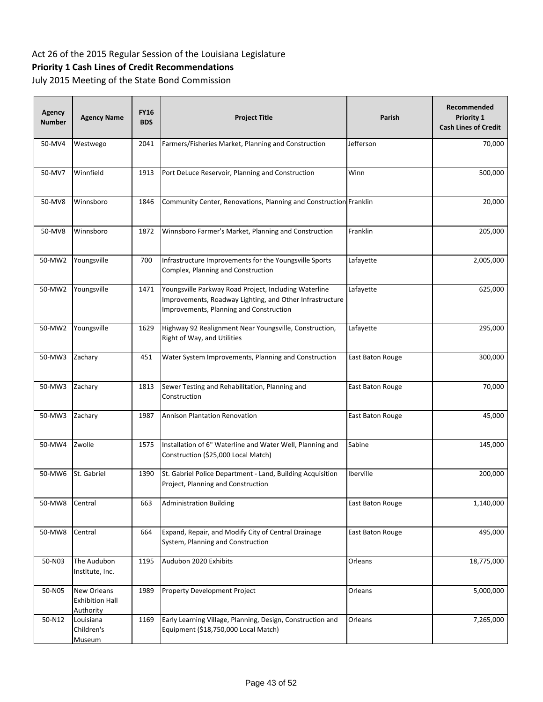# **Priority 1 Cash Lines of Credit Recommendations**

| Agency<br><b>Number</b> | <b>Agency Name</b>                                        | <b>FY16</b><br><b>BDS</b> | <b>Project Title</b>                                                                                                                                         | <b>Parish</b>    | Recommended<br>Priority 1<br><b>Cash Lines of Credit</b> |
|-------------------------|-----------------------------------------------------------|---------------------------|--------------------------------------------------------------------------------------------------------------------------------------------------------------|------------------|----------------------------------------------------------|
| 50-MV4                  | Westwego                                                  | 2041                      | Farmers/Fisheries Market, Planning and Construction                                                                                                          | Jefferson        | 70,000                                                   |
| 50-MV7                  | Winnfield                                                 | 1913                      | Port DeLuce Reservoir, Planning and Construction                                                                                                             | Winn             | 500,000                                                  |
| 50-MV8                  | Winnsboro                                                 | 1846                      | Community Center, Renovations, Planning and Construction Franklin                                                                                            |                  | 20,000                                                   |
| 50-MV8                  | Winnsboro                                                 | 1872                      | Winnsboro Farmer's Market, Planning and Construction                                                                                                         | Franklin         | 205,000                                                  |
| 50-MW2                  | Youngsville                                               | 700                       | Infrastructure Improvements for the Youngsville Sports<br>Complex, Planning and Construction                                                                 | Lafayette        | 2,005,000                                                |
| 50-MW2                  | Youngsville                                               | 1471                      | Youngsville Parkway Road Project, Including Waterline<br>Improvements, Roadway Lighting, and Other Infrastructure<br>Improvements, Planning and Construction | Lafayette        | 625,000                                                  |
| 50-MW2                  | Youngsville                                               | 1629                      | Highway 92 Realignment Near Youngsville, Construction,<br>Right of Way, and Utilities                                                                        | Lafayette        | 295,000                                                  |
| 50-MW3                  | Zachary                                                   | 451                       | Water System Improvements, Planning and Construction                                                                                                         | East Baton Rouge | 300,000                                                  |
| 50-MW3                  | Zachary                                                   | 1813                      | Sewer Testing and Rehabilitation, Planning and<br>Construction                                                                                               | East Baton Rouge | 70,000                                                   |
| 50-MW3                  | Zachary                                                   | 1987                      | <b>Annison Plantation Renovation</b>                                                                                                                         | East Baton Rouge | 45,000                                                   |
| 50-MW4                  | Zwolle                                                    | 1575                      | Installation of 6" Waterline and Water Well, Planning and<br>Construction (\$25,000 Local Match)                                                             | Sabine           | 145,000                                                  |
| 50-MW6                  | St. Gabriel                                               | 1390                      | St. Gabriel Police Department - Land, Building Acquisition<br>Project, Planning and Construction                                                             | Iberville        | 200,000                                                  |
| 50-MW8                  | Central                                                   | 663                       | <b>Administration Building</b>                                                                                                                               | East Baton Rouge | 1,140,000                                                |
| 50-MW8                  | Central                                                   | 664                       | Expand, Repair, and Modify City of Central Drainage<br>System, Planning and Construction                                                                     | East Baton Rouge | 495,000                                                  |
| 50-N03                  | The Audubon<br>Institute, Inc.                            | 1195                      | Audubon 2020 Exhibits                                                                                                                                        | Orleans          | 18,775,000                                               |
| 50-N05                  | New Orleans<br><b>Exhibition Hall</b><br><b>Authority</b> | 1989                      | Property Development Project                                                                                                                                 | Orleans          | 5,000,000                                                |
| 50-N12                  | Louisiana<br>Children's<br>Museum                         | 1169                      | Early Learning Village, Planning, Design, Construction and<br>Equipment (\$18,750,000 Local Match)                                                           | Orleans          | 7,265,000                                                |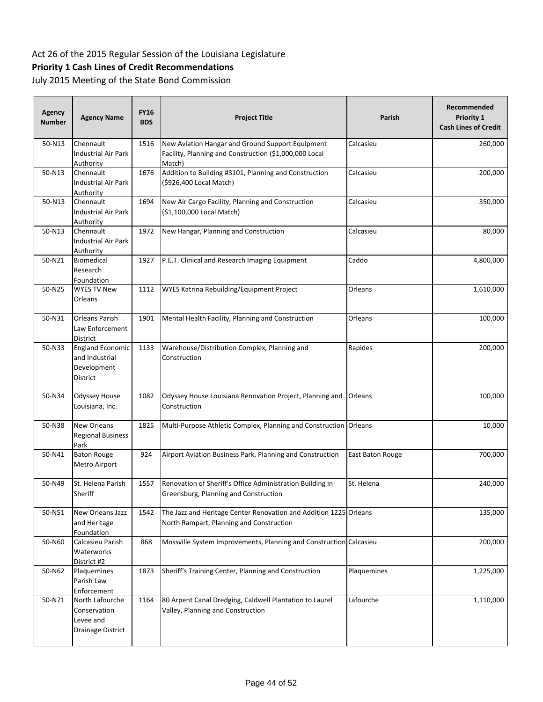# **Priority 1 Cash Lines of Credit Recommendations**

| <b>Agency</b><br><b>Number</b> | <b>Agency Name</b>                                                   | <b>FY16</b><br><b>BDS</b> | <b>Project Title</b>                                                                                                 | Parish           | Recommended<br>Priority 1<br><b>Cash Lines of Credit</b> |
|--------------------------------|----------------------------------------------------------------------|---------------------------|----------------------------------------------------------------------------------------------------------------------|------------------|----------------------------------------------------------|
| 50-N13                         | Chennault<br>Industrial Air Park<br>Authority                        | 1516                      | New Aviation Hangar and Ground Support Equipment<br>Facility, Planning and Construction (\$1,000,000 Local<br>Match) | Calcasieu        | 260,000                                                  |
| 50-N13                         | Chennault<br>Industrial Air Park<br><b>Authority</b>                 | 1676                      | Addition to Building #3101, Planning and Construction<br>(\$926,400 Local Match)                                     | Calcasieu        | 200,000                                                  |
| 50-N13                         | Chennault<br>Industrial Air Park<br>Authority                        | 1694                      | New Air Cargo Facility, Planning and Construction<br>(\$1,100,000 Local Match)                                       | Calcasieu        | 350,000                                                  |
| 50-N13                         | Chennault<br>Industrial Air Park<br>Authority                        | 1972                      | New Hangar, Planning and Construction                                                                                | Calcasieu        | 80,000                                                   |
| 50-N21                         | Biomedical<br>Research<br>Foundation                                 | 1927                      | P.E.T. Clinical and Research Imaging Equipment                                                                       | Caddo            | 4,800,000                                                |
| 50-N25                         | <b>WYES TV New</b><br>Orleans                                        | 1112                      | WYES Katrina Rebuilding/Equipment Project                                                                            | Orleans          | 1,610,000                                                |
| 50-N31                         | <b>Orleans Parish</b><br>Law Enforcement<br>District                 | 1901                      | Mental Health Facility, Planning and Construction                                                                    | Orleans          | 100,000                                                  |
| 50-N33                         | <b>England Economic</b><br>and Industrial<br>Development<br>District | 1133                      | Warehouse/Distribution Complex, Planning and<br>Construction                                                         | Rapides          | 200,000                                                  |
| 50-N34                         | <b>Odyssey House</b><br>Louisiana, Inc.                              | 1082                      | Odyssey House Louisiana Renovation Project, Planning and<br>Construction                                             | Orleans          | 100,000                                                  |
| 50-N38                         | New Orleans<br><b>Regional Business</b><br>Park                      | 1825                      | Multi-Purpose Athletic Complex, Planning and Construction Orleans                                                    |                  | 10,000                                                   |
| 50-N41                         | <b>Baton Rouge</b><br>Metro Airport                                  | 924                       | Airport Aviation Business Park, Planning and Construction                                                            | East Baton Rouge | 700,000                                                  |
| 50-N49                         | St. Helena Parish<br>Sheriff                                         | 1557                      | Renovation of Sheriff's Office Administration Building in<br>Greensburg, Planning and Construction                   | St. Helena       | 240,000                                                  |
| 50-N51                         | New Orleans Jazz<br>and Heritage<br><b>Foundation</b>                | 1542                      | The Jazz and Heritage Center Renovation and Addition 1225 Orleans<br>North Rampart, Planning and Construction        |                  | 135,000                                                  |
| 50-N60                         | Calcasieu Parish<br>Waterworks<br>District #2                        | 868                       | Mossville System Improvements, Planning and Construction Calcasieu                                                   |                  | 200,000                                                  |
| 50-N62                         | Plaquemines<br>Parish Law<br>Enforcement                             | 1873                      | Sheriff's Training Center, Planning and Construction                                                                 | Plaquemines      | 1,225,000                                                |
| 50-N71                         | North Lafourche<br>Conservation<br>Levee and<br>Drainage District    | 1164                      | 80 Arpent Canal Dredging, Caldwell Plantation to Laurel<br>Valley, Planning and Construction                         | Lafourche        | 1,110,000                                                |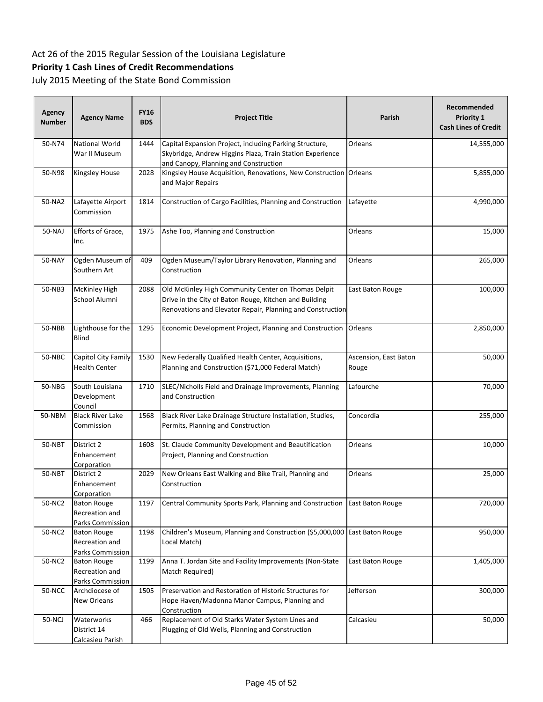# **Priority 1 Cash Lines of Credit Recommendations**

| Agency<br><b>Number</b> | <b>Agency Name</b>                                       | <b>FY16</b><br><b>BDS</b> | <b>Project Title</b>                                                                                                                                                        | Parish                         | Recommended<br><b>Priority 1</b><br><b>Cash Lines of Credit</b> |
|-------------------------|----------------------------------------------------------|---------------------------|-----------------------------------------------------------------------------------------------------------------------------------------------------------------------------|--------------------------------|-----------------------------------------------------------------|
| 50-N74                  | <b>National World</b><br>War II Museum                   | 1444                      | Capital Expansion Project, including Parking Structure,<br>Skybridge, Andrew Higgins Plaza, Train Station Experience<br>and Canopy, Planning and Construction               | Orleans                        | 14,555,000                                                      |
| 50-N98                  | Kingsley House                                           | 2028                      | Kingsley House Acquisition, Renovations, New Construction Orleans<br>and Major Repairs                                                                                      |                                | 5,855,000                                                       |
| 50-NA2                  | Lafayette Airport<br>Commission                          | 1814                      | Construction of Cargo Facilities, Planning and Construction                                                                                                                 | Lafayette                      | 4,990,000                                                       |
| 50-NAJ                  | Efforts of Grace,<br>Inc.                                | 1975                      | Ashe Too, Planning and Construction                                                                                                                                         | Orleans                        | 15,000                                                          |
| 50-NAY                  | Ogden Museum of<br>Southern Art                          | 409                       | Ogden Museum/Taylor Library Renovation, Planning and<br>Construction                                                                                                        | Orleans                        | 265,000                                                         |
| 50-NB3                  | <b>McKinley High</b><br>School Alumni                    | 2088                      | Old McKinley High Community Center on Thomas Delpit<br>Drive in the City of Baton Rouge, Kitchen and Building<br>Renovations and Elevator Repair, Planning and Construction | East Baton Rouge               | 100,000                                                         |
| 50-NBB                  | Lighthouse for the<br><b>Blind</b>                       | 1295                      | Economic Development Project, Planning and Construction                                                                                                                     | Orleans                        | 2,850,000                                                       |
| 50-NBC                  | Capitol City Family<br><b>Health Center</b>              | 1530                      | New Federally Qualified Health Center, Acquisitions,<br>Planning and Construction (\$71,000 Federal Match)                                                                  | Ascension, East Baton<br>Rouge | 50,000                                                          |
| 50-NBG                  | South Louisiana<br>Development<br>Council                | 1710                      | SLEC/Nicholls Field and Drainage Improvements, Planning<br>and Construction                                                                                                 | Lafourche                      | 70,000                                                          |
| 50-NBM                  | <b>Black River Lake</b><br>Commission                    | 1568                      | Black River Lake Drainage Structure Installation, Studies,<br>Permits, Planning and Construction                                                                            | Concordia                      | 255,000                                                         |
| 50-NBT                  | District 2<br>Enhancement<br>Corporation                 | 1608                      | St. Claude Community Development and Beautification<br>Project, Planning and Construction                                                                                   | Orleans                        | 10,000                                                          |
| 50-NBT                  | District 2<br>Enhancement<br>Corporation                 | 2029                      | New Orleans East Walking and Bike Trail, Planning and<br>Construction                                                                                                       | Orleans                        | 25,000                                                          |
| 50-NC2                  | <b>Baton Rouge</b><br>Recreation and<br>Parks Commission | 1197                      | Central Community Sports Park, Planning and Construction                                                                                                                    | East Baton Rouge               | 720,000                                                         |
| 50-NC2                  | <b>Baton Rouge</b><br>Recreation and<br>Parks Commission | 1198                      | Children's Museum, Planning and Construction (\$5,000,000 East Baton Rouge<br>Local Match)                                                                                  |                                | 950,000                                                         |
| 50-NC2                  | <b>Baton Rouge</b><br>Recreation and<br>Parks Commission | 1199                      | Anna T. Jordan Site and Facility Improvements (Non-State<br>Match Required)                                                                                                 | East Baton Rouge               | 1,405,000                                                       |
| 50-NCC                  | Archdiocese of<br>New Orleans                            | 1505                      | Preservation and Restoration of Historic Structures for<br>Hope Haven/Madonna Manor Campus, Planning and<br>Construction                                                    | Jefferson                      | 300,000                                                         |
| 50-NCJ                  | Waterworks<br>District 14<br>Calcasieu Parish            | 466                       | Replacement of Old Starks Water System Lines and<br>Plugging of Old Wells, Planning and Construction                                                                        | Calcasieu                      | 50,000                                                          |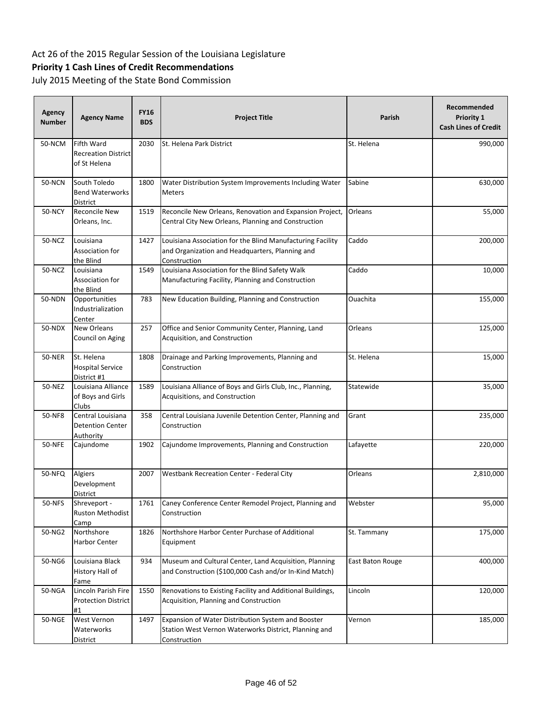# **Priority 1 Cash Lines of Credit Recommendations**

| Agency<br><b>Number</b> | <b>Agency Name</b>                                        | <b>FY16</b><br><b>BDS</b> | <b>Project Title</b>                                                                                                          | Parish           | Recommended<br>Priority 1<br><b>Cash Lines of Credit</b> |
|-------------------------|-----------------------------------------------------------|---------------------------|-------------------------------------------------------------------------------------------------------------------------------|------------------|----------------------------------------------------------|
| 50-NCM                  | Fifth Ward<br><b>Recreation District</b><br>of St Helena  | 2030                      | St. Helena Park District                                                                                                      | St. Helena       | 990,000                                                  |
| <b>50-NCN</b>           | South Toledo<br><b>Bend Waterworks</b><br>District        | 1800                      | Water Distribution System Improvements Including Water<br>Meters                                                              | Sabine           | 630,000                                                  |
| <b>50-NCY</b>           | Reconcile New<br>Orleans, Inc.                            | 1519                      | Reconcile New Orleans, Renovation and Expansion Project,<br>Central City New Orleans, Planning and Construction               | Orleans          | 55,000                                                   |
| 50-NCZ                  | Louisiana<br>Association for<br>the Blind                 | 1427                      | Louisiana Association for the Blind Manufacturing Facility<br>and Organization and Headquarters, Planning and<br>Construction | Caddo            | 200,000                                                  |
| 50-NCZ                  | Louisiana<br>Association for<br>the Blind                 | 1549                      | Louisiana Association for the Blind Safety Walk<br>Manufacturing Facility, Planning and Construction                          | Caddo            | 10,000                                                   |
| 50-NDN                  | Opportunities<br>Industrialization<br>Center              | 783                       | New Education Building, Planning and Construction                                                                             | Ouachita         | 155,000                                                  |
| 50-NDX                  | New Orleans<br>Council on Aging                           | 257                       | Office and Senior Community Center, Planning, Land<br>Acquisition, and Construction                                           | Orleans          | 125,000                                                  |
| <b>50-NER</b>           | St. Helena<br><b>Hospital Service</b><br>District #1      | 1808                      | Drainage and Parking Improvements, Planning and<br>Construction                                                               | St. Helena       | 15,000                                                   |
| 50-NEZ                  | Louisiana Alliance<br>of Boys and Girls<br>Clubs          | 1589                      | Louisiana Alliance of Boys and Girls Club, Inc., Planning,<br>Acquisitions, and Construction                                  | Statewide        | 35,000                                                   |
| 50-NF8                  | Central Louisiana<br><b>Detention Center</b><br>Authority | 358                       | Central Louisiana Juvenile Detention Center, Planning and<br>Construction                                                     | Grant            | 235,000                                                  |
| <b>50-NFE</b>           | Cajundome                                                 | 1902                      | Cajundome Improvements, Planning and Construction                                                                             | Lafayette        | 220,000                                                  |
| 50-NFQ                  | Algiers<br>Development<br><b>District</b>                 | 2007                      | Westbank Recreation Center - Federal City                                                                                     | Orleans          | 2,810,000                                                |
| 50-NFS                  | Shreveport -<br>Ruston Methodist<br>Camp                  | 1761                      | Caney Conference Center Remodel Project, Planning and<br>Construction                                                         | Webster          | 95,000                                                   |
| 50-NG2                  | Northshore<br>Harbor Center                               | 1826                      | Northshore Harbor Center Purchase of Additional<br>Equipment                                                                  | St. Tammany      | 175,000                                                  |
| 50-NG6                  | Louisiana Black<br>History Hall of<br>Fame                | 934                       | Museum and Cultural Center, Land Acquisition, Planning<br>and Construction (\$100,000 Cash and/or In-Kind Match)              | East Baton Rouge | 400,000                                                  |
| 50-NGA                  | Lincoln Parish Fire<br><b>Protection District</b><br>#1   | 1550                      | Renovations to Existing Facility and Additional Buildings,<br>Acquisition, Planning and Construction                          | Lincoln          | 120,000                                                  |
| <b>50-NGE</b>           | West Vernon<br>Waterworks<br>District                     | 1497                      | Expansion of Water Distribution System and Booster<br>Station West Vernon Waterworks District, Planning and<br>Construction   | Vernon           | 185,000                                                  |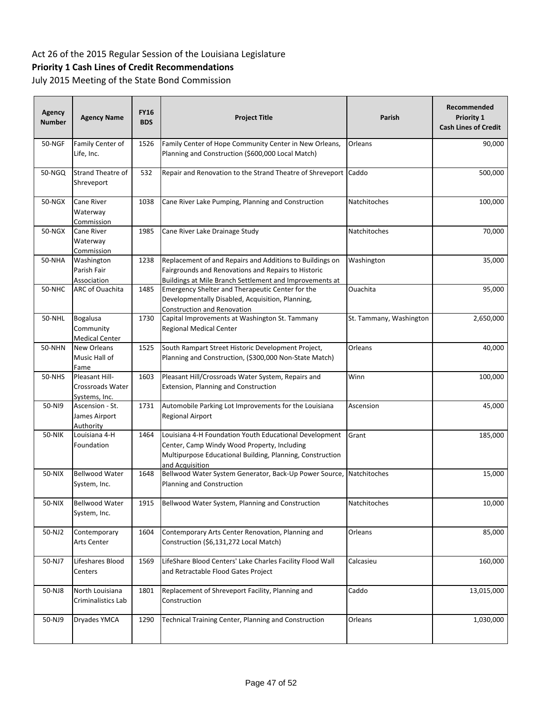# **Priority 1 Cash Lines of Credit Recommendations**

| Agency<br><b>Number</b> | <b>Agency Name</b>                                    | <b>FY16</b><br><b>BDS</b> | <b>Project Title</b>                                                                                                                                                                  | <b>Parish</b>           | Recommended<br>Priority 1<br><b>Cash Lines of Credit</b> |
|-------------------------|-------------------------------------------------------|---------------------------|---------------------------------------------------------------------------------------------------------------------------------------------------------------------------------------|-------------------------|----------------------------------------------------------|
| 50-NGF                  | Family Center of<br>Life, Inc.                        | 1526                      | Family Center of Hope Community Center in New Orleans,<br>Planning and Construction (\$600,000 Local Match)                                                                           | Orleans                 | 90,000                                                   |
| 50-NGQ                  | <b>Strand Theatre of</b><br>Shreveport                | 532                       | Repair and Renovation to the Strand Theatre of Shreveport Caddo                                                                                                                       |                         | 500,000                                                  |
| 50-NGX                  | Cane River<br>Waterway<br>Commission                  | 1038                      | Cane River Lake Pumping, Planning and Construction                                                                                                                                    | Natchitoches            | 100,000                                                  |
| 50-NGX                  | Cane River<br>Waterway<br>Commission                  | 1985                      | Cane River Lake Drainage Study                                                                                                                                                        | Natchitoches            | 70,000                                                   |
| 50-NHA                  | Washington<br>Parish Fair<br>Association              | 1238                      | Replacement of and Repairs and Additions to Buildings on<br>Fairgrounds and Renovations and Repairs to Historic<br>Buildings at Mile Branch Settlement and Improvements at            | Washington              | 35,000                                                   |
| 50-NHC                  | <b>ARC of Ouachita</b>                                | 1485                      | Emergency Shelter and Therapeutic Center for the<br>Developmentally Disabled, Acquisition, Planning,<br><b>Construction and Renovation</b>                                            | Ouachita                | 95,000                                                   |
| 50-NHL                  | <b>Bogalusa</b><br>Community<br><b>Medical Center</b> | 1730                      | Capital Improvements at Washington St. Tammany<br><b>Regional Medical Center</b>                                                                                                      | St. Tammany, Washington | 2,650,000                                                |
| <b>50-NHN</b>           | New Orleans<br>Music Hall of<br>Fame                  | 1525                      | South Rampart Street Historic Development Project,<br>Planning and Construction, (\$300,000 Non-State Match)                                                                          | Orleans                 | 40,000                                                   |
| 50-NHS                  | Pleasant Hill-<br>Crossroads Water<br>Systems, Inc.   | 1603                      | Pleasant Hill/Crossroads Water System, Repairs and<br>Extension, Planning and Construction                                                                                            | Winn                    | 100,000                                                  |
| 50-NI9                  | Ascension - St.<br>James Airport<br><b>Authority</b>  | 1731                      | Automobile Parking Lot Improvements for the Louisiana<br><b>Regional Airport</b>                                                                                                      | Ascension               | 45,000                                                   |
| 50-NIK                  | Louisiana 4-H<br>Foundation                           | 1464                      | Louisiana 4-H Foundation Youth Educational Development<br>Center, Camp Windy Wood Property, Including<br>Multipurpose Educational Building, Planning, Construction<br>and Acquisition | Grant                   | 185,000                                                  |
| 50-NIX                  | <b>Bellwood Water</b><br>System, Inc.                 | 1648                      | Bellwood Water System Generator, Back-Up Power Source,<br>Planning and Construction                                                                                                   | Natchitoches            | 15,000                                                   |
| 50-NIX                  | <b>Bellwood Water</b><br>System, Inc.                 | 1915                      | Bellwood Water System, Planning and Construction                                                                                                                                      | Natchitoches            | 10,000                                                   |
| 50-NJ2                  | Contemporary<br>Arts Center                           | 1604                      | Contemporary Arts Center Renovation, Planning and<br>Construction (\$6,131,272 Local Match)                                                                                           | Orleans                 | 85,000                                                   |
| 50-NJ7                  | Lifeshares Blood<br>Centers                           | 1569                      | LifeShare Blood Centers' Lake Charles Facility Flood Wall<br>and Retractable Flood Gates Project                                                                                      | Calcasieu               | 160,000                                                  |
| 50-NJ8                  | North Louisiana<br>Criminalistics Lab                 | 1801                      | Replacement of Shreveport Facility, Planning and<br>Construction                                                                                                                      | Caddo                   | 13,015,000                                               |
| 50-NJ9                  | Dryades YMCA                                          | 1290                      | Technical Training Center, Planning and Construction                                                                                                                                  | Orleans                 | 1,030,000                                                |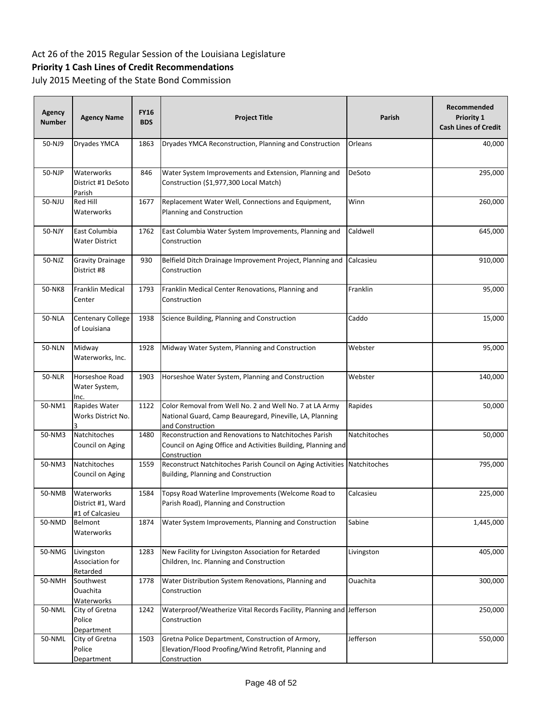# **Priority 1 Cash Lines of Credit Recommendations**

| <b>Agency</b><br><b>Number</b> | <b>Agency Name</b>                                 | <b>FY16</b><br><b>BDS</b> | <b>Project Title</b>                                                                                                                    | Parish       | Recommended<br><b>Priority 1</b><br><b>Cash Lines of Credit</b> |
|--------------------------------|----------------------------------------------------|---------------------------|-----------------------------------------------------------------------------------------------------------------------------------------|--------------|-----------------------------------------------------------------|
| 50-NJ9                         | Dryades YMCA                                       | 1863                      | Dryades YMCA Reconstruction, Planning and Construction                                                                                  | Orleans      | 40,000                                                          |
| 50-NJP                         | Waterworks<br>District #1 DeSoto<br>Parish         | 846                       | Water System Improvements and Extension, Planning and<br>Construction (\$1,977,300 Local Match)                                         | DeSoto       | 295,000                                                         |
| 50-NJU                         | Red Hill<br>Waterworks                             | 1677                      | Replacement Water Well, Connections and Equipment,<br>Planning and Construction                                                         | Winn         | 260,000                                                         |
| 50-NJY                         | East Columbia<br>Water District                    | 1762                      | East Columbia Water System Improvements, Planning and<br>Construction                                                                   | Caldwell     | 645,000                                                         |
| 50-NJZ                         | <b>Gravity Drainage</b><br>District #8             | 930                       | Belfield Ditch Drainage Improvement Project, Planning and<br>Construction                                                               | Calcasieu    | 910,000                                                         |
| 50-NK8                         | <b>Franklin Medical</b><br>Center                  | 1793                      | Franklin Medical Center Renovations, Planning and<br>Construction                                                                       | Franklin     | 95,000                                                          |
| <b>50-NLA</b>                  | Centenary College<br>of Louisiana                  | 1938                      | Science Building, Planning and Construction                                                                                             | Caddo        | 15,000                                                          |
| <b>50-NLN</b>                  | Midway<br>Waterworks, Inc.                         | 1928                      | Midway Water System, Planning and Construction                                                                                          | Webster      | 95,000                                                          |
| <b>50-NLR</b>                  | Horseshoe Road<br>Water System,<br>Inc.            | 1903                      | Horseshoe Water System, Planning and Construction                                                                                       | Webster      | 140,000                                                         |
| 50-NM1                         | Rapides Water<br>Works District No.                | 1122                      | Color Removal from Well No. 2 and Well No. 7 at LA Army<br>National Guard, Camp Beauregard, Pineville, LA, Planning<br>and Construction | Rapides      | 50,000                                                          |
| 50-NM3                         | Natchitoches<br>Council on Aging                   | 1480                      | Reconstruction and Renovations to Natchitoches Parish<br>Council on Aging Office and Activities Building, Planning and<br>Construction  | Natchitoches | 50,000                                                          |
| 50-NM3                         | Natchitoches<br>Council on Aging                   | 1559                      | Reconstruct Natchitoches Parish Council on Aging Activities Natchitoches<br>Building, Planning and Construction                         |              | 795,000                                                         |
| 50-NMB                         | Waterworks<br>District #1, Ward<br>#1 of Calcasieu | 1584                      | Topsy Road Waterline Improvements (Welcome Road to<br>Parish Road), Planning and Construction                                           | Calcasieu    | 225,000                                                         |
| 50-NMD                         | Belmont<br>Waterworks                              | 1874                      | Water System Improvements, Planning and Construction                                                                                    | Sabine       | 1,445,000                                                       |
| 50-NMG                         | Livingston<br>Association for<br>Retarded          | 1283                      | New Facility for Livingston Association for Retarded<br>Children, Inc. Planning and Construction                                        | Livingston   | 405,000                                                         |
| 50-NMH                         | Southwest<br>Ouachita<br><b>Waterworks</b>         | 1778                      | Water Distribution System Renovations, Planning and<br>Construction                                                                     | Ouachita     | 300,000                                                         |
| 50-NML                         | City of Gretna<br>Police<br>Department             | 1242                      | Waterproof/Weatherize Vital Records Facility, Planning and Jefferson<br>Construction                                                    |              | 250,000                                                         |
| 50-NML                         | City of Gretna<br>Police<br>Department             | 1503                      | Gretna Police Department, Construction of Armory,<br>Elevation/Flood Proofing/Wind Retrofit, Planning and<br>Construction               | Jefferson    | 550,000                                                         |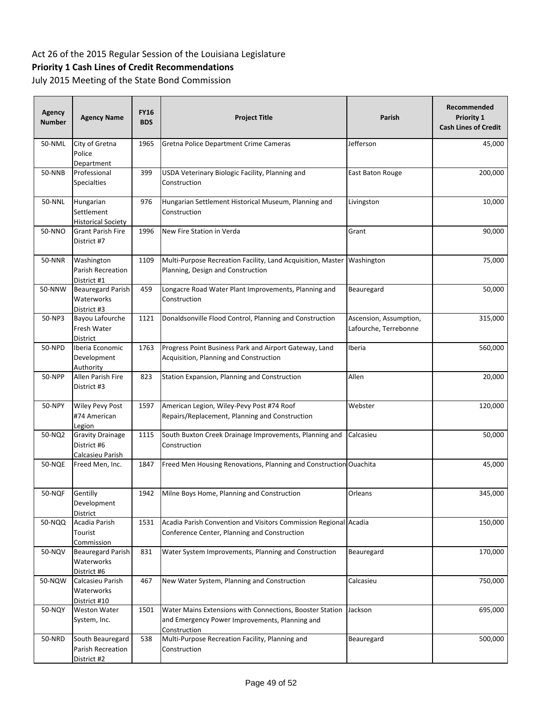# **Priority 1 Cash Lines of Credit Recommendations**

| Agency<br><b>Number</b> | <b>Agency Name</b>                                         | <b>FY16</b><br><b>BDS</b> | <b>Project Title</b>                                                                                                       | Parish                                          | Recommended<br><b>Priority 1</b><br><b>Cash Lines of Credit</b> |
|-------------------------|------------------------------------------------------------|---------------------------|----------------------------------------------------------------------------------------------------------------------------|-------------------------------------------------|-----------------------------------------------------------------|
| 50-NML                  | City of Gretna<br>Police<br>Department                     | 1965                      | Gretna Police Department Crime Cameras                                                                                     | Jefferson                                       | 45,000                                                          |
| <b>50-NNB</b>           | Professional<br><b>Specialties</b>                         | 399                       | USDA Veterinary Biologic Facility, Planning and<br>Construction                                                            | East Baton Rouge                                | 200,000                                                         |
| 50-NNL                  | Hungarian<br>Settlement<br><b>Historical Society</b>       | 976                       | Hungarian Settlement Historical Museum, Planning and<br>Construction                                                       | Livingston                                      | 10,000                                                          |
| 50-NNO                  | <b>Grant Parish Fire</b><br>District #7                    | 1996                      | New Fire Station in Verda                                                                                                  | Grant                                           | 90,000                                                          |
| <b>50-NNR</b>           | Washington<br>Parish Recreation<br>District #1             | 1109                      | Multi-Purpose Recreation Facility, Land Acquisition, Master Washington<br>Planning, Design and Construction                |                                                 | 75,000                                                          |
| 50-NNW                  | <b>Beauregard Parish</b><br>Waterworks<br>District #3      | 459                       | Longacre Road Water Plant Improvements, Planning and<br>Construction                                                       | Beauregard                                      | 50,000                                                          |
| 50-NP3                  | Bayou Lafourche<br>Fresh Water<br>District                 | 1121                      | Donaldsonville Flood Control, Planning and Construction                                                                    | Ascension, Assumption,<br>Lafourche, Terrebonne | 315,000                                                         |
| 50-NPD                  | Iberia Economic<br>Development<br>Authority                | 1763                      | Progress Point Business Park and Airport Gateway, Land<br>Acquisition, Planning and Construction                           | Iberia                                          | 560,000                                                         |
| <b>50-NPP</b>           | Allen Parish Fire<br>District #3                           | 823                       | Station Expansion, Planning and Construction                                                                               | Allen                                           | 20,000                                                          |
| 50-NPY                  | Wiley Pevy Post<br>#74 American<br>Legion                  | 1597                      | American Legion, Wiley-Pevy Post #74 Roof<br>Repairs/Replacement, Planning and Construction                                | Webster                                         | 120,000                                                         |
| 50-NQ2                  | <b>Gravity Drainage</b><br>District #6<br>Calcasieu Parish | 1115                      | South Buxton Creek Drainage Improvements, Planning and<br>Construction                                                     | Calcasieu                                       | 50,000                                                          |
| <b>50-NQE</b>           | Freed Men, Inc.                                            | 1847                      | Freed Men Housing Renovations, Planning and Construction Ouachita                                                          |                                                 | 45,000                                                          |
| <b>50-NQF</b>           | Gentilly<br>Development<br>District                        | 1942                      | Milne Boys Home, Planning and Construction                                                                                 | Orleans                                         | 345,000                                                         |
| 50-NQQ                  | Acadia Parish<br>Tourist<br>Commission                     | 1531                      | Acadia Parish Convention and Visitors Commission Regional Acadia<br>Conference Center, Planning and Construction           |                                                 | 150,000                                                         |
| 50-NQV                  | <b>Beauregard Parish</b><br>Waterworks<br>District #6      | 831                       | Water System Improvements, Planning and Construction                                                                       | Beauregard                                      | 170,000                                                         |
| 50-NQW                  | Calcasieu Parish<br>Waterworks<br>District #10             | 467                       | New Water System, Planning and Construction                                                                                | Calcasieu                                       | 750,000                                                         |
| 50-NQY                  | <b>Weston Water</b><br>System, Inc.                        | 1501                      | Water Mains Extensions with Connections, Booster Station<br>and Emergency Power Improvements, Planning and<br>Construction | Jackson                                         | 695,000                                                         |
| 50-NRD                  | South Beauregard<br>Parish Recreation<br>District #2       | 538                       | Multi-Purpose Recreation Facility, Planning and<br>Construction                                                            | Beauregard                                      | 500,000                                                         |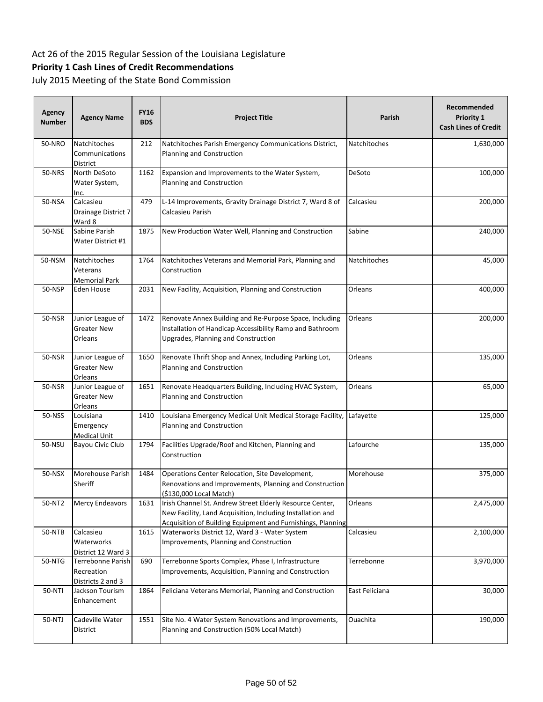# **Priority 1 Cash Lines of Credit Recommendations**

| <b>Agency</b><br><b>Number</b> | <b>Agency Name</b>                                   | <b>FY16</b><br><b>BDS</b> | <b>Project Title</b>                                                                                                                                                                  | Parish         | Recommended<br>Priority 1<br><b>Cash Lines of Credit</b> |
|--------------------------------|------------------------------------------------------|---------------------------|---------------------------------------------------------------------------------------------------------------------------------------------------------------------------------------|----------------|----------------------------------------------------------|
| 50-NRO                         | Natchitoches<br>Communications<br>District           | 212                       | Natchitoches Parish Emergency Communications District,<br>Planning and Construction                                                                                                   | Natchitoches   | 1,630,000                                                |
| <b>50-NRS</b>                  | North DeSoto<br>Water System,<br>Inc.                | 1162                      | Expansion and Improvements to the Water System,<br>Planning and Construction                                                                                                          | DeSoto         | 100,000                                                  |
| 50-NSA                         | Calcasieu<br>Drainage District 7<br>Ward 8           | 479                       | L-14 Improvements, Gravity Drainage District 7, Ward 8 of<br>Calcasieu Parish                                                                                                         | Calcasieu      | 200,000                                                  |
| 50-NSE                         | Sabine Parish<br>Water District #1                   | 1875                      | New Production Water Well, Planning and Construction                                                                                                                                  | Sabine         | 240,000                                                  |
| 50-NSM                         | Natchitoches<br>Veterans<br>Memorial Park            | 1764                      | Natchitoches Veterans and Memorial Park, Planning and<br>Construction                                                                                                                 | Natchitoches   | 45,000                                                   |
| 50-NSP                         | Eden House                                           | 2031                      | New Facility, Acquisition, Planning and Construction                                                                                                                                  | Orleans        | 400,000                                                  |
| 50-NSR                         | Junior League of<br>Greater New<br>Orleans           | 1472                      | Renovate Annex Building and Re-Purpose Space, Including<br>Installation of Handicap Accessibility Ramp and Bathroom<br>Upgrades, Planning and Construction                            | Orleans        | 200,000                                                  |
| 50-NSR                         | Junior League of<br><b>Greater New</b><br>Orleans    | 1650                      | Renovate Thrift Shop and Annex, Including Parking Lot,<br>Planning and Construction                                                                                                   | Orleans        | 135,000                                                  |
| <b>50-NSR</b>                  | Junior League of<br>Greater New<br>Orleans           | 1651                      | Renovate Headquarters Building, Including HVAC System,<br>Planning and Construction                                                                                                   | Orleans        | 65,000                                                   |
| 50-NSS                         | Louisiana<br>Emergency<br>Medical Unit               | 1410                      | Louisiana Emergency Medical Unit Medical Storage Facility,<br>Planning and Construction                                                                                               | Lafayette      | 125,000                                                  |
| 50-NSU                         | Bayou Civic Club                                     | 1794                      | Facilities Upgrade/Roof and Kitchen, Planning and<br>Construction                                                                                                                     | Lafourche      | 135,000                                                  |
| 50-NSX                         | Morehouse Parish<br>Sheriff                          | 1484                      | Operations Center Relocation, Site Development,<br>Renovations and Improvements, Planning and Construction<br>(\$130,000 Local Match)                                                 | Morehouse      | 375,000                                                  |
| 50-NT2                         | Mercy Endeavors                                      | 1631                      | Irish Channel St. Andrew Street Elderly Resource Center,<br>New Facility, Land Acquisition, Including Installation and<br>Acquisition of Building Equipment and Furnishings, Planning | Orleans        | 2,475,000                                                |
| 50-NTB                         | Calcasieu<br>Waterworks<br>District 12 Ward 3        | 1615                      | Waterworks District 12, Ward 3 - Water System<br>Improvements, Planning and Construction                                                                                              | Calcasieu      | 2,100,000                                                |
| 50-NTG                         | Terrebonne Parish<br>Recreation<br>Districts 2 and 3 | 690                       | Terrebonne Sports Complex, Phase I, Infrastructure<br>Improvements, Acquisition, Planning and Construction                                                                            | Terrebonne     | 3,970,000                                                |
| 50-NTI                         | Jackson Tourism<br>Enhancement                       | 1864                      | Feliciana Veterans Memorial, Planning and Construction                                                                                                                                | East Feliciana | 30,000                                                   |
| 50-NTJ                         | Cadeville Water<br>District                          | 1551                      | Site No. 4 Water System Renovations and Improvements,<br>Planning and Construction (50% Local Match)                                                                                  | Ouachita       | 190,000                                                  |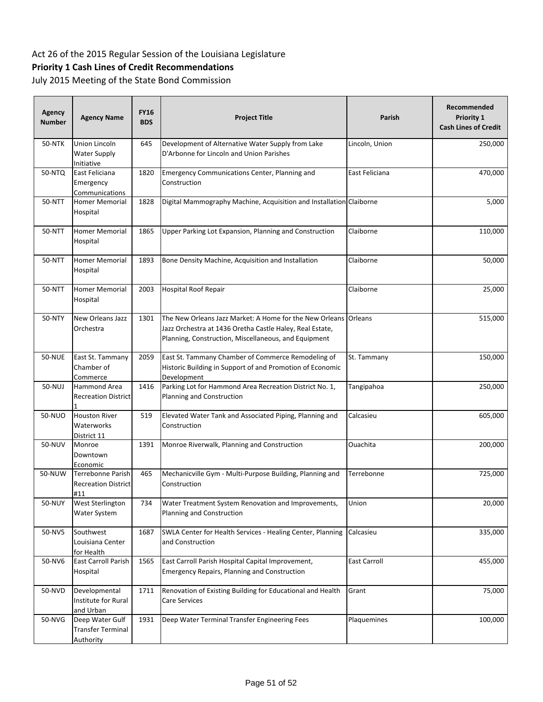# **Priority 1 Cash Lines of Credit Recommendations**

| Agency<br><b>Number</b> | <b>Agency Name</b>                                       | <b>FY16</b><br><b>BDS</b> | <b>Project Title</b>                                                                                                                                                                | <b>Parish</b>  | Recommended<br>Priority 1<br><b>Cash Lines of Credit</b> |
|-------------------------|----------------------------------------------------------|---------------------------|-------------------------------------------------------------------------------------------------------------------------------------------------------------------------------------|----------------|----------------------------------------------------------|
| <b>50-NTK</b>           | Union Lincoln<br><b>Water Supply</b><br>Initiative       | 645                       | Development of Alternative Water Supply from Lake<br>D'Arbonne for Lincoln and Union Parishes                                                                                       | Lincoln, Union | 250,000                                                  |
| 50-NTQ                  | East Feliciana<br>Emergency<br>Communications            | 1820                      | Emergency Communications Center, Planning and<br>Construction                                                                                                                       | East Feliciana | 470,000                                                  |
| 50-NTT                  | <b>Homer Memorial</b><br>Hospital                        | 1828                      | Digital Mammography Machine, Acquisition and Installation Claiborne                                                                                                                 |                | 5,000                                                    |
| 50-NTT                  | <b>Homer Memorial</b><br>Hospital                        | 1865                      | Upper Parking Lot Expansion, Planning and Construction                                                                                                                              | Claiborne      | 110,000                                                  |
| 50-NTT                  | <b>Homer Memorial</b><br>Hospital                        | 1893                      | Bone Density Machine, Acquisition and Installation                                                                                                                                  | Claiborne      | 50,000                                                   |
| 50-NTT                  | <b>Homer Memorial</b><br>Hospital                        | 2003                      | <b>Hospital Roof Repair</b>                                                                                                                                                         | Claiborne      | 25,000                                                   |
| 50-NTY                  | New Orleans Jazz<br>Orchestra                            | 1301                      | The New Orleans Jazz Market: A Home for the New Orleans Orleans<br>Jazz Orchestra at 1436 Oretha Castle Haley, Real Estate,<br>Planning, Construction, Miscellaneous, and Equipment |                | 515,000                                                  |
| <b>50-NUE</b>           | East St. Tammany<br>Chamber of<br>Commerce               | 2059                      | East St. Tammany Chamber of Commerce Remodeling of<br>Historic Building in Support of and Promotion of Economic<br>Development                                                      | St. Tammany    | 150,000                                                  |
| 50-NUJ                  | Hammond Area<br><b>Recreation District</b>               | 1416                      | Parking Lot for Hammond Area Recreation District No. 1,<br>Planning and Construction                                                                                                | Tangipahoa     | 250,000                                                  |
| 50-NUO                  | <b>Houston River</b><br>Waterworks<br>District 11        | 519                       | Elevated Water Tank and Associated Piping, Planning and<br>Construction                                                                                                             | Calcasieu      | 605,000                                                  |
| 50-NUV                  | Monroe<br>Downtown<br>Economic                           | 1391                      | Monroe Riverwalk, Planning and Construction                                                                                                                                         | Ouachita       | 200,000                                                  |
| 50-NUW                  | Terrebonne Parish<br><b>Recreation District</b><br>#11   | 465                       | Mechanicville Gym - Multi-Purpose Building, Planning and<br>Construction                                                                                                            | Terrebonne     | 725,000                                                  |
| 50-NUY                  | West Sterlington<br>Water System                         | 734                       | Water Treatment System Renovation and Improvements,<br>Planning and Construction                                                                                                    | Union          | 20,000                                                   |
| 50-NV5                  | Southwest<br>Louisiana Center<br>for Health              | 1687                      | SWLA Center for Health Services - Healing Center, Planning<br>and Construction                                                                                                      | Calcasieu      | 335,000                                                  |
| 50-NV6                  | East Carroll Parish<br>Hospital                          | 1565                      | East Carroll Parish Hospital Capital Improvement,<br><b>Emergency Repairs, Planning and Construction</b>                                                                            | East Carroll   | 455,000                                                  |
| 50-NVD                  | Developmental<br>Institute for Rural<br>and Urban        | 1711                      | Renovation of Existing Building for Educational and Health<br>Care Services                                                                                                         | Grant          | 75,000                                                   |
| 50-NVG                  | Deep Water Gulf<br>Transfer Terminal<br><b>Authority</b> | 1931                      | Deep Water Terminal Transfer Engineering Fees                                                                                                                                       | Plaquemines    | 100,000                                                  |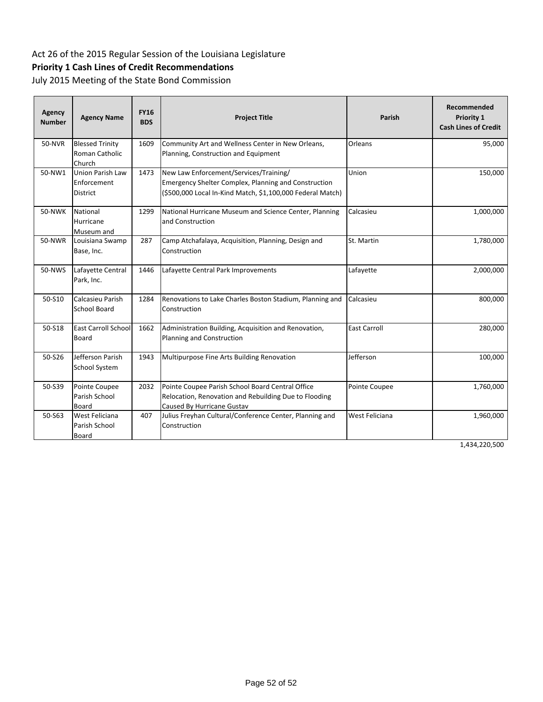# **Priority 1 Cash Lines of Credit Recommendations**

July 2015 Meeting of the State Bond Commission

| Agency<br><b>Number</b> | <b>Agency Name</b>                                        | <b>FY16</b><br><b>BDS</b> | <b>Project Title</b>                                                                                                                                                | Parish              | Recommended<br><b>Priority 1</b><br><b>Cash Lines of Credit</b> |
|-------------------------|-----------------------------------------------------------|---------------------------|---------------------------------------------------------------------------------------------------------------------------------------------------------------------|---------------------|-----------------------------------------------------------------|
| <b>50-NVR</b>           | <b>Blessed Trinity</b><br>Roman Catholic<br>Church        | 1609                      | Community Art and Wellness Center in New Orleans,<br>Planning, Construction and Equipment                                                                           | Orleans             | 95,000                                                          |
| 50-NW1                  | <b>Union Parish Law</b><br>Enforcement<br><b>District</b> | 1473                      | New Law Enforcement/Services/Training/<br><b>Emergency Shelter Complex, Planning and Construction</b><br>(\$500,000 Local In-Kind Match, \$1,100,000 Federal Match) | Union               | 150,000                                                         |
| <b>50-NWK</b>           | National<br>Hurricane<br>Museum and                       | 1299                      | National Hurricane Museum and Science Center, Planning<br>and Construction                                                                                          | Calcasieu           | 1,000,000                                                       |
| 50-NWR                  | Louisiana Swamp<br>Base, Inc.                             | 287                       | Camp Atchafalaya, Acquisition, Planning, Design and<br>Construction                                                                                                 | St. Martin          | 1,780,000                                                       |
| 50-NWS                  | Lafayette Central<br>Park, Inc.                           | 1446                      | Lafayette Central Park Improvements                                                                                                                                 | Lafayette           | 2,000,000                                                       |
| 50-S10                  | Calcasieu Parish<br><b>School Board</b>                   | 1284                      | Renovations to Lake Charles Boston Stadium, Planning and<br>Construction                                                                                            | Calcasieu           | 800,000                                                         |
| 50-S18                  | <b>East Carroll School</b><br><b>Board</b>                | 1662                      | Administration Building, Acquisition and Renovation,<br>Planning and Construction                                                                                   | <b>East Carroll</b> | 280,000                                                         |
| 50-S26                  | Jefferson Parish<br>School System                         | 1943                      | Multipurpose Fine Arts Building Renovation                                                                                                                          | Jefferson           | 100,000                                                         |
| 50-S39                  | Pointe Coupee<br>Parish School<br><b>Board</b>            | 2032                      | Pointe Coupee Parish School Board Central Office<br>Relocation, Renovation and Rebuilding Due to Flooding<br>Caused By Hurricane Gustav                             | Pointe Coupee       | 1,760,000                                                       |
| 50-S63                  | West Feliciana<br>Parish School<br>Board                  | 407                       | Julius Freyhan Cultural/Conference Center, Planning and<br>Construction                                                                                             | West Feliciana      | 1,960,000                                                       |

1,434,220,500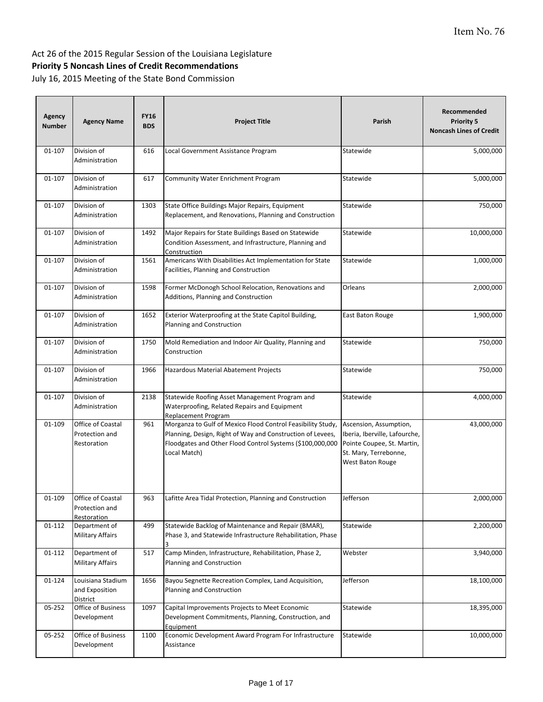| Agency<br><b>Number</b> | <b>Agency Name</b>                                 | <b>FY16</b><br><b>BDS</b> | <b>Project Title</b>                                                                                                                                                                                   | Parish                                                                                                                             | Recommended<br><b>Priority 5</b><br><b>Noncash Lines of Credit</b> |
|-------------------------|----------------------------------------------------|---------------------------|--------------------------------------------------------------------------------------------------------------------------------------------------------------------------------------------------------|------------------------------------------------------------------------------------------------------------------------------------|--------------------------------------------------------------------|
| 01-107                  | Division of<br>Administration                      | 616                       | Local Government Assistance Program                                                                                                                                                                    | Statewide                                                                                                                          | 5,000,000                                                          |
| 01-107                  | Division of<br>Administration                      | 617                       | Community Water Enrichment Program                                                                                                                                                                     | Statewide                                                                                                                          | 5,000,000                                                          |
| 01-107                  | Division of<br>Administration                      | 1303                      | State Office Buildings Major Repairs, Equipment<br>Replacement, and Renovations, Planning and Construction                                                                                             | Statewide                                                                                                                          | 750,000                                                            |
| 01-107                  | Division of<br>Administration                      | 1492                      | Major Repairs for State Buildings Based on Statewide<br>Condition Assessment, and Infrastructure, Planning and<br>Construction                                                                         | Statewide                                                                                                                          | 10,000,000                                                         |
| 01-107                  | Division of<br>Administration                      | 1561                      | Americans With Disabilities Act Implementation for State<br>Facilities, Planning and Construction                                                                                                      | Statewide                                                                                                                          | 1,000,000                                                          |
| 01-107                  | Division of<br>Administration                      | 1598                      | Former McDonogh School Relocation, Renovations and<br>Additions, Planning and Construction                                                                                                             | Orleans                                                                                                                            | 2,000,000                                                          |
| 01-107                  | Division of<br>Administration                      | 1652                      | Exterior Waterproofing at the State Capitol Building,<br>Planning and Construction                                                                                                                     | East Baton Rouge                                                                                                                   | 1,900,000                                                          |
| 01-107                  | Division of<br>Administration                      | 1750                      | Mold Remediation and Indoor Air Quality, Planning and<br>Construction                                                                                                                                  | Statewide                                                                                                                          | 750,000                                                            |
| 01-107                  | Division of<br>Administration                      | 1966                      | Hazardous Material Abatement Projects                                                                                                                                                                  | Statewide                                                                                                                          | 750,000                                                            |
| 01-107                  | Division of<br>Administration                      | 2138                      | Statewide Roofing Asset Management Program and<br>Waterproofing, Related Repairs and Equipment<br>Replacement Program                                                                                  | Statewide                                                                                                                          | 4,000,000                                                          |
| 01-109                  | Office of Coastal<br>Protection and<br>Restoration | 961                       | Morganza to Gulf of Mexico Flood Control Feasibility Study,<br>Planning, Design, Right of Way and Construction of Levees,<br>Floodgates and Other Flood Control Systems (\$100,000,000<br>Local Match) | Ascension, Assumption,<br>Iberia, Iberville, Lafourche,<br>Pointe Coupee, St. Martin,<br>St. Mary, Terrebonne,<br>West Baton Rouge | 43,000,000                                                         |
| 01-109                  | Office of Coastal<br>Protection and<br>Restoration | 963                       | Lafitte Area Tidal Protection, Planning and Construction                                                                                                                                               | Jefferson                                                                                                                          | 2,000,000                                                          |
| 01-112                  | Department of<br><b>Military Affairs</b>           | 499                       | Statewide Backlog of Maintenance and Repair (BMAR),<br>Phase 3, and Statewide Infrastructure Rehabilitation, Phase                                                                                     | Statewide                                                                                                                          | 2,200,000                                                          |
| 01-112                  | Department of<br>Military Affairs                  | 517                       | Camp Minden, Infrastructure, Rehabilitation, Phase 2,<br>Planning and Construction                                                                                                                     | Webster                                                                                                                            | 3,940,000                                                          |
| 01-124                  | Louisiana Stadium<br>and Exposition<br>District    | 1656                      | Bayou Segnette Recreation Complex, Land Acquisition,<br>Planning and Construction                                                                                                                      | Jefferson                                                                                                                          | 18,100,000                                                         |
| 05-252                  | Office of Business<br>Development                  | 1097                      | Capital Improvements Projects to Meet Economic<br>Development Commitments, Planning, Construction, and<br>Equipment                                                                                    | Statewide                                                                                                                          | 18,395,000                                                         |
| 05-252                  | Office of Business<br>Development                  | 1100                      | Economic Development Award Program For Infrastructure<br>Assistance                                                                                                                                    | Statewide                                                                                                                          | 10,000,000                                                         |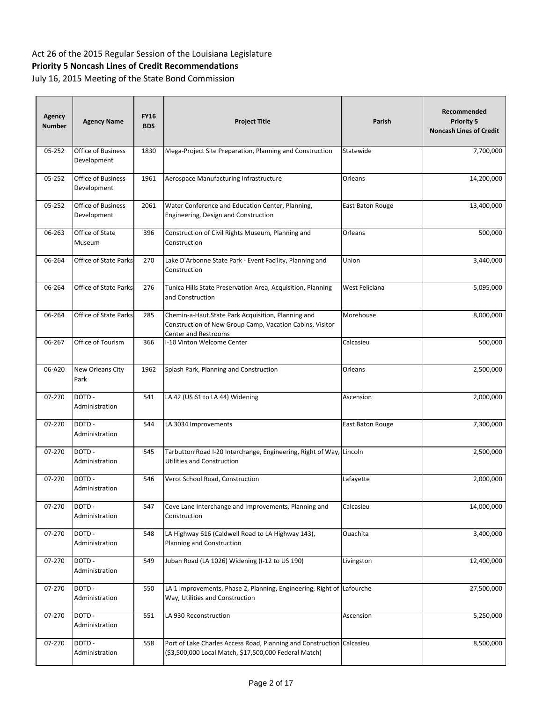| <b>Agency</b><br><b>Number</b> | <b>Agency Name</b>                       | <b>FY16</b><br><b>BDS</b> | <b>Project Title</b>                                                                                                                   | Parish           | Recommended<br><b>Priority 5</b><br><b>Noncash Lines of Credit</b> |
|--------------------------------|------------------------------------------|---------------------------|----------------------------------------------------------------------------------------------------------------------------------------|------------------|--------------------------------------------------------------------|
| 05-252                         | Office of Business<br>Development        | 1830                      | Mega-Project Site Preparation, Planning and Construction                                                                               | Statewide        | 7,700,000                                                          |
| 05-252                         | Office of Business<br>Development        | 1961                      | Aerospace Manufacturing Infrastructure                                                                                                 | Orleans          | 14,200,000                                                         |
| 05-252                         | <b>Office of Business</b><br>Development | 2061                      | Water Conference and Education Center, Planning,<br>Engineering, Design and Construction                                               | East Baton Rouge | 13,400,000                                                         |
| 06-263                         | Office of State<br>Museum                | 396                       | Construction of Civil Rights Museum, Planning and<br>Construction                                                                      | Orleans          | 500,000                                                            |
| 06-264                         | <b>Office of State Parks</b>             | 270                       | Lake D'Arbonne State Park - Event Facility, Planning and<br>Construction                                                               | Union            | 3,440,000                                                          |
| 06-264                         | Office of State Parks                    | 276                       | Tunica Hills State Preservation Area, Acquisition, Planning<br>and Construction                                                        | West Feliciana   | 5,095,000                                                          |
| 06-264                         | Office of State Parks                    | 285                       | Chemin-a-Haut State Park Acquisition, Planning and<br>Construction of New Group Camp, Vacation Cabins, Visitor<br>Center and Restrooms | Morehouse        | 8,000,000                                                          |
| 06-267                         | Office of Tourism                        | 366                       | I-10 Vinton Welcome Center                                                                                                             | Calcasieu        | 500,000                                                            |
| 06-A20                         | New Orleans City<br>Park                 | 1962                      | Splash Park, Planning and Construction                                                                                                 | Orleans          | 2,500,000                                                          |
| 07-270                         | DOTD-<br>Administration                  | 541                       | LA 42 (US 61 to LA 44) Widening                                                                                                        | Ascension        | 2,000,000                                                          |
| 07-270                         | DOTD-<br>Administration                  | 544                       | LA 3034 Improvements                                                                                                                   | East Baton Rouge | 7,300,000                                                          |
| 07-270                         | DOTD-<br>Administration                  | 545                       | Tarbutton Road I-20 Interchange, Engineering, Right of Way, Lincoln<br>Utilities and Construction                                      |                  | 2,500,000                                                          |
| 07-270                         | DOTD-<br>Administration                  | 546                       | Verot School Road, Construction                                                                                                        | Lafayette        | 2,000,000                                                          |
| 07-270                         | DOTD-<br>Administration                  | 547                       | Cove Lane Interchange and Improvements, Planning and<br>Construction                                                                   | Calcasieu        | 14,000,000                                                         |
| 07-270                         | DOTD-<br>Administration                  | 548                       | LA Highway 616 (Caldwell Road to LA Highway 143),<br>Planning and Construction                                                         | Ouachita         | 3,400,000                                                          |
| 07-270                         | DOTD-<br>Administration                  | 549                       | Juban Road (LA 1026) Widening (I-12 to US 190)                                                                                         | Livingston       | 12,400,000                                                         |
| 07-270                         | DOTD-<br>Administration                  | 550                       | LA 1 Improvements, Phase 2, Planning, Engineering, Right of Lafourche<br>Way, Utilities and Construction                               |                  | 27,500,000                                                         |
| 07-270                         | DOTD-<br>Administration                  | 551                       | LA 930 Reconstruction                                                                                                                  | Ascension        | 5,250,000                                                          |
| 07-270                         | DOTD-<br>Administration                  | 558                       | Port of Lake Charles Access Road, Planning and Construction Calcasieu<br>(\$3,500,000 Local Match, \$17,500,000 Federal Match)         |                  | 8,500,000                                                          |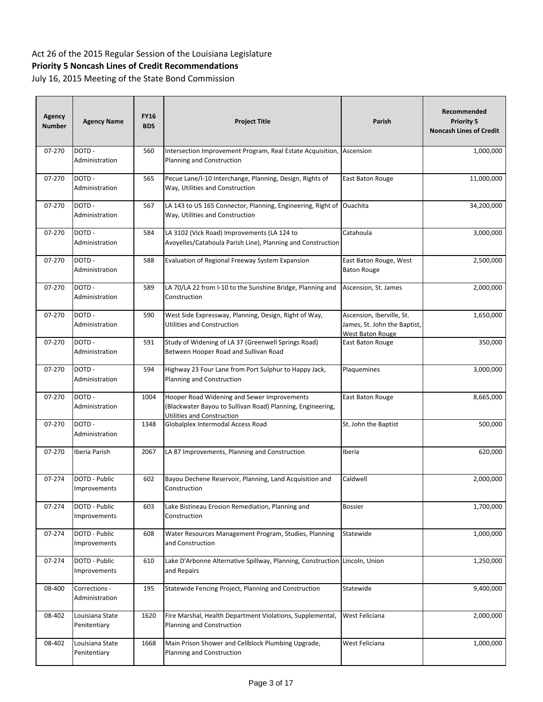| Agency<br><b>Number</b> | <b>Agency Name</b>                   | <b>FY16</b><br><b>BDS</b> | <b>Project Title</b>                                                                                                                    | Parish                                                                        | Recommended<br><b>Priority 5</b><br><b>Noncash Lines of Credit</b> |
|-------------------------|--------------------------------------|---------------------------|-----------------------------------------------------------------------------------------------------------------------------------------|-------------------------------------------------------------------------------|--------------------------------------------------------------------|
| 07-270                  | DOTD-<br>Administration              | 560                       | Intersection Improvement Program, Real Estate Acquisition,<br>Planning and Construction                                                 | Ascension                                                                     | 1,000,000                                                          |
| 07-270                  | DOTD-<br>Administration              | 565                       | Pecue Lane/I-10 Interchange, Planning, Design, Rights of<br>Way, Utilities and Construction                                             | East Baton Rouge                                                              | 11,000,000                                                         |
| 07-270                  | DOTD-<br>Administration              | 567                       | LA 143 to US 165 Connector, Planning, Engineering, Right of<br>Way, Utilities and Construction                                          | Ouachita                                                                      | 34,200,000                                                         |
| 07-270                  | DOTD-<br>Administration              | 584                       | LA 3102 (Vick Road) Improvements (LA 124 to<br>Avoyelles/Catahoula Parish Line), Planning and Construction                              | Catahoula                                                                     | 3,000,000                                                          |
| 07-270                  | DOTD-<br>Administration              | 588                       | Evaluation of Regional Freeway System Expansion                                                                                         | East Baton Rouge, West<br><b>Baton Rouge</b>                                  | 2,500,000                                                          |
| 07-270                  | DOTD -<br>Administration             | 589                       | LA 70/LA 22 from I-10 to the Sunshine Bridge, Planning and<br>Construction                                                              | Ascension, St. James                                                          | 2,000,000                                                          |
| 07-270                  | DOTD-<br>Administration              | 590                       | West Side Expressway, Planning, Design, Right of Way,<br>Utilities and Construction                                                     | Ascension, Iberville, St.<br>James, St. John the Baptist,<br>West Baton Rouge | 1,650,000                                                          |
| 07-270                  | DOTD-<br>Administration              | 591                       | Study of Widening of LA 37 (Greenwell Springs Road)<br>Between Hooper Road and Sullivan Road                                            | East Baton Rouge                                                              | 350,000                                                            |
| 07-270                  | DOTD-<br>Administration              | 594                       | Highway 23 Four Lane from Port Sulphur to Happy Jack,<br>Planning and Construction                                                      | Plaquemines                                                                   | 3,000,000                                                          |
| 07-270                  | DOTD-<br>Administration              | 1004                      | Hooper Road Widening and Sewer Improvements<br>(Blackwater Bayou to Sullivan Road) Planning, Engineering,<br>Utilities and Construction | East Baton Rouge                                                              | 8,665,000                                                          |
| 07-270                  | DOTD-<br>Administration              | 1348                      | Globalplex Intermodal Access Road                                                                                                       | St. John the Baptist                                                          | 500,000                                                            |
| 07-270                  | Iberia Parish                        | 2067                      | LA 87 Improvements, Planning and Construction                                                                                           | Iberia                                                                        | 620,000                                                            |
| 07-274                  | DOTD - Public<br>Improvements        | 602                       | Bayou Dechene Reservoir, Planning, Land Acquisition and<br>Construction                                                                 | Caldwell                                                                      | 2,000,000                                                          |
| 07-274                  | DOTD - Public<br>Improvements        | 603                       | Lake Bistineau Erosion Remediation, Planning and<br>Construction                                                                        | <b>Bossier</b>                                                                | 1,700,000                                                          |
| 07-274                  | DOTD - Public<br><b>Improvements</b> | 608                       | Water Resources Management Program, Studies, Planning<br>and Construction                                                               | Statewide                                                                     | 1,000,000                                                          |
| 07-274                  | DOTD - Public<br>Improvements        | 610                       | Lake D'Arbonne Alternative Spillway, Planning, Construction<br>and Repairs                                                              | Lincoln, Union                                                                | 1,250,000                                                          |
| 08-400                  | Corrections -<br>Administration      | 195                       | Statewide Fencing Project, Planning and Construction                                                                                    | Statewide                                                                     | 9,400,000                                                          |
| 08-402                  | Louisiana State<br>Penitentiary      | 1620                      | Fire Marshal, Health Department Violations, Supplemental,<br>Planning and Construction                                                  | West Feliciana                                                                | 2,000,000                                                          |
| 08-402                  | Louisiana State<br>Penitentiary      | 1668                      | Main Prison Shower and Cellblock Plumbing Upgrade,<br>Planning and Construction                                                         | West Feliciana                                                                | 1,000,000                                                          |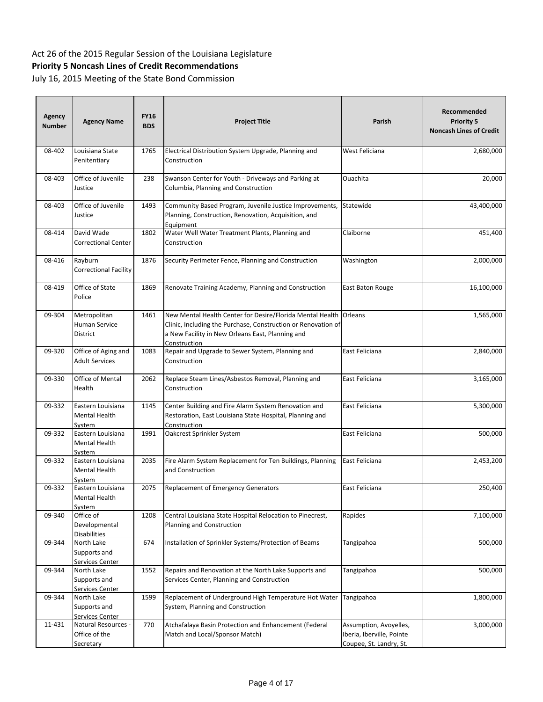| Agency<br><b>Number</b> | <b>Agency Name</b>                                       | <b>FY16</b><br><b>BDS</b> | <b>Project Title</b>                                                                                                                                                                           | Parish                                                                         | Recommended<br><b>Priority 5</b><br><b>Noncash Lines of Credit</b> |
|-------------------------|----------------------------------------------------------|---------------------------|------------------------------------------------------------------------------------------------------------------------------------------------------------------------------------------------|--------------------------------------------------------------------------------|--------------------------------------------------------------------|
| 08-402                  | Louisiana State<br>Penitentiary                          | 1765                      | Electrical Distribution System Upgrade, Planning and<br>Construction                                                                                                                           | West Feliciana                                                                 | 2,680,000                                                          |
| 08-403                  | Office of Juvenile<br>Justice                            | 238                       | Swanson Center for Youth - Driveways and Parking at<br>Columbia, Planning and Construction                                                                                                     | Ouachita                                                                       | 20,000                                                             |
| 08-403                  | Office of Juvenile<br>Justice                            | 1493                      | Community Based Program, Juvenile Justice Improvements,<br>Planning, Construction, Renovation, Acquisition, and<br>Equipment                                                                   | Statewide                                                                      | 43,400,000                                                         |
| 08-414                  | David Wade<br>Correctional Center                        | 1802                      | Water Well Water Treatment Plants, Planning and<br>Construction                                                                                                                                | Claiborne                                                                      | 451,400                                                            |
| 08-416                  | Rayburn<br>Correctional Facility                         | 1876                      | Security Perimeter Fence, Planning and Construction                                                                                                                                            | Washington                                                                     | 2,000,000                                                          |
| 08-419                  | Office of State<br>Police                                | 1869                      | Renovate Training Academy, Planning and Construction                                                                                                                                           | East Baton Rouge                                                               | 16,100,000                                                         |
| 09-304                  | Metropolitan<br>Human Service<br>District                | 1461                      | New Mental Health Center for Desire/Florida Mental Health<br>Clinic, Including the Purchase, Construction or Renovation of<br>a New Facility in New Orleans East, Planning and<br>Construction | Orleans                                                                        | 1,565,000                                                          |
| 09-320                  | Office of Aging and<br><b>Adult Services</b>             | 1083                      | Repair and Upgrade to Sewer System, Planning and<br>Construction                                                                                                                               | East Feliciana                                                                 | 2,840,000                                                          |
| 09-330                  | Office of Mental<br>Health                               | 2062                      | Replace Steam Lines/Asbestos Removal, Planning and<br>Construction                                                                                                                             | East Feliciana                                                                 | 3,165,000                                                          |
| 09-332                  | Eastern Louisiana<br>Mental Health<br>System             | 1145                      | Center Building and Fire Alarm System Renovation and<br>Restoration, East Louisiana State Hospital, Planning and<br>Construction                                                               | East Feliciana                                                                 | 5,300,000                                                          |
| 09-332                  | Eastern Louisiana<br>Mental Health<br>System             | 1991                      | Oakcrest Sprinkler System                                                                                                                                                                      | East Feliciana                                                                 | 500,000                                                            |
| 09-332                  | Eastern Louisiana<br>Mental Health<br><u>System</u>      | 2035                      | Fire Alarm System Replacement for Ten Buildings, Planning<br>and Construction                                                                                                                  | East Feliciana                                                                 | 2,453,200                                                          |
| 09-332                  | Eastern Louisiana<br>Mental Health<br>System             | 2075                      | <b>Replacement of Emergency Generators</b>                                                                                                                                                     | East Feliciana                                                                 | 250,400                                                            |
| 09-340                  | Office of<br>Developmental<br><b>Disabilities</b>        | 1208                      | Central Louisiana State Hospital Relocation to Pinecrest,<br>Planning and Construction                                                                                                         | Rapides                                                                        | 7,100,000                                                          |
| 09-344                  | North Lake<br>Supports and<br>Services Center            | 674                       | Installation of Sprinkler Systems/Protection of Beams                                                                                                                                          | Tangipahoa                                                                     | 500,000                                                            |
| 09-344                  | North Lake<br>Supports and<br>Services Center            | 1552                      | Repairs and Renovation at the North Lake Supports and<br>Services Center, Planning and Construction                                                                                            | Tangipahoa                                                                     | 500,000                                                            |
| 09-344                  | North Lake<br>Supports and<br>Services Center            | 1599                      | Replacement of Underground High Temperature Hot Water<br>System, Planning and Construction                                                                                                     | Tangipahoa                                                                     | 1,800,000                                                          |
| 11-431                  | Natural Resources -<br>Office of the<br><b>Secretary</b> | 770                       | Atchafalaya Basin Protection and Enhancement (Federal<br>Match and Local/Sponsor Match)                                                                                                        | Assumption, Avoyelles,<br>Iberia, Iberville, Pointe<br>Coupee, St. Landry, St. | 3,000,000                                                          |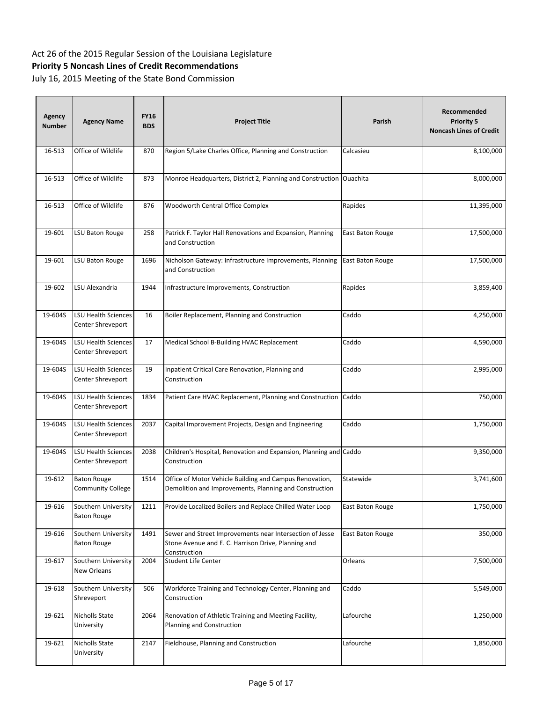| Agency<br><b>Number</b> | <b>Agency Name</b>                        | <b>FY16</b><br><b>BDS</b> | <b>Project Title</b>                                                                                                            | Parish           | Recommended<br><b>Priority 5</b><br><b>Noncash Lines of Credit</b> |
|-------------------------|-------------------------------------------|---------------------------|---------------------------------------------------------------------------------------------------------------------------------|------------------|--------------------------------------------------------------------|
| 16-513                  | Office of Wildlife                        | 870                       | Region 5/Lake Charles Office, Planning and Construction                                                                         | Calcasieu        | 8,100,000                                                          |
| 16-513                  | Office of Wildlife                        | 873                       | Monroe Headquarters, District 2, Planning and Construction Ouachita                                                             |                  | 8,000,000                                                          |
| 16-513                  | Office of Wildlife                        | 876                       | Woodworth Central Office Complex                                                                                                | Rapides          | 11,395,000                                                         |
| 19-601                  | LSU Baton Rouge                           | 258                       | Patrick F. Taylor Hall Renovations and Expansion, Planning<br>and Construction                                                  | East Baton Rouge | 17,500,000                                                         |
| 19-601                  | LSU Baton Rouge                           | 1696                      | Nicholson Gateway: Infrastructure Improvements, Planning<br>and Construction                                                    | East Baton Rouge | 17,500,000                                                         |
| 19-602                  | LSU Alexandria                            | 1944                      | Infrastructure Improvements, Construction                                                                                       | Rapides          | 3,859,400                                                          |
| 19-604S                 | LSU Health Sciences<br>Center Shreveport  | 16                        | Boiler Replacement, Planning and Construction                                                                                   | Caddo            | 4,250,000                                                          |
| 19-604S                 | LSU Health Sciences<br>Center Shreveport  | 17                        | Medical School B-Building HVAC Replacement                                                                                      | Caddo            | 4,590,000                                                          |
| 19-604S                 | LSU Health Sciences<br>Center Shreveport  | 19                        | Inpatient Critical Care Renovation, Planning and<br>Construction                                                                | Caddo            | 2,995,000                                                          |
| 19-604S                 | LSU Health Sciences<br>Center Shreveport  | 1834                      | Patient Care HVAC Replacement, Planning and Construction                                                                        | Caddo            | 750,000                                                            |
| 19-604S                 | LSU Health Sciences<br>Center Shreveport  | 2037                      | Capital Improvement Projects, Design and Engineering                                                                            | Caddo            | 1,750,000                                                          |
| 19-604S                 | LSU Health Sciences<br>Center Shreveport  | 2038                      | Children's Hospital, Renovation and Expansion, Planning and Caddo<br>Construction                                               |                  | 9,350,000                                                          |
| 19-612                  | <b>Baton Rouge</b><br>Community College   | 1514                      | Office of Motor Vehicle Building and Campus Renovation,<br>Demolition and Improvements, Planning and Construction               | Statewide        | 3,741,600                                                          |
| 19-616                  | Southern University<br><b>Baton Rouge</b> | 1211                      | Provide Localized Boilers and Replace Chilled Water Loop                                                                        | East Baton Rouge | 1,750,000                                                          |
| 19-616                  | Southern University<br><b>Baton Rouge</b> | 1491                      | Sewer and Street Improvements near Intersection of Jesse<br>Stone Avenue and E. C. Harrison Drive, Planning and<br>Construction | East Baton Rouge | 350,000                                                            |
| 19-617                  | Southern University<br>New Orleans        | 2004                      | Student Life Center                                                                                                             | Orleans          | 7,500,000                                                          |
| 19-618                  | Southern University<br>Shreveport         | 506                       | Workforce Training and Technology Center, Planning and<br>Construction                                                          | Caddo            | 5,549,000                                                          |
| 19-621                  | Nicholls State<br>University              | 2064                      | Renovation of Athletic Training and Meeting Facility,<br>Planning and Construction                                              | Lafourche        | 1,250,000                                                          |
| 19-621                  | Nicholls State<br>University              | 2147                      | Fieldhouse, Planning and Construction                                                                                           | Lafourche        | 1,850,000                                                          |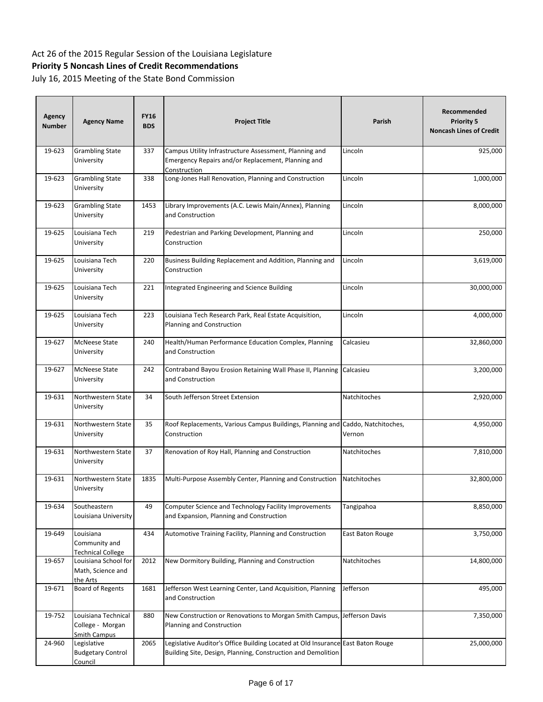| <b>Agency</b><br><b>Number</b> | <b>Agency Name</b>                                             | <b>FY16</b><br><b>BDS</b> | <b>Project Title</b>                                                                                                                            | Parish                         | Recommended<br><b>Priority 5</b><br><b>Noncash Lines of Credit</b> |
|--------------------------------|----------------------------------------------------------------|---------------------------|-------------------------------------------------------------------------------------------------------------------------------------------------|--------------------------------|--------------------------------------------------------------------|
| 19-623                         | <b>Grambling State</b><br>University                           | 337                       | Campus Utility Infrastructure Assessment, Planning and<br>Emergency Repairs and/or Replacement, Planning and<br>Construction                    | Lincoln                        | 925,000                                                            |
| 19-623                         | <b>Grambling State</b><br>University                           | 338                       | Long-Jones Hall Renovation, Planning and Construction                                                                                           | Lincoln                        | 1,000,000                                                          |
| 19-623                         | <b>Grambling State</b><br>University                           | 1453                      | Library Improvements (A.C. Lewis Main/Annex), Planning<br>and Construction                                                                      | Lincoln                        | 8,000,000                                                          |
| 19-625                         | Louisiana Tech<br>University                                   | 219                       | Pedestrian and Parking Development, Planning and<br>Construction                                                                                | Lincoln                        | 250,000                                                            |
| 19-625                         | Louisiana Tech<br>University                                   | 220                       | Business Building Replacement and Addition, Planning and<br>Construction                                                                        | Lincoln                        | 3,619,000                                                          |
| 19-625                         | Louisiana Tech<br>University                                   | 221                       | Integrated Engineering and Science Building                                                                                                     | Lincoln                        | 30,000,000                                                         |
| 19-625                         | Louisiana Tech<br>University                                   | 223                       | Louisiana Tech Research Park, Real Estate Acquisition,<br>Planning and Construction                                                             | Lincoln                        | 4,000,000                                                          |
| 19-627                         | <b>McNeese State</b><br>University                             | 240                       | Health/Human Performance Education Complex, Planning<br>and Construction                                                                        | Calcasieu                      | 32,860,000                                                         |
| 19-627                         | <b>McNeese State</b><br>University                             | 242                       | Contraband Bayou Erosion Retaining Wall Phase II, Planning<br>and Construction                                                                  | Calcasieu                      | 3,200,000                                                          |
| 19-631                         | Northwestern State<br>University                               | 34                        | South Jefferson Street Extension                                                                                                                | Natchitoches                   | 2,920,000                                                          |
| 19-631                         | Northwestern State<br>University                               | 35                        | Roof Replacements, Various Campus Buildings, Planning and<br>Construction                                                                       | Caddo, Natchitoches,<br>Vernon | 4,950,000                                                          |
| 19-631                         | Northwestern State<br>University                               | 37                        | Renovation of Roy Hall, Planning and Construction                                                                                               | Natchitoches                   | 7,810,000                                                          |
| 19-631                         | Northwestern State<br>University                               | 1835                      | Multi-Purpose Assembly Center, Planning and Construction                                                                                        | Natchitoches                   | 32,800,000                                                         |
| 19-634                         | Southeastern<br>Louisiana University                           | 49                        | Computer Science and Technology Facility Improvements<br>and Expansion, Planning and Construction                                               | Tangipahoa                     | 8,850,000                                                          |
| 19-649                         | Louisiana<br>Community and<br>Technical College                | 434                       | Automotive Training Facility, Planning and Construction                                                                                         | East Baton Rouge               | 3,750,000                                                          |
| 19-657                         | Louisiana School for<br>Math, Science and<br>the Arts          | 2012                      | New Dormitory Building, Planning and Construction                                                                                               | Natchitoches                   | 14,800,000                                                         |
| 19-671                         | <b>Board of Regents</b>                                        | 1681                      | Jefferson West Learning Center, Land Acquisition, Planning<br>and Construction                                                                  | Jefferson                      | 495,000                                                            |
| 19-752                         | Louisiana Technical<br>College - Morgan<br><b>Smith Campus</b> | 880                       | New Construction or Renovations to Morgan Smith Campus, Jefferson Davis<br>Planning and Construction                                            |                                | 7,350,000                                                          |
| 24-960                         | Legislative<br><b>Budgetary Control</b><br>Council             | 2065                      | Legislative Auditor's Office Building Located at Old Insurance East Baton Rouge<br>Building Site, Design, Planning, Construction and Demolition |                                | 25,000,000                                                         |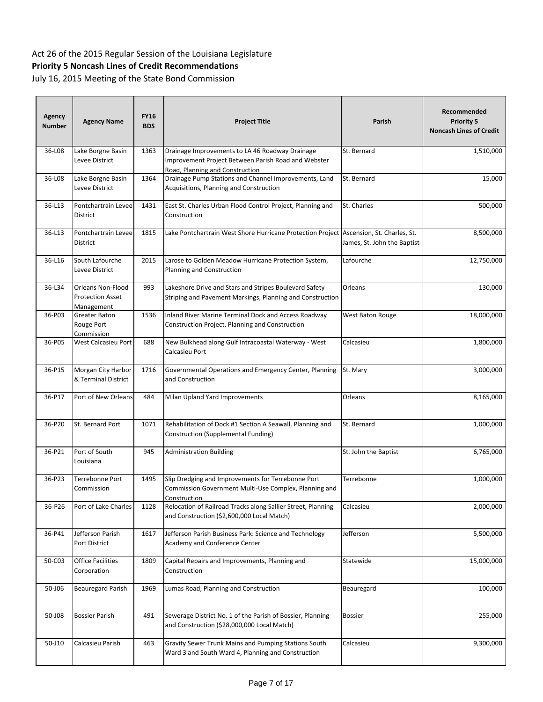| Agency<br><b>Number</b> | <b>Agency Name</b>                                         | <b>FY16</b><br><b>BDS</b> | <b>Project Title</b>                                                                                                                      | Parish                      | Recommended<br><b>Priority 5</b><br><b>Noncash Lines of Credit</b> |
|-------------------------|------------------------------------------------------------|---------------------------|-------------------------------------------------------------------------------------------------------------------------------------------|-----------------------------|--------------------------------------------------------------------|
| 36-L08                  | Lake Borgne Basin<br>Levee District                        | 1363                      | Drainage Improvements to LA 46 Roadway Drainage<br>Improvement Project Between Parish Road and Webster<br>Road, Planning and Construction | St. Bernard                 | 1,510,000                                                          |
| 36-L08                  | Lake Borgne Basin<br>Levee District                        | 1364                      | Drainage Pump Stations and Channel Improvements, Land<br>Acquisitions, Planning and Construction                                          | St. Bernard                 | 15,000                                                             |
| 36-L13                  | Pontchartrain Levee<br>District                            | 1431                      | East St. Charles Urban Flood Control Project, Planning and<br>Construction                                                                | St. Charles                 | 500,000                                                            |
| 36-L13                  | Pontchartrain Levee<br>District                            | 1815                      | Lake Pontchartrain West Shore Hurricane Protection Project Ascension, St. Charles, St.                                                    | James, St. John the Baptist | 8,500,000                                                          |
| 36-L16                  | South Lafourche<br>Levee District                          | 2015                      | Larose to Golden Meadow Hurricane Protection System,<br>Planning and Construction                                                         | Lafourche                   | 12,750,000                                                         |
| 36-L34                  | Orleans Non-Flood<br><b>Protection Asset</b><br>Management | 993                       | Lakeshore Drive and Stars and Stripes Boulevard Safety<br>Striping and Pavement Markings, Planning and Construction                       | Orleans                     | 130,000                                                            |
| 36-P03                  | Greater Baton<br>Rouge Port<br>Commission                  | 1536                      | Inland River Marine Terminal Dock and Access Roadway<br>Construction Project, Planning and Construction                                   | West Baton Rouge            | 18,000,000                                                         |
| 36-P05                  | West Calcasieu Port                                        | 688                       | New Bulkhead along Gulf Intracoastal Waterway - West<br>Calcasieu Port                                                                    | Calcasieu                   | 1,800,000                                                          |
| 36-P15                  | Morgan City Harbor<br>& Terminal District                  | 1716                      | Governmental Operations and Emergency Center, Planning<br>and Construction                                                                | St. Mary                    | 3,000,000                                                          |
| 36-P17                  | Port of New Orleans                                        | 484                       | Milan Upland Yard Improvements                                                                                                            | Orleans                     | 8,165,000                                                          |
| 36-P20                  | St. Bernard Port                                           | 1071                      | Rehabilitation of Dock #1 Section A Seawall, Planning and<br>Construction (Supplemental Funding)                                          | St. Bernard                 | 1,000,000                                                          |
| 36-P21                  | Port of South<br>Louisiana                                 | 945                       | <b>Administration Building</b>                                                                                                            | St. John the Baptist        | 6,765,000                                                          |
| 36-P23                  | Terrebonne Port<br>Commission                              | 1495                      | Slip Dredging and Improvements for Terrebonne Port<br>Commission Government Multi-Use Complex, Planning and<br>Construction               | Terrebonne                  | 1,000,000                                                          |
| 36-P26                  | Port of Lake Charles                                       | 1128                      | Relocation of Railroad Tracks along Sallier Street, Planning<br>and Construction (\$2,600,000 Local Match)                                | Calcasieu                   | 2,000,000                                                          |
| 36-P41                  | Jefferson Parish<br>Port District                          | 1617                      | Jefferson Parish Business Park: Science and Technology<br>Academy and Conference Center                                                   | Jefferson                   | 5,500,000                                                          |
| 50-C03                  | <b>Office Facilities</b><br>Corporation                    | 1809                      | Capital Repairs and Improvements, Planning and<br>Construction                                                                            | Statewide                   | 15,000,000                                                         |
| 50-J06                  | <b>Beauregard Parish</b>                                   | 1969                      | Lumas Road, Planning and Construction                                                                                                     | Beauregard                  | 100,000                                                            |
| 50-J08                  | <b>Bossier Parish</b>                                      | 491                       | Sewerage District No. 1 of the Parish of Bossier, Planning<br>and Construction (\$28,000,000 Local Match)                                 | <b>Bossier</b>              | 255,000                                                            |
| 50-J10                  | Calcasieu Parish                                           | 463                       | Gravity Sewer Trunk Mains and Pumping Stations South<br>Ward 3 and South Ward 4, Planning and Construction                                | Calcasieu                   | 9,300,000                                                          |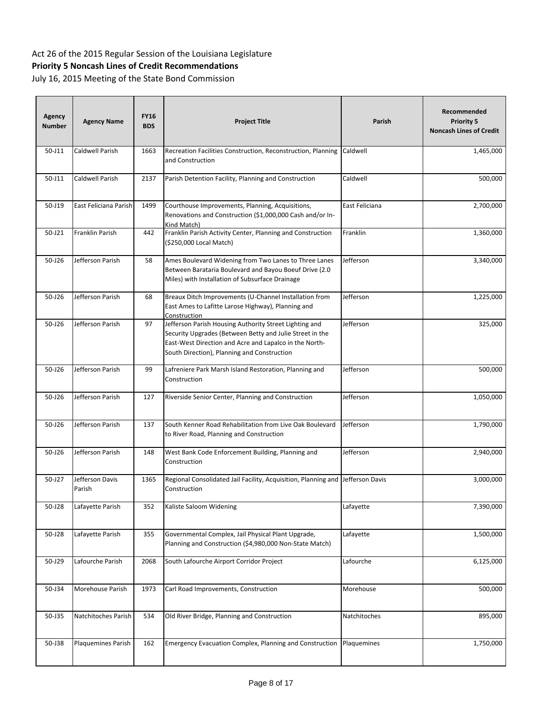| <b>Agency</b><br><b>Number</b> | <b>Agency Name</b>        | <b>FY16</b><br><b>BDS</b> | <b>Project Title</b>                                                                                                                                                                                                        | Parish         | Recommended<br><b>Priority 5</b><br><b>Noncash Lines of Credit</b> |
|--------------------------------|---------------------------|---------------------------|-----------------------------------------------------------------------------------------------------------------------------------------------------------------------------------------------------------------------------|----------------|--------------------------------------------------------------------|
| 50-J11                         | Caldwell Parish           | 1663                      | Recreation Facilities Construction, Reconstruction, Planning<br>and Construction                                                                                                                                            | Caldwell       | 1,465,000                                                          |
| 50-J11                         | Caldwell Parish           | 2137                      | Parish Detention Facility, Planning and Construction                                                                                                                                                                        | Caldwell       | 500,000                                                            |
| 50-J19                         | East Feliciana Parish     | 1499                      | Courthouse Improvements, Planning, Acquisitions,<br>Renovations and Construction (\$1,000,000 Cash and/or In-<br>Kind Match)                                                                                                | East Feliciana | 2,700,000                                                          |
| 50-J21                         | <b>Franklin Parish</b>    | 442                       | Franklin Parish Activity Center, Planning and Construction<br>(\$250,000 Local Match)                                                                                                                                       | Franklin       | 1,360,000                                                          |
| $50 - J26$                     | Jefferson Parish          | 58                        | Ames Boulevard Widening from Two Lanes to Three Lanes<br>Between Barataria Boulevard and Bayou Boeuf Drive (2.0<br>Miles) with Installation of Subsurface Drainage                                                          | Jefferson      | 3,340,000                                                          |
| $50 - J26$                     | Jefferson Parish          | 68                        | Breaux Ditch Improvements (U-Channel Installation from<br>East Ames to Lafitte Larose Highway), Planning and<br>Construction                                                                                                | Jefferson      | 1,225,000                                                          |
| $50 - J26$                     | Jefferson Parish          | 97                        | Jefferson Parish Housing Authority Street Lighting and<br>Security Upgrades (Between Betty and Julie Street in the<br>East-West Direction and Acre and Lapalco in the North-<br>South Direction), Planning and Construction | Jefferson      | 325,000                                                            |
| $50 - J26$                     | Jefferson Parish          | 99                        | Lafreniere Park Marsh Island Restoration, Planning and<br>Construction                                                                                                                                                      | Jefferson      | 500,000                                                            |
| $50 - J26$                     | Jefferson Parish          | 127                       | Riverside Senior Center, Planning and Construction                                                                                                                                                                          | Jefferson      | 1,050,000                                                          |
| $50 - J26$                     | Jefferson Parish          | 137                       | South Kenner Road Rehabilitation from Live Oak Boulevard<br>to River Road, Planning and Construction                                                                                                                        | Jefferson      | 1,790,000                                                          |
| $50 - J26$                     | Jefferson Parish          | 148                       | West Bank Code Enforcement Building, Planning and<br>Construction                                                                                                                                                           | Jefferson      | 2,940,000                                                          |
| 50-J27                         | Jefferson Davis<br>Parish | 1365                      | Regional Consolidated Jail Facility, Acquisition, Planning and Jefferson Davis<br>Construction                                                                                                                              |                | 3,000,000                                                          |
| 50-J28                         | Lafayette Parish          | 352                       | Kaliste Saloom Widening                                                                                                                                                                                                     | Lafayette      | 7,390,000                                                          |
| 50-J28                         | Lafayette Parish          | 355                       | Governmental Complex, Jail Physical Plant Upgrade,<br>Planning and Construction (\$4,980,000 Non-State Match)                                                                                                               | Lafayette      | 1,500,000                                                          |
| 50-J29                         | Lafourche Parish          | 2068                      | South Lafourche Airport Corridor Project                                                                                                                                                                                    | Lafourche      | 6,125,000                                                          |
| 50-J34                         | Morehouse Parish          | 1973                      | Carl Road Improvements, Construction                                                                                                                                                                                        | Morehouse      | 500,000                                                            |
| 50-J35                         | Natchitoches Parish       | 534                       | Old River Bridge, Planning and Construction                                                                                                                                                                                 | Natchitoches   | 895,000                                                            |
| 50-J38                         | Plaquemines Parish        | 162                       | Emergency Evacuation Complex, Planning and Construction                                                                                                                                                                     | Plaquemines    | 1,750,000                                                          |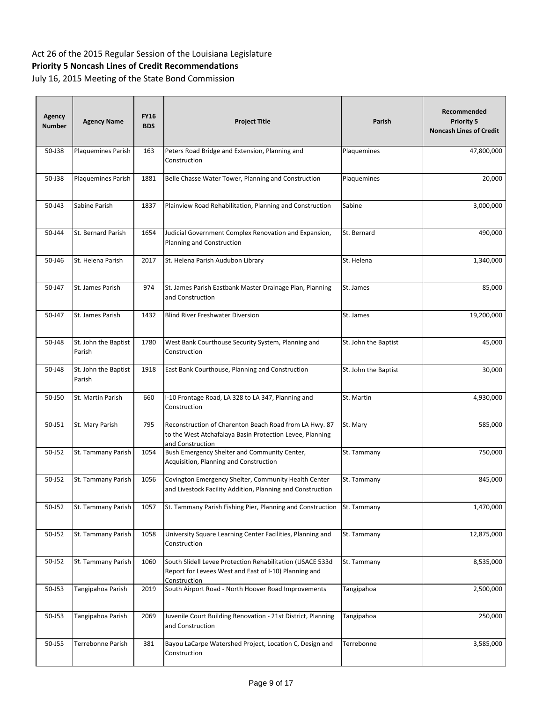| <b>Agency</b><br><b>Number</b> | <b>Agency Name</b>             | <b>FY16</b><br><b>BDS</b> | <b>Project Title</b>                                                                                                                   | Parish               | Recommended<br><b>Priority 5</b><br><b>Noncash Lines of Credit</b> |
|--------------------------------|--------------------------------|---------------------------|----------------------------------------------------------------------------------------------------------------------------------------|----------------------|--------------------------------------------------------------------|
| 50-J38                         | Plaquemines Parish             | 163                       | Peters Road Bridge and Extension, Planning and<br>Construction                                                                         | Plaquemines          | 47,800,000                                                         |
| 50-J38                         | Plaquemines Parish             | 1881                      | Belle Chasse Water Tower, Planning and Construction                                                                                    | Plaquemines          | 20,000                                                             |
| 50-J43                         | Sabine Parish                  | 1837                      | Plainview Road Rehabilitation, Planning and Construction                                                                               | Sabine               | 3,000,000                                                          |
| 50-J44                         | St. Bernard Parish             | 1654                      | Judicial Government Complex Renovation and Expansion,<br>Planning and Construction                                                     | St. Bernard          | 490,000                                                            |
| 50-J46                         | St. Helena Parish              | 2017                      | St. Helena Parish Audubon Library                                                                                                      | St. Helena           | 1,340,000                                                          |
| 50-J47                         | St. James Parish               | 974                       | St. James Parish Eastbank Master Drainage Plan, Planning<br>and Construction                                                           | St. James            | 85,000                                                             |
| 50-J47                         | St. James Parish               | 1432                      | <b>Blind River Freshwater Diversion</b>                                                                                                | St. James            | 19,200,000                                                         |
| 50-J48                         | St. John the Baptist<br>Parish | 1780                      | West Bank Courthouse Security System, Planning and<br>Construction                                                                     | St. John the Baptist | 45,000                                                             |
| 50-J48                         | St. John the Baptist<br>Parish | 1918                      | East Bank Courthouse, Planning and Construction                                                                                        | St. John the Baptist | 30,000                                                             |
| 50-J50                         | St. Martin Parish              | 660                       | I-10 Frontage Road, LA 328 to LA 347, Planning and<br>Construction                                                                     | St. Martin           | 4,930,000                                                          |
| 50-J51                         | St. Mary Parish                | 795                       | Reconstruction of Charenton Beach Road from LA Hwy. 87<br>to the West Atchafalaya Basin Protection Levee, Planning<br>and Construction | St. Mary             | 585,000                                                            |
| 50-J52                         | St. Tammany Parish             | 1054                      | Bush Emergency Shelter and Community Center,<br>Acquisition, Planning and Construction                                                 | St. Tammany          | 750,000                                                            |
| 50-J52                         | St. Tammany Parish             | 1056                      | Covington Emergency Shelter, Community Health Center<br>and Livestock Facility Addition, Planning and Construction                     | St. Tammany          | 845,000                                                            |
| 50-J52                         | St. Tammany Parish             | 1057                      | St. Tammany Parish Fishing Pier, Planning and Construction                                                                             | St. Tammany          | 1,470,000                                                          |
| 50-J52                         | St. Tammany Parish             | 1058                      | University Square Learning Center Facilities, Planning and<br>Construction                                                             | St. Tammany          | 12,875,000                                                         |
| 50-J52                         | St. Tammany Parish             | 1060                      | South Slidell Levee Protection Rehabilitation (USACE 533d<br>Report for Levees West and East of I-10) Planning and<br>Construction     | St. Tammany          | 8,535,000                                                          |
| 50-J53                         | Tangipahoa Parish              | 2019                      | South Airport Road - North Hoover Road Improvements                                                                                    | Tangipahoa           | 2,500,000                                                          |
| 50-J53                         | Tangipahoa Parish              | 2069                      | Juvenile Court Building Renovation - 21st District, Planning<br>and Construction                                                       | Tangipahoa           | 250,000                                                            |
| 50-J55                         | Terrebonne Parish              | 381                       | Bayou LaCarpe Watershed Project, Location C, Design and<br>Construction                                                                | Terrebonne           | 3,585,000                                                          |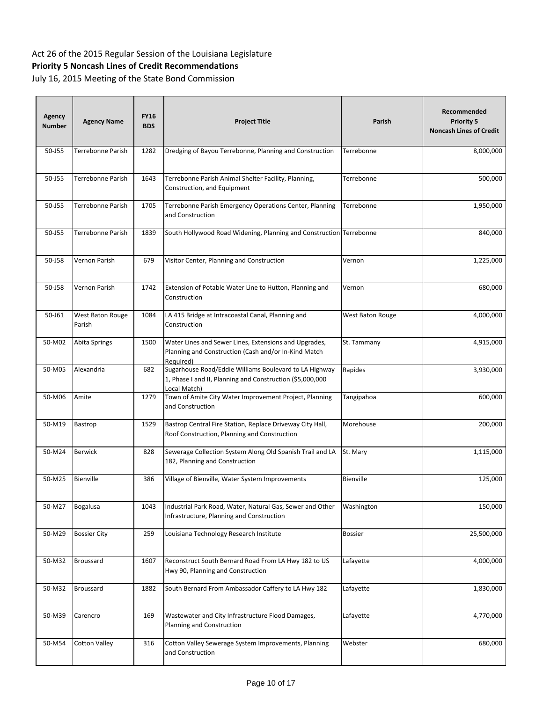| Agency<br><b>Number</b> | <b>Agency Name</b>         | <b>FY16</b><br><b>BDS</b> | <b>Project Title</b>                                                                                                                | Parish           | Recommended<br><b>Priority 5</b><br><b>Noncash Lines of Credit</b> |
|-------------------------|----------------------------|---------------------------|-------------------------------------------------------------------------------------------------------------------------------------|------------------|--------------------------------------------------------------------|
| 50-J55                  | Terrebonne Parish          | 1282                      | Dredging of Bayou Terrebonne, Planning and Construction                                                                             | Terrebonne       | 8,000,000                                                          |
| 50-J55                  | Terrebonne Parish          | 1643                      | Terrebonne Parish Animal Shelter Facility, Planning,<br>Construction, and Equipment                                                 | Terrebonne       | 500,000                                                            |
| 50-J55                  | Terrebonne Parish          | 1705                      | Terrebonne Parish Emergency Operations Center, Planning<br>and Construction                                                         | Terrebonne       | 1,950,000                                                          |
| 50-J55                  | Terrebonne Parish          | 1839                      | South Hollywood Road Widening, Planning and Construction Terrebonne                                                                 |                  | 840,000                                                            |
| 50-J58                  | Vernon Parish              | 679                       | Visitor Center, Planning and Construction                                                                                           | Vernon           | 1,225,000                                                          |
| 50-J58                  | Vernon Parish              | 1742                      | Extension of Potable Water Line to Hutton, Planning and<br>Construction                                                             | Vernon           | 680,000                                                            |
| 50-J61                  | West Baton Rouge<br>Parish | 1084                      | LA 415 Bridge at Intracoastal Canal, Planning and<br>Construction                                                                   | West Baton Rouge | 4,000,000                                                          |
| 50-M02                  | Abita Springs              | 1500                      | Water Lines and Sewer Lines, Extensions and Upgrades,<br>Planning and Construction (Cash and/or In-Kind Match<br>Required)          | St. Tammany      | 4,915,000                                                          |
| 50-M05                  | Alexandria                 | 682                       | Sugarhouse Road/Eddie Williams Boulevard to LA Highway<br>1, Phase I and II, Planning and Construction (\$5,000,000<br>Local Match) | Rapides          | 3,930,000                                                          |
| 50-M06                  | Amite                      | 1279                      | Town of Amite City Water Improvement Project, Planning<br>and Construction                                                          | Tangipahoa       | 600,000                                                            |
| 50-M19                  | Bastrop                    | 1529                      | Bastrop Central Fire Station, Replace Driveway City Hall,<br>Roof Construction, Planning and Construction                           | Morehouse        | 200,000                                                            |
| 50-M24                  | <b>Berwick</b>             | 828                       | Sewerage Collection System Along Old Spanish Trail and LA<br>182, Planning and Construction                                         | St. Mary         | 1,115,000                                                          |
| 50-M25                  | Bienville                  | 386                       | Village of Bienville, Water System Improvements                                                                                     | Bienville        | 125,000                                                            |
| 50-M27                  | <b>Bogalusa</b>            | 1043                      | Industrial Park Road, Water, Natural Gas, Sewer and Other<br>Infrastructure, Planning and Construction                              | Washington       | 150,000                                                            |
| 50-M29                  | <b>Bossier City</b>        | 259                       | Louisiana Technology Research Institute                                                                                             | <b>Bossier</b>   | 25,500,000                                                         |
| 50-M32                  | Broussard                  | 1607                      | Reconstruct South Bernard Road From LA Hwy 182 to US<br>Hwy 90, Planning and Construction                                           | Lafayette        | 4,000,000                                                          |
| 50-M32                  | <b>Broussard</b>           | 1882                      | South Bernard From Ambassador Caffery to LA Hwy 182                                                                                 | Lafayette        | 1,830,000                                                          |
| 50-M39                  | Carencro                   | 169                       | Wastewater and City Infrastructure Flood Damages,<br>Planning and Construction                                                      | Lafayette        | 4,770,000                                                          |
| 50-M54                  | <b>Cotton Valley</b>       | 316                       | Cotton Valley Sewerage System Improvements, Planning<br>and Construction                                                            | Webster          | 680,000                                                            |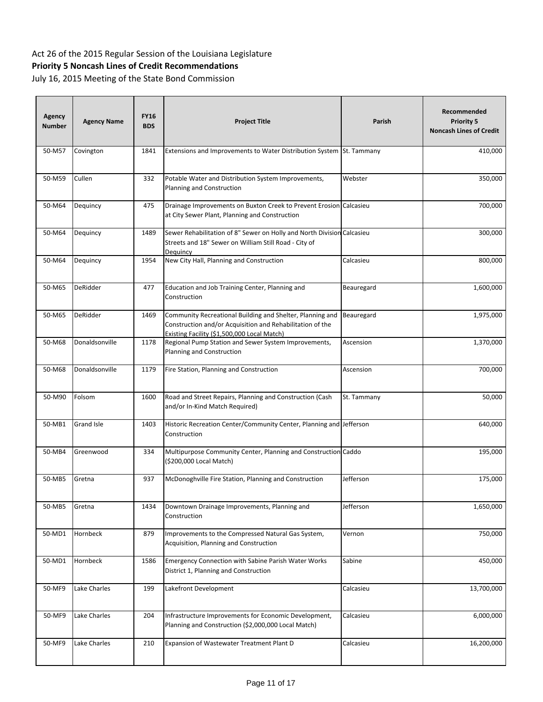| <b>Agency</b><br><b>Number</b> | <b>Agency Name</b> | <b>FY16</b><br><b>BDS</b> | <b>Project Title</b>                                                                                                                                                  | Parish      | Recommended<br><b>Priority 5</b><br><b>Noncash Lines of Credit</b> |
|--------------------------------|--------------------|---------------------------|-----------------------------------------------------------------------------------------------------------------------------------------------------------------------|-------------|--------------------------------------------------------------------|
| 50-M57                         | Covington          | 1841                      | Extensions and Improvements to Water Distribution System St. Tammany                                                                                                  |             | 410,000                                                            |
| 50-M59                         | Cullen             | 332                       | Potable Water and Distribution System Improvements,<br>Planning and Construction                                                                                      | Webster     | 350,000                                                            |
| 50-M64                         | Dequincy           | 475                       | Drainage Improvements on Buxton Creek to Prevent Erosion Calcasieu<br>at City Sewer Plant, Planning and Construction                                                  |             | 700,000                                                            |
| 50-M64                         | Dequincy           | 1489                      | Sewer Rehabilitation of 8" Sewer on Holly and North Division Calcasieu<br>Streets and 18" Sewer on William Still Road - City of<br>Dequincy                           |             | 300,000                                                            |
| 50-M64                         | Dequincy           | 1954                      | New City Hall, Planning and Construction                                                                                                                              | Calcasieu   | 800,000                                                            |
| 50-M65                         | DeRidder           | 477                       | Education and Job Training Center, Planning and<br>Construction                                                                                                       | Beauregard  | 1,600,000                                                          |
| 50-M65                         | DeRidder           | 1469                      | Community Recreational Building and Shelter, Planning and<br>Construction and/or Acquisition and Rehabilitation of the<br>Existing Facility (\$1,500,000 Local Match) | Beauregard  | 1,975,000                                                          |
| 50-M68                         | Donaldsonville     | 1178                      | Regional Pump Station and Sewer System Improvements,<br>Planning and Construction                                                                                     | Ascension   | 1,370,000                                                          |
| 50-M68                         | Donaldsonville     | 1179                      | Fire Station, Planning and Construction                                                                                                                               | Ascension   | 700,000                                                            |
| 50-M90                         | Folsom             | 1600                      | Road and Street Repairs, Planning and Construction (Cash<br>and/or In-Kind Match Required)                                                                            | St. Tammany | 50,000                                                             |
| 50-MB1                         | <b>Grand Isle</b>  | 1403                      | Historic Recreation Center/Community Center, Planning and Jefferson<br>Construction                                                                                   |             | 640,000                                                            |
| 50-MB4                         | Greenwood          | 334                       | Multipurpose Community Center, Planning and Construction Caddo<br>(\$200,000 Local Match)                                                                             |             | 195,000                                                            |
| 50-MB5                         | Gretna             | 937                       | McDonoghville Fire Station, Planning and Construction                                                                                                                 | Jefferson   | 175,000                                                            |
| 50-MB5                         | Gretna             | 1434                      | Downtown Drainage Improvements, Planning and<br>Construction                                                                                                          | Jefferson   | 1,650,000                                                          |
| 50-MD1                         | Hornbeck           | 879                       | Improvements to the Compressed Natural Gas System,<br>Acquisition, Planning and Construction                                                                          | Vernon      | 750,000                                                            |
| 50-MD1                         | Hornbeck           | 1586                      | Emergency Connection with Sabine Parish Water Works<br>District 1, Planning and Construction                                                                          | Sabine      | 450,000                                                            |
| 50-MF9                         | Lake Charles       | 199                       | Lakefront Development                                                                                                                                                 | Calcasieu   | 13,700,000                                                         |
| 50-MF9                         | Lake Charles       | 204                       | Infrastructure Improvements for Economic Development,<br>Planning and Construction (\$2,000,000 Local Match)                                                          | Calcasieu   | 6,000,000                                                          |
| 50-MF9                         | Lake Charles       | 210                       | Expansion of Wastewater Treatment Plant D                                                                                                                             | Calcasieu   | 16,200,000                                                         |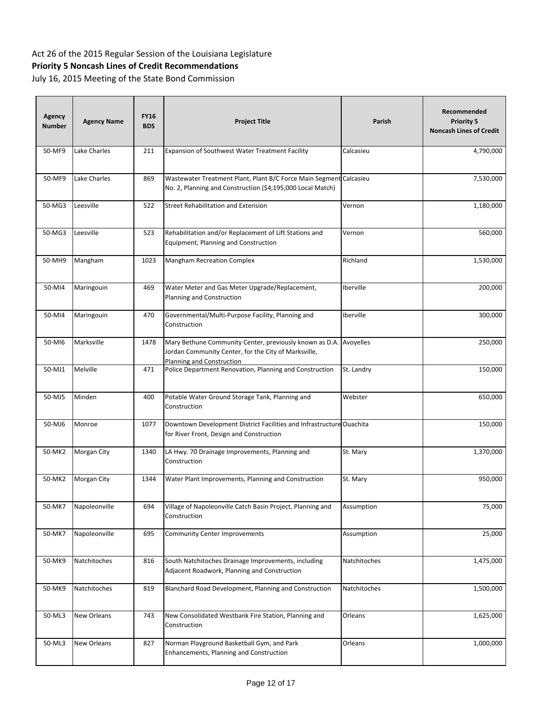| <b>Agency</b><br><b>Number</b> | <b>Agency Name</b> | <b>FY16</b><br><b>BDS</b> | <b>Project Title</b>                                                                                                                         | Parish       | Recommended<br><b>Priority 5</b><br><b>Noncash Lines of Credit</b> |
|--------------------------------|--------------------|---------------------------|----------------------------------------------------------------------------------------------------------------------------------------------|--------------|--------------------------------------------------------------------|
| 50-MF9                         | Lake Charles       | 211                       | Expansion of Southwest Water Treatment Facility                                                                                              | Calcasieu    | 4,790,000                                                          |
| 50-MF9                         | Lake Charles       | 869                       | Wastewater Treatment Plant, Plant B/C Force Main Segment Calcasieu<br>No. 2, Planning and Construction (\$4,195,000 Local Match)             |              | 7,530,000                                                          |
| 50-MG3                         | Leesville          | 522                       | <b>Street Rehabilitation and Extension</b>                                                                                                   | Vernon       | 1,180,000                                                          |
| 50-MG3                         | Leesville          | 523                       | Rehabilitation and/or Replacement of Lift Stations and<br>Equipment, Planning and Construction                                               | Vernon       | 560,000                                                            |
| 50-MH9                         | Mangham            | 1023                      | <b>Mangham Recreation Complex</b>                                                                                                            | Richland     | 1,530,000                                                          |
| 50-MI4                         | Maringouin         | 469                       | Water Meter and Gas Meter Upgrade/Replacement,<br>Planning and Construction                                                                  | Iberville    | 200,000                                                            |
| 50-MI4                         | Maringouin         | 470                       | Governmental/Multi-Purpose Facility, Planning and<br>Construction                                                                            | Iberville    | 300,000                                                            |
| 50-MI6                         | Marksville         | 1478                      | Mary Bethune Community Center, previously known as D.A.<br>Jordan Community Center, for the City of Marksville,<br>Planning and Construction | Avoyelles    | 250,000                                                            |
| 50-MJ1                         | Melville           | 471                       | Police Department Renovation, Planning and Construction                                                                                      | St. Landry   | 150,000                                                            |
| 50-MJ5                         | Minden             | 400                       | Potable Water Ground Storage Tank, Planning and<br>Construction                                                                              | Webster      | 650,000                                                            |
| 50-MJ6                         | Monroe             | 1077                      | Downtown Development District Facilities and Infrastructure Ouachita<br>for River Front, Design and Construction                             |              | 150,000                                                            |
| 50-MK2                         | Morgan City        | 1340                      | LA Hwy. 70 Drainage Improvements, Planning and<br>Construction                                                                               | St. Mary     | 1,370,000                                                          |
| 50-MK2                         | Morgan City        | 1344                      | Water Plant Improvements, Planning and Construction                                                                                          | St. Mary     | 950,000                                                            |
| 50-MK7                         | Napoleonville      | 694                       | Village of Napoleonville Catch Basin Project, Planning and<br>Construction                                                                   | Assumption   | 75,000                                                             |
| 50-MK7                         | Napoleonville      | 695                       | Community Center Improvements                                                                                                                | Assumption   | 25,000                                                             |
| 50-MK9                         | Natchitoches       | 816                       | South Natchitoches Drainage Improvements, including<br>Adjacent Roadwork, Planning and Construction                                          | Natchitoches | 1,475,000                                                          |
| 50-MK9                         | Natchitoches       | 819                       | Blanchard Road Development, Planning and Construction                                                                                        | Natchitoches | 1,500,000                                                          |
| 50-ML3                         | New Orleans        | 743                       | New Consolidated Westbank Fire Station, Planning and<br>Construction                                                                         | Orleans      | 1,625,000                                                          |
| 50-ML3                         | New Orleans        | 827                       | Norman Playground Basketball Gym, and Park<br>Enhancements, Planning and Construction                                                        | Orleans      | 1,000,000                                                          |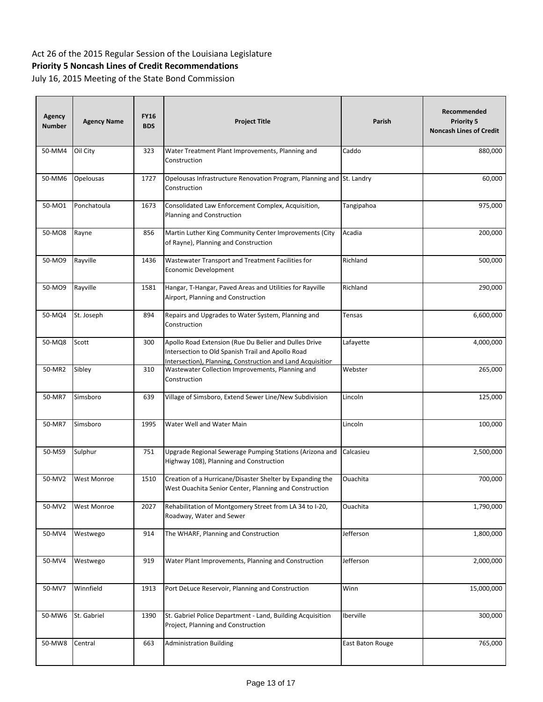| <b>Agency</b><br><b>Number</b> | <b>Agency Name</b> | <b>FY16</b><br><b>BDS</b> | <b>Project Title</b>                                                                                                                                                     | Parish           | Recommended<br><b>Priority 5</b><br><b>Noncash Lines of Credit</b> |
|--------------------------------|--------------------|---------------------------|--------------------------------------------------------------------------------------------------------------------------------------------------------------------------|------------------|--------------------------------------------------------------------|
| 50-MM4                         | Oil City           | 323                       | Water Treatment Plant Improvements, Planning and<br>Construction                                                                                                         | Caddo            | 880,000                                                            |
| 50-MM6                         | Opelousas          | 1727                      | Opelousas Infrastructure Renovation Program, Planning and St. Landry<br>Construction                                                                                     |                  | 60,000                                                             |
| 50-MO1                         | Ponchatoula        | 1673                      | Consolidated Law Enforcement Complex, Acquisition,<br>Planning and Construction                                                                                          | Tangipahoa       | 975,000                                                            |
| 50-MO8                         | Rayne              | 856                       | Martin Luther King Community Center Improvements (City<br>of Rayne), Planning and Construction                                                                           | Acadia           | 200,000                                                            |
| 50-MO9                         | Rayville           | 1436                      | Wastewater Transport and Treatment Facilities for<br>Economic Development                                                                                                | Richland         | 500,000                                                            |
| 50-MO9                         | Rayville           | 1581                      | Hangar, T-Hangar, Paved Areas and Utilities for Rayville<br>Airport, Planning and Construction                                                                           | Richland         | 290,000                                                            |
| 50-MQ4                         | St. Joseph         | 894                       | Repairs and Upgrades to Water System, Planning and<br>Construction                                                                                                       | Tensas           | 6,600,000                                                          |
| 50-MQ8                         | Scott              | 300                       | Apollo Road Extension (Rue Du Belier and Dulles Drive<br>Intersection to Old Spanish Trail and Apollo Road<br>Intersection), Planning, Construction and Land Acquisition | Lafayette        | 4,000,000                                                          |
| 50-MR2                         | Sibley             | 310                       | Wastewater Collection Improvements, Planning and<br>Construction                                                                                                         | Webster          | 265,000                                                            |
| 50-MR7                         | Simsboro           | 639                       | Village of Simsboro, Extend Sewer Line/New Subdivision                                                                                                                   | Lincoln          | 125,000                                                            |
| 50-MR7                         | Simsboro           | 1995                      | Water Well and Water Main                                                                                                                                                | Lincoln          | 100,000                                                            |
| 50-MS9                         | Sulphur            | 751                       | Upgrade Regional Sewerage Pumping Stations (Arizona and<br>Highway 108), Planning and Construction                                                                       | Calcasieu        | 2,500,000                                                          |
| 50-MV2                         | <b>West Monroe</b> | 1510                      | Creation of a Hurricane/Disaster Shelter by Expanding the<br>West Ouachita Senior Center, Planning and Construction                                                      | Ouachita         | 700,000                                                            |
| 50-MV2                         | <b>West Monroe</b> | 2027                      | Rehabilitation of Montgomery Street from LA 34 to I-20,<br>Roadway, Water and Sewer                                                                                      | Ouachita         | 1,790,000                                                          |
| 50-MV4                         | Westwego           | 914                       | The WHARF, Planning and Construction                                                                                                                                     | Jefferson        | 1,800,000                                                          |
| 50-MV4                         | Westwego           | 919                       | Water Plant Improvements, Planning and Construction                                                                                                                      | Jefferson        | 2,000,000                                                          |
| 50-MV7                         | Winnfield          | 1913                      | Port DeLuce Reservoir, Planning and Construction                                                                                                                         | Winn             | 15,000,000                                                         |
| 50-MW6                         | St. Gabriel        | 1390                      | St. Gabriel Police Department - Land, Building Acquisition<br>Project, Planning and Construction                                                                         | Iberville        | 300,000                                                            |
| 50-MW8                         | Central            | 663                       | <b>Administration Building</b>                                                                                                                                           | East Baton Rouge | 765,000                                                            |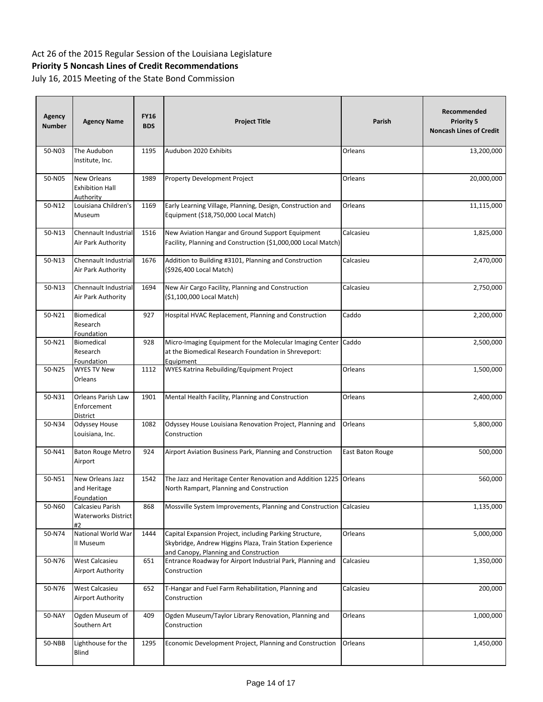| <b>Agency</b><br><b>Number</b> | <b>Agency Name</b>                                 | <b>FY16</b><br><b>BDS</b> | <b>Project Title</b>                                                                                                                                          | Parish           | Recommended<br><b>Priority 5</b><br><b>Noncash Lines of Credit</b> |
|--------------------------------|----------------------------------------------------|---------------------------|---------------------------------------------------------------------------------------------------------------------------------------------------------------|------------------|--------------------------------------------------------------------|
| 50-N03                         | The Audubon<br>Institute, Inc.                     | 1195                      | Audubon 2020 Exhibits                                                                                                                                         | Orleans          | 13,200,000                                                         |
| 50-N05                         | New Orleans<br><b>Exhibition Hall</b><br>Authority | 1989                      | Property Development Project                                                                                                                                  | Orleans          | 20,000,000                                                         |
| 50-N12                         | Louisiana Children's<br>Museum                     | 1169                      | Early Learning Village, Planning, Design, Construction and<br>Equipment (\$18,750,000 Local Match)                                                            | Orleans          | 11,115,000                                                         |
| 50-N13                         | Chennault Industrial<br>Air Park Authority         | 1516                      | New Aviation Hangar and Ground Support Equipment<br>Facility, Planning and Construction (\$1,000,000 Local Match)                                             | Calcasieu        | 1,825,000                                                          |
| 50-N13                         | Chennault Industrial<br>Air Park Authority         | 1676                      | Addition to Building #3101, Planning and Construction<br>(\$926,400 Local Match)                                                                              | Calcasieu        | 2,470,000                                                          |
| 50-N13                         | Chennault Industrial<br>Air Park Authority         | 1694                      | New Air Cargo Facility, Planning and Construction<br>(\$1,100,000 Local Match)                                                                                | Calcasieu        | 2,750,000                                                          |
| 50-N21                         | Biomedical<br>Research<br>Foundation               | 927                       | Hospital HVAC Replacement, Planning and Construction                                                                                                          | Caddo            | 2,200,000                                                          |
| 50-N21                         | Biomedical<br>Research<br>Foundation               | 928                       | Micro-Imaging Equipment for the Molecular Imaging Center<br>at the Biomedical Research Foundation in Shreveport:<br>Equipment                                 | Caddo            | 2,500,000                                                          |
| 50-N25                         | <b>WYES TV New</b><br>Orleans                      | 1112                      | WYES Katrina Rebuilding/Equipment Project                                                                                                                     | Orleans          | 1,500,000                                                          |
| 50-N31                         | Orleans Parish Law<br>Enforcement<br>District      | 1901                      | Mental Health Facility, Planning and Construction                                                                                                             | Orleans          | 2,400,000                                                          |
| 50-N34                         | Odyssey House<br>Louisiana, Inc.                   | 1082                      | Odyssey House Louisiana Renovation Project, Planning and<br>Construction                                                                                      | Orleans          | 5,800,000                                                          |
| 50-N41                         | <b>Baton Rouge Metro</b><br>Airport                | 924                       | Airport Aviation Business Park, Planning and Construction                                                                                                     | East Baton Rouge | 500,000                                                            |
| 50-N51                         | New Orleans Jazz<br>and Heritage<br>Foundation     | 1542                      | The Jazz and Heritage Center Renovation and Addition 1225<br>North Rampart, Planning and Construction                                                         | Orleans          | 560,000                                                            |
| 50-N60                         | Calcasieu Parish<br>Waterworks District<br>#2      | 868                       | Mossville System Improvements, Planning and Construction                                                                                                      | Calcasieu        | 1,135,000                                                          |
| 50-N74                         | National World War<br>II Museum                    | 1444                      | Capital Expansion Project, including Parking Structure,<br>Skybridge, Andrew Higgins Plaza, Train Station Experience<br>and Canopy, Planning and Construction | Orleans          | 5,000,000                                                          |
| 50-N76                         | West Calcasieu<br>Airport Authority                | 651                       | Entrance Roadway for Airport Industrial Park, Planning and<br>Construction                                                                                    | Calcasieu        | 1,350,000                                                          |
| 50-N76                         | West Calcasieu<br>Airport Authority                | 652                       | T-Hangar and Fuel Farm Rehabilitation, Planning and<br>Construction                                                                                           | Calcasieu        | 200,000                                                            |
| 50-NAY                         | Ogden Museum of<br>Southern Art                    | 409                       | Ogden Museum/Taylor Library Renovation, Planning and<br>Construction                                                                                          | Orleans          | 1,000,000                                                          |
| 50-NBB                         | Lighthouse for the<br>Blind                        | 1295                      | Economic Development Project, Planning and Construction                                                                                                       | Orleans          | 1,450,000                                                          |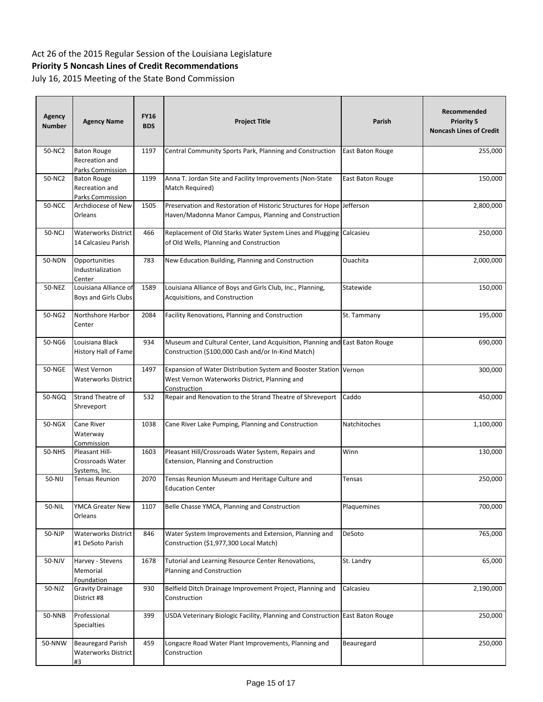# Act 26 of the 2015 Regular Session of the Louisiana Legislature

## **Priority 5 Noncash Lines of Credit Recommendations**

| Agency<br><b>Number</b> | <b>Agency Name</b>                                       | <b>FY16</b><br><b>BDS</b> | <b>Project Title</b>                                                                                                              | Parish           | Recommended<br><b>Priority 5</b><br><b>Noncash Lines of Credit</b> |
|-------------------------|----------------------------------------------------------|---------------------------|-----------------------------------------------------------------------------------------------------------------------------------|------------------|--------------------------------------------------------------------|
| 50-NC2                  | <b>Baton Rouge</b><br>Recreation and<br>Parks Commission | 1197                      | Central Community Sports Park, Planning and Construction                                                                          | East Baton Rouge | 255,000                                                            |
| 50-NC2                  | <b>Baton Rouge</b><br>Recreation and<br>Parks Commission | 1199                      | Anna T. Jordan Site and Facility Improvements (Non-State<br>Match Required)                                                       | East Baton Rouge | 150,000                                                            |
| <b>50-NCC</b>           | Archdiocese of New<br>Orleans                            | 1505                      | Preservation and Restoration of Historic Structures for Hope Jefferson<br>Haven/Madonna Manor Campus, Planning and Construction   |                  | 2,800,000                                                          |
| 50-NCJ                  | <b>Waterworks District</b><br>14 Calcasieu Parish        | 466                       | Replacement of Old Starks Water System Lines and Plugging<br>of Old Wells, Planning and Construction                              | Calcasieu        | 250,000                                                            |
| 50-NDN                  | Opportunities<br>Industrialization<br>Center             | 783                       | New Education Building, Planning and Construction                                                                                 | Ouachita         | 2,000,000                                                          |
| 50-NEZ                  | Louisiana Alliance of<br>Boys and Girls Clubs            | 1589                      | Louisiana Alliance of Boys and Girls Club, Inc., Planning,<br>Acquisitions, and Construction                                      | Statewide        | 150,000                                                            |
| 50-NG2                  | Northshore Harbor<br>Center                              | 2084                      | Facility Renovations, Planning and Construction                                                                                   | St. Tammany      | 195,000                                                            |
| 50-NG6                  | Louisiana Black<br>History Hall of Fame                  | 934                       | Museum and Cultural Center, Land Acquisition, Planning and East Baton Rouge<br>Construction (\$100,000 Cash and/or In-Kind Match) |                  | 690,000                                                            |
| <b>50-NGE</b>           | West Vernon<br>Waterworks District                       | 1497                      | Expansion of Water Distribution System and Booster Station<br>West Vernon Waterworks District, Planning and<br>Construction       | Vernon           | 300,000                                                            |
| 50-NGQ                  | <b>Strand Theatre of</b><br>Shreveport                   | 532                       | Repair and Renovation to the Strand Theatre of Shreveport                                                                         | Caddo            | 450,000                                                            |
| 50-NGX                  | Cane River<br>Waterway<br>Commission                     | 1038                      | Cane River Lake Pumping, Planning and Construction                                                                                | Natchitoches     | 1,100,000                                                          |
| 50-NHS                  | Pleasant Hill-<br>Crossroads Water<br>Systems, Inc.      | 1603                      | Pleasant Hill/Crossroads Water System, Repairs and<br>Extension, Planning and Construction                                        | Winn             | 130,000                                                            |
| 50-NIJ                  | <b>Tensas Reunion</b>                                    | 2070                      | Tensas Reunion Museum and Heritage Culture and<br><b>Education Center</b>                                                         | <b>Tensas</b>    | 250,000                                                            |
| 50-NIL                  | YMCA Greater New<br>Orleans                              | 1107                      | Belle Chasse YMCA, Planning and Construction                                                                                      | Plaquemines      | 700,000                                                            |
| 50-NJP                  | Waterworks District<br>#1 DeSoto Parish                  | 846                       | Water System Improvements and Extension, Planning and<br>Construction (\$1,977,300 Local Match)                                   | DeSoto           | 765,000                                                            |
| 50-NJV                  | Harvey - Stevens<br>Memorial<br>Foundation               | 1678                      | Tutorial and Learning Resource Center Renovations,<br>Planning and Construction                                                   | St. Landry       | 65,000                                                             |
| 50-NJZ                  | <b>Gravity Drainage</b><br>District #8                   | 930                       | Belfield Ditch Drainage Improvement Project, Planning and<br>Construction                                                         | Calcasieu        | 2,190,000                                                          |
| 50-NNB                  | Professional<br><b>Specialties</b>                       | 399                       | USDA Veterinary Biologic Facility, Planning and Construction East Baton Rouge                                                     |                  | 250,000                                                            |
| 50-NNW                  | <b>Beauregard Parish</b><br>Waterworks District<br>#3    | 459                       | Longacre Road Water Plant Improvements, Planning and<br>Construction                                                              | Beauregard       | 250,000                                                            |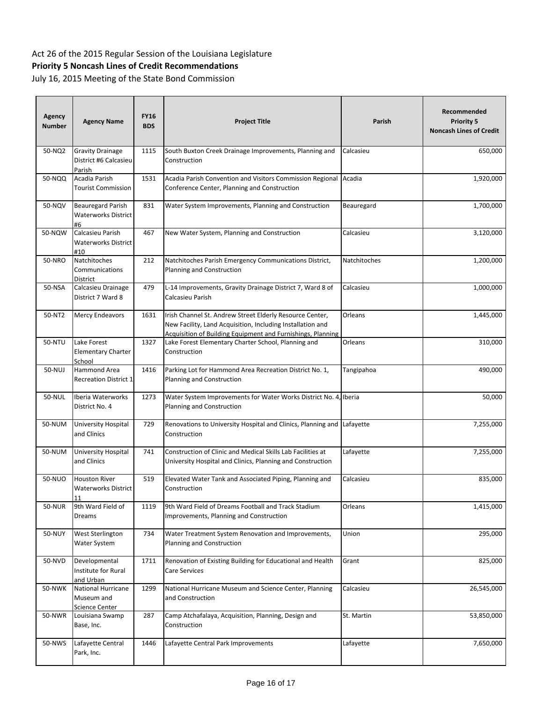| <b>Agency</b><br><b>Number</b> | <b>Agency Name</b>                                         | <b>FY16</b><br><b>BDS</b> | <b>Project Title</b>                                                                                                                                                                  | Parish              | Recommended<br><b>Priority 5</b><br><b>Noncash Lines of Credit</b> |
|--------------------------------|------------------------------------------------------------|---------------------------|---------------------------------------------------------------------------------------------------------------------------------------------------------------------------------------|---------------------|--------------------------------------------------------------------|
| 50-NQ2                         | <b>Gravity Drainage</b><br>District #6 Calcasieu<br>Parish | 1115                      | South Buxton Creek Drainage Improvements, Planning and<br>Construction                                                                                                                | Calcasieu           | 650,000                                                            |
| 50-NQQ                         | Acadia Parish<br><b>Tourist Commission</b>                 | 1531                      | Acadia Parish Convention and Visitors Commission Regional<br>Conference Center, Planning and Construction                                                                             | Acadia              | 1,920,000                                                          |
| 50-NQV                         | <b>Beauregard Parish</b><br>Waterworks District<br>#6      | 831                       | Water System Improvements, Planning and Construction                                                                                                                                  | Beauregard          | 1,700,000                                                          |
| 50-NQW                         | Calcasieu Parish<br><b>Waterworks District</b><br>#10      | 467                       | New Water System, Planning and Construction                                                                                                                                           | Calcasieu           | 3,120,000                                                          |
| 50-NRO                         | Natchitoches<br>Communications<br>District                 | 212                       | Natchitoches Parish Emergency Communications District,<br>Planning and Construction                                                                                                   | <b>Natchitoches</b> | 1,200,000                                                          |
| 50-NSA                         | Calcasieu Drainage<br>District 7 Ward 8                    | 479                       | L-14 Improvements, Gravity Drainage District 7, Ward 8 of<br>Calcasieu Parish                                                                                                         | Calcasieu           | 1,000,000                                                          |
| 50-NT2                         | Mercy Endeavors                                            | 1631                      | Irish Channel St. Andrew Street Elderly Resource Center,<br>New Facility, Land Acquisition, Including Installation and<br>Acquisition of Building Equipment and Furnishings, Planning | Orleans             | 1,445,000                                                          |
| 50-NTU                         | Lake Forest<br><b>Elementary Charter</b><br>School         | 1327                      | Lake Forest Elementary Charter School, Planning and<br>Construction                                                                                                                   | Orleans             | 310,000                                                            |
| 50-NUJ                         | <b>Hammond Area</b><br><b>Recreation District 1</b>        | 1416                      | Parking Lot for Hammond Area Recreation District No. 1,<br>Planning and Construction                                                                                                  | Tangipahoa          | 490,000                                                            |
| 50-NUL                         | Iberia Waterworks<br>District No. 4                        | 1273                      | Water System Improvements for Water Works District No. 4, Iberia<br>Planning and Construction                                                                                         |                     | 50,000                                                             |
| 50-NUM                         | University Hospital<br>and Clinics                         | 729                       | Renovations to University Hospital and Clinics, Planning and<br>Construction                                                                                                          | Lafayette           | 7,255,000                                                          |
| 50-NUM                         | University Hospital<br>and Clinics                         | 741                       | Construction of Clinic and Medical Skills Lab Facilities at<br>University Hospital and Clinics, Planning and Construction                                                             | Lafayette           | 7,255,000                                                          |
| 50-NUO                         | <b>Houston River</b><br><b>Waterworks District</b><br>11   | 519                       | Elevated Water Tank and Associated Piping, Planning and<br>Construction                                                                                                               | Calcasieu           | 835,000                                                            |
| <b>50-NUR</b>                  | 9th Ward Field of<br>Dreams                                | 1119                      | 9th Ward Field of Dreams Football and Track Stadium<br>Improvements, Planning and Construction                                                                                        | Orleans             | 1,415,000                                                          |
| <b>50-NUY</b>                  | West Sterlington<br>Water System                           | 734                       | Water Treatment System Renovation and Improvements,<br>Planning and Construction                                                                                                      | Union               | 295,000                                                            |
| 50-NVD                         | Developmental<br>Institute for Rural<br>and Urban          | 1711                      | Renovation of Existing Building for Educational and Health<br>Care Services                                                                                                           | Grant               | 825,000                                                            |
| 50-NWK                         | National Hurricane<br>Museum and<br>Science Center         | 1299                      | National Hurricane Museum and Science Center, Planning<br>and Construction                                                                                                            | Calcasieu           | 26,545,000                                                         |
| 50-NWR                         | Louisiana Swamp<br>Base, Inc.                              | 287                       | Camp Atchafalaya, Acquisition, Planning, Design and<br>Construction                                                                                                                   | St. Martin          | 53,850,000                                                         |
| 50-NWS                         | Lafayette Central<br>Park, Inc.                            | 1446                      | Lafayette Central Park Improvements                                                                                                                                                   | Lafayette           | 7,650,000                                                          |